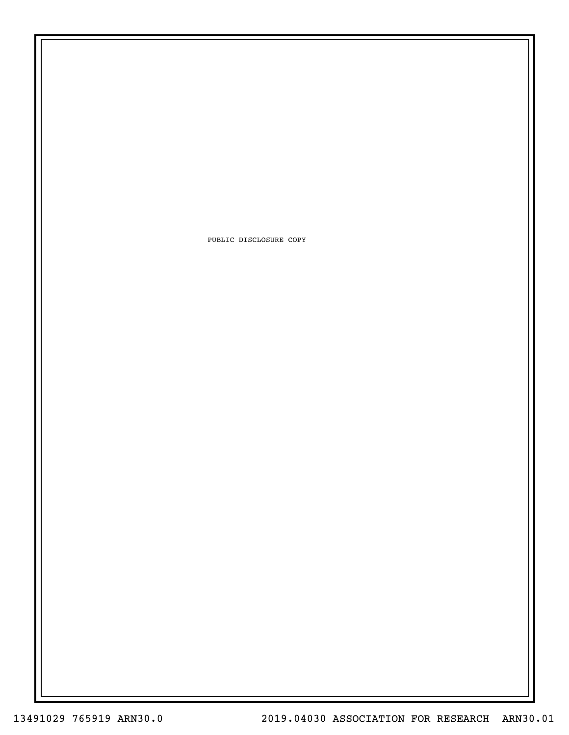PUBLIC DISCLOSURE COPY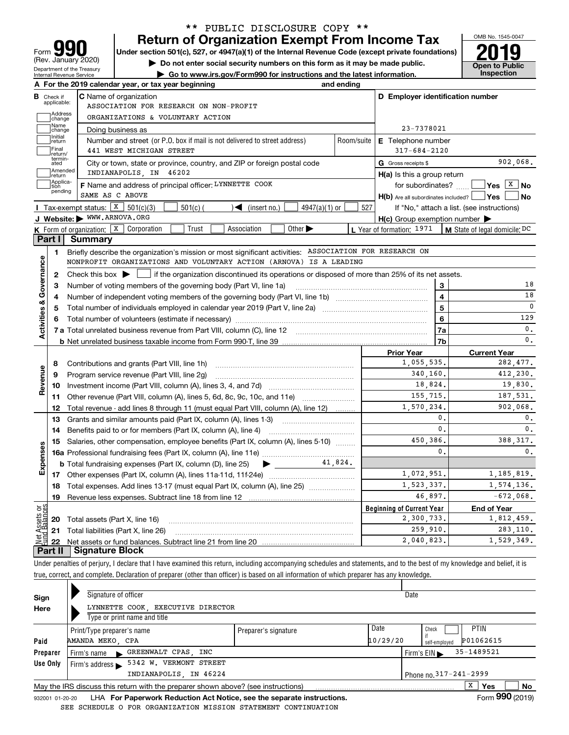| <u> 1911 </u><br>Form                                  |
|--------------------------------------------------------|
| (Rev. January 2020)                                    |
| Department of the Treasury<br>Internal Revenue Service |

# **Return of Organization Exempt From Income Tax** \*\* PUBLIC DISCLOSURE COPY \*\*

Under section 501(c), 527, or 4947(a)(1) of the Internal Revenue Code (except private foundations) **2019** 

**| Do not enter social security numbers on this form as it may be made public.**

**| Go to www.irs.gov/Form990 for instructions and the latest information. Inspection**



|                         |                             | A For the 2019 calendar year, or tax year beginning                                                                                                    | and ending                |                                                     |                |                                              |  |  |  |  |  |
|-------------------------|-----------------------------|--------------------------------------------------------------------------------------------------------------------------------------------------------|---------------------------|-----------------------------------------------------|----------------|----------------------------------------------|--|--|--|--|--|
| <b>B</b> Check if       |                             | <b>C</b> Name of organization                                                                                                                          |                           | D Employer identification number                    |                |                                              |  |  |  |  |  |
|                         | applicable:                 | ASSOCIATION FOR RESEARCH ON NON-PROFIT                                                                                                                 |                           |                                                     |                |                                              |  |  |  |  |  |
|                         | Address<br>change           | ORGANIZATIONS & VOLUNTARY ACTION                                                                                                                       |                           |                                                     |                |                                              |  |  |  |  |  |
|                         | Name<br>change              | Doing business as                                                                                                                                      | 23-7378021                |                                                     |                |                                              |  |  |  |  |  |
|                         | Initial<br>return           | Number and street (or P.O. box if mail is not delivered to street address)<br>Room/suite                                                               | <b>E</b> Telephone number |                                                     |                |                                              |  |  |  |  |  |
|                         | Final<br>Ireturn/           | 441 WEST MICHIGAN STREET                                                                                                                               |                           | $317 - 684 - 2120$                                  |                |                                              |  |  |  |  |  |
|                         | termin-<br>ated             | City or town, state or province, country, and ZIP or foreign postal code                                                                               |                           | G Gross receipts \$                                 |                | 902,068.                                     |  |  |  |  |  |
|                         | Amended<br> return          | INDIANAPOLIS, IN 46202                                                                                                                                 |                           | $H(a)$ is this a group return                       |                |                                              |  |  |  |  |  |
|                         | Applica-<br>tion<br>pending | F Name and address of principal officer: LYNNETTE COOK                                                                                                 |                           | for subordinates?                                   |                | $\sqrt{\mathsf{Yes}}$ $\sqrt{\mathsf{X}}$ No |  |  |  |  |  |
|                         |                             | SAME AS C ABOVE                                                                                                                                        |                           | $H(b)$ Are all subordinates included? $\Box$ Yes    |                | l No                                         |  |  |  |  |  |
|                         |                             | Tax-exempt status: $X = 501(c)(3)$<br>$501(c)$ (<br>$\mathcal{L}$ (insert no.)<br>$4947(a)(1)$ or                                                      | 527                       |                                                     |                | If "No," attach a list. (see instructions)   |  |  |  |  |  |
|                         |                             | J Website: WWW.ARNOVA.ORG                                                                                                                              |                           | $H(c)$ Group exemption number $\blacktriangleright$ |                |                                              |  |  |  |  |  |
|                         |                             | K Form of organization: X Corporation<br>Trust<br>Association<br>Other $\blacktriangleright$                                                           |                           | L Year of formation: 1971                           |                | M State of legal domicile: DC                |  |  |  |  |  |
|                         | Part I                      | Summary                                                                                                                                                |                           |                                                     |                |                                              |  |  |  |  |  |
|                         | 1.                          | Briefly describe the organization's mission or most significant activities: ASSOCIATION FOR RESEARCH ON                                                |                           |                                                     |                |                                              |  |  |  |  |  |
|                         |                             | NONPROFIT ORGANIZATIONS AND VOLUNTARY ACTION (ARNOVA) IS A LEADING                                                                                     |                           |                                                     |                |                                              |  |  |  |  |  |
| Activities & Governance | $\mathbf{2}$                | Check this box $\blacktriangleright$  <br>$\Box$ if the organization discontinued its operations or disposed of more than 25% of its net assets.       |                           |                                                     |                |                                              |  |  |  |  |  |
|                         | 3                           | Number of voting members of the governing body (Part VI, line 1a)                                                                                      |                           |                                                     | 3              | 18                                           |  |  |  |  |  |
|                         | 4                           |                                                                                                                                                        |                           | 4                                                   | 18             |                                              |  |  |  |  |  |
|                         | 5                           |                                                                                                                                                        |                           | 5                                                   | C              |                                              |  |  |  |  |  |
|                         |                             |                                                                                                                                                        |                           | 6                                                   | 129            |                                              |  |  |  |  |  |
|                         |                             |                                                                                                                                                        | 7a                        | 0.                                                  |                |                                              |  |  |  |  |  |
|                         |                             |                                                                                                                                                        |                           | <b>Prior Year</b>                                   | 7b             | 0.                                           |  |  |  |  |  |
|                         |                             |                                                                                                                                                        |                           | <b>Current Year</b><br>282,477.                     |                |                                              |  |  |  |  |  |
|                         | 8                           | Contributions and grants (Part VIII, line 1h)                                                                                                          |                           | 1,055,535.<br>340,160.                              |                | 412,230.                                     |  |  |  |  |  |
| Revenue                 | 9                           | Program service revenue (Part VIII, line 2g)                                                                                                           |                           | 18,824.                                             |                | 19,830.                                      |  |  |  |  |  |
|                         | 10                          | Investment income (Part VIII, column (A), lines 3, 4, and 7d)                                                                                          |                           | 155.715.                                            |                | 187.531.                                     |  |  |  |  |  |
|                         | 11                          | Other revenue (Part VIII, column (A), lines 5, 6d, 8c, 9c, 10c, and 11e)                                                                               |                           | 1,570,234.                                          |                | 902,068.                                     |  |  |  |  |  |
|                         | 12<br>13                    | Total revenue - add lines 8 through 11 (must equal Part VIII, column (A), line 12)<br>Grants and similar amounts paid (Part IX, column (A), lines 1-3) |                           |                                                     | $\mathbf{0}$ . | $\mathbf 0$ .                                |  |  |  |  |  |
|                         | 14                          |                                                                                                                                                        |                           |                                                     | $\mathbf 0$ .  | 0.                                           |  |  |  |  |  |
|                         | 15                          | Salaries, other compensation, employee benefits (Part IX, column (A), lines 5-10)                                                                      |                           | 450,386.                                            |                | 388, 317.                                    |  |  |  |  |  |
|                         |                             |                                                                                                                                                        |                           |                                                     | $\mathbf{0}$ . | 0.                                           |  |  |  |  |  |
| Expenses                |                             | <b>b</b> Total fundraising expenses (Part IX, column (D), line 25) $\rightarrow$                                                                       | 41,824.                   |                                                     |                |                                              |  |  |  |  |  |
|                         |                             |                                                                                                                                                        | 1,072,951.                |                                                     | 1,185,819.     |                                              |  |  |  |  |  |
|                         | 18                          | Total expenses. Add lines 13-17 (must equal Part IX, column (A), line 25)                                                                              |                           | 1,523,337.                                          |                | 1,574,136.                                   |  |  |  |  |  |
|                         | 19                          |                                                                                                                                                        |                           | 46,897.                                             |                | $-672,068$ .                                 |  |  |  |  |  |
| Ξğ                      |                             |                                                                                                                                                        |                           | <b>Beginning of Current Year</b>                    |                | <b>End of Year</b>                           |  |  |  |  |  |
| 5q                      |                             | 20 Total assets (Part X, line 16)                                                                                                                      |                           | 2,300,733.                                          |                | 1,812,459.                                   |  |  |  |  |  |
|                         | 21                          | Total liabilities (Part X, line 26)                                                                                                                    | 259,910.                  | 283,110.                                            |                |                                              |  |  |  |  |  |
|                         | 22                          |                                                                                                                                                        |                           | 2,040,823.                                          |                | 1,529,349.                                   |  |  |  |  |  |
|                         | Part II                     | <b>Signature Block</b>                                                                                                                                 |                           |                                                     |                |                                              |  |  |  |  |  |

Under penalties of perjury, I declare that I have examined this return, including accompanying schedules and statements, and to the best of my knowledge and belief, it is true, correct, and complete. Declaration of preparer (other than officer) is based on all information of which preparer has any knowledge.

| Sign     | Signature of officer                                                                                                                                                                                                              |                      | Date     |                                                |
|----------|-----------------------------------------------------------------------------------------------------------------------------------------------------------------------------------------------------------------------------------|----------------------|----------|------------------------------------------------|
| Here     | LYNNETTE COOK, EXECUTIVE DIRECTOR                                                                                                                                                                                                 |                      |          |                                                |
|          | Type or print name and title                                                                                                                                                                                                      |                      |          |                                                |
|          | Print/Type preparer's name                                                                                                                                                                                                        | Preparer's signature | Date     | PTIN<br>Check                                  |
| Paid     | AMANDA MEKO, CPA                                                                                                                                                                                                                  |                      | 10/29/20 | P01062615<br>self-emploved                     |
| Preparer | Firm's name GREENWALT CPAS, INC                                                                                                                                                                                                   |                      |          | 35-1489521<br>Firm's $EIN \blacktriangleright$ |
| Use Only | 5342 W. VERMONT STREET<br>Firm's address $\blacktriangleright$                                                                                                                                                                    |                      |          |                                                |
|          | INDIANAPOLIS, IN 46224                                                                                                                                                                                                            |                      |          | Phone no. 317-241-2999                         |
|          | May the IRS discuss this return with the preparer shown above? (see instructions)                                                                                                                                                 |                      |          | v<br>No<br><b>Yes</b><br>Δ.                    |
|          | $\mathbf{r}$ . The contract of the contract of the contract of the contract of the contract of the contract of the contract of the contract of the contract of the contract of the contract of the contract of the contract of th |                      |          | $\sim$ 000 $\sim$                              |

932001 01-20-20 LHA **For Paperwork Reduction Act Notice, see the separate instructions. Form 990 (2019)** SEE SCHEDULE O FOR ORGANIZATION MISSION STATEMENT CONTINUATION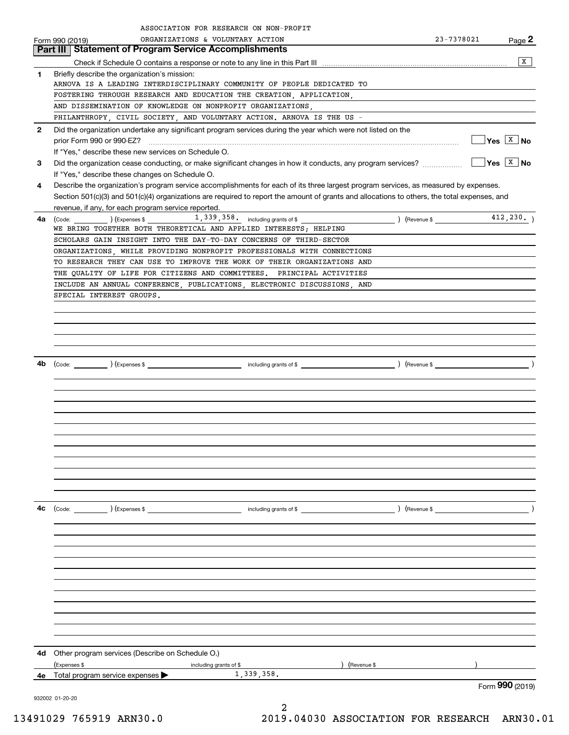|              | ASSOCIATION FOR RESEARCH ON NON-PROFIT                                                                                                        |                                |                                                        |
|--------------|-----------------------------------------------------------------------------------------------------------------------------------------------|--------------------------------|--------------------------------------------------------|
|              | ORGANIZATIONS & VOLUNTARY ACTION<br>Form 990 (2019)                                                                                           | 23-7378021                     | Page 2                                                 |
|              | <b>Statement of Program Service Accomplishments</b><br>Part III                                                                               |                                |                                                        |
|              |                                                                                                                                               |                                | x                                                      |
| 1            | Briefly describe the organization's mission:                                                                                                  |                                |                                                        |
|              | ARNOVA IS A LEADING INTERDISCIPLINARY COMMUNITY OF PEOPLE DEDICATED TO<br>FOSTERING THROUGH RESEARCH AND EDUCATION THE CREATION, APPLICATION, |                                |                                                        |
|              | AND DISSEMINATION OF KNOWLEDGE ON NONPROFIT ORGANIZATIONS,                                                                                    |                                |                                                        |
|              | PHILANTHROPY, CIVIL SOCIETY, AND VOLUNTARY ACTION. ARNOVA IS THE US -                                                                         |                                |                                                        |
| $\mathbf{2}$ | Did the organization undertake any significant program services during the year which were not listed on the                                  |                                |                                                        |
|              |                                                                                                                                               |                                | $\sqrt{\mathsf{Yes} \mid \mathsf{X} \mid \mathsf{No}}$ |
|              | If "Yes," describe these new services on Schedule O.                                                                                          |                                |                                                        |
| 3            | Did the organization cease conducting, or make significant changes in how it conducts, any program services?                                  |                                | $\sqrt{Y}$ es $\sqrt{X}$ No                            |
|              | If "Yes," describe these changes on Schedule O.                                                                                               |                                |                                                        |
| 4            | Describe the organization's program service accomplishments for each of its three largest program services, as measured by expenses.          |                                |                                                        |
|              | Section 501(c)(3) and 501(c)(4) organizations are required to report the amount of grants and allocations to others, the total expenses, and  |                                |                                                        |
|              | revenue, if any, for each program service reported.                                                                                           |                                |                                                        |
| 4a           | 1, 339, 358. including grants of \$<br>(Code: ) (Expenses \$<br>WE BRING TOGETHER BOTH THEORETICAL AND APPLIED INTERESTS; HELPING             |                                |                                                        |
|              | SCHOLARS GAIN INSIGHT INTO THE DAY-TO-DAY CONCERNS OF THIRD-SECTOR                                                                            |                                |                                                        |
|              | ORGANIZATIONS, WHILE PROVIDING NONPROFIT PROFESSIONALS WITH CONNECTIONS                                                                       |                                |                                                        |
|              | TO RESEARCH THEY CAN USE TO IMPROVE THE WORK OF THEIR ORGANIZATIONS AND                                                                       |                                |                                                        |
|              | THE QUALITY OF LIFE FOR CITIZENS AND COMMITTEES. PRINCIPAL ACTIVITIES                                                                         |                                |                                                        |
|              | INCLUDE AN ANNUAL CONFERENCE, PUBLICATIONS, ELECTRONIC DISCUSSIONS, AND                                                                       |                                |                                                        |
|              | SPECIAL INTEREST GROUPS.                                                                                                                      |                                |                                                        |
|              |                                                                                                                                               |                                |                                                        |
|              |                                                                                                                                               |                                |                                                        |
|              |                                                                                                                                               |                                |                                                        |
|              |                                                                                                                                               |                                |                                                        |
|              |                                                                                                                                               |                                |                                                        |
| 4b           |                                                                                                                                               |                                |                                                        |
|              |                                                                                                                                               |                                |                                                        |
|              |                                                                                                                                               |                                |                                                        |
|              |                                                                                                                                               |                                |                                                        |
|              |                                                                                                                                               |                                |                                                        |
|              |                                                                                                                                               |                                |                                                        |
|              |                                                                                                                                               |                                |                                                        |
|              |                                                                                                                                               |                                |                                                        |
|              |                                                                                                                                               |                                |                                                        |
|              |                                                                                                                                               |                                |                                                        |
|              |                                                                                                                                               |                                |                                                        |
|              |                                                                                                                                               |                                |                                                        |
| 4c           |                                                                                                                                               | $($ Revenue \$ $\qquad \qquad$ |                                                        |
|              |                                                                                                                                               |                                |                                                        |
|              |                                                                                                                                               |                                |                                                        |
|              |                                                                                                                                               |                                |                                                        |
|              |                                                                                                                                               |                                |                                                        |
|              |                                                                                                                                               |                                |                                                        |
|              |                                                                                                                                               |                                |                                                        |
|              |                                                                                                                                               |                                |                                                        |
|              |                                                                                                                                               |                                |                                                        |
|              |                                                                                                                                               |                                |                                                        |
|              |                                                                                                                                               |                                |                                                        |
|              |                                                                                                                                               |                                |                                                        |
| 4d -         | Other program services (Describe on Schedule O.)<br>) (Revenue \$<br>(Expenses \$                                                             |                                |                                                        |
| 4е           | including grants of \$<br>1,339,358.<br>Total program service expenses                                                                        |                                |                                                        |
|              |                                                                                                                                               |                                | Form 990 (2019)                                        |
|              | 932002 01-20-20                                                                                                                               |                                |                                                        |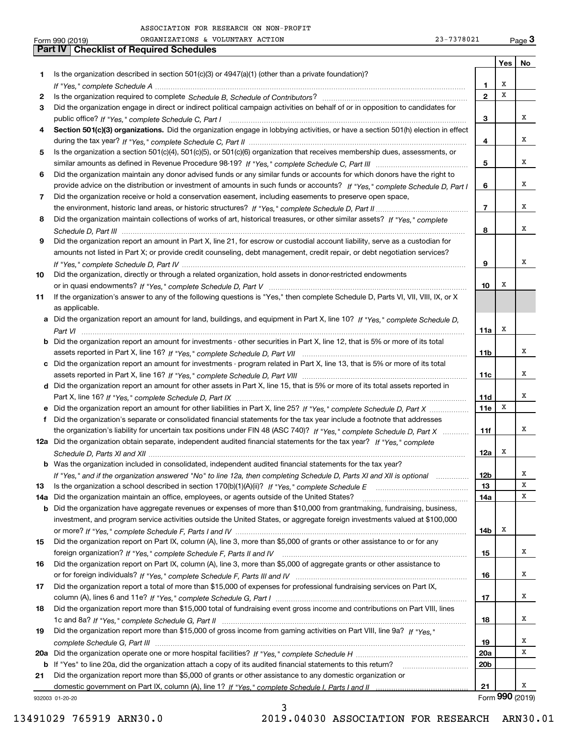|     | 23-7378021<br>ORGANIZATIONS & VOLUNTARY ACTION<br>Form 990 (2019)                                                                     |                 |     | Page $3$        |
|-----|---------------------------------------------------------------------------------------------------------------------------------------|-----------------|-----|-----------------|
|     | Part IV<br><b>Checklist of Required Schedules</b>                                                                                     |                 |     |                 |
|     |                                                                                                                                       |                 | Yes | No              |
| 1   | Is the organization described in section $501(c)(3)$ or $4947(a)(1)$ (other than a private foundation)?                               |                 |     |                 |
|     |                                                                                                                                       | 1               | х   |                 |
| 2   |                                                                                                                                       | $\mathbf{2}$    | x   |                 |
| 3   | Did the organization engage in direct or indirect political campaign activities on behalf of or in opposition to candidates for       |                 |     |                 |
|     |                                                                                                                                       | 3               |     | х               |
| 4   | Section 501(c)(3) organizations. Did the organization engage in lobbying activities, or have a section 501(h) election in effect      |                 |     |                 |
|     |                                                                                                                                       | 4               |     | x               |
| 5   | Is the organization a section 501(c)(4), 501(c)(5), or 501(c)(6) organization that receives membership dues, assessments, or          |                 |     |                 |
|     |                                                                                                                                       | 5               |     | х               |
| 6   | Did the organization maintain any donor advised funds or any similar funds or accounts for which donors have the right to             |                 |     |                 |
|     | provide advice on the distribution or investment of amounts in such funds or accounts? If "Yes," complete Schedule D, Part I          | 6               |     | х               |
|     |                                                                                                                                       |                 |     |                 |
| 7   | Did the organization receive or hold a conservation easement, including easements to preserve open space,                             | $\overline{7}$  |     | x               |
|     |                                                                                                                                       |                 |     |                 |
| 8   | Did the organization maintain collections of works of art, historical treasures, or other similar assets? If "Yes," complete          |                 |     | х               |
|     |                                                                                                                                       | 8               |     |                 |
| 9   | Did the organization report an amount in Part X, line 21, for escrow or custodial account liability, serve as a custodian for         |                 |     |                 |
|     | amounts not listed in Part X; or provide credit counseling, debt management, credit repair, or debt negotiation services?             |                 |     |                 |
|     |                                                                                                                                       | 9               |     | x               |
| 10  | Did the organization, directly or through a related organization, hold assets in donor-restricted endowments                          |                 |     |                 |
|     |                                                                                                                                       | 10              | х   |                 |
| 11  | If the organization's answer to any of the following questions is "Yes," then complete Schedule D, Parts VI, VII, VIII, IX, or X      |                 |     |                 |
|     | as applicable.                                                                                                                        |                 |     |                 |
|     | a Did the organization report an amount for land, buildings, and equipment in Part X, line 10? If "Yes," complete Schedule D,         |                 |     |                 |
|     |                                                                                                                                       | 11a             | х   |                 |
|     | <b>b</b> Did the organization report an amount for investments - other securities in Part X, line 12, that is 5% or more of its total |                 |     |                 |
|     |                                                                                                                                       | 11 <sub>b</sub> |     | х               |
|     | c Did the organization report an amount for investments - program related in Part X, line 13, that is 5% or more of its total         |                 |     |                 |
|     |                                                                                                                                       | 11c             |     | х               |
|     | d Did the organization report an amount for other assets in Part X, line 15, that is 5% or more of its total assets reported in       |                 |     |                 |
|     |                                                                                                                                       | 11d             |     | x               |
|     | e Did the organization report an amount for other liabilities in Part X, line 25? If "Yes," complete Schedule D, Part X               | 11e             | X   |                 |
| f   | Did the organization's separate or consolidated financial statements for the tax year include a footnote that addresses               |                 |     |                 |
|     | the organization's liability for uncertain tax positions under FIN 48 (ASC 740)? If "Yes," complete Schedule D, Part X                | 11f             |     | x               |
|     | 12a Did the organization obtain separate, independent audited financial statements for the tax year? If "Yes," complete               |                 |     |                 |
|     |                                                                                                                                       | 12a             | x   |                 |
|     | <b>b</b> Was the organization included in consolidated, independent audited financial statements for the tax year?                    |                 |     |                 |
|     | If "Yes," and if the organization answered "No" to line 12a, then completing Schedule D, Parts XI and XII is optional                 | 12 <sub>b</sub> |     | x               |
| 13  |                                                                                                                                       | 13              |     | х               |
| 14a | Did the organization maintain an office, employees, or agents outside of the United States?                                           | 14a             |     | x               |
| b   | Did the organization have aggregate revenues or expenses of more than \$10,000 from grantmaking, fundraising, business,               |                 |     |                 |
|     | investment, and program service activities outside the United States, or aggregate foreign investments valued at \$100,000            |                 |     |                 |
|     |                                                                                                                                       | 14b             | x   |                 |
| 15  | Did the organization report on Part IX, column (A), line 3, more than \$5,000 of grants or other assistance to or for any             |                 |     |                 |
|     |                                                                                                                                       |                 |     | x               |
|     | Did the organization report on Part IX, column (A), line 3, more than \$5,000 of aggregate grants or other assistance to              | 15              |     |                 |
| 16  |                                                                                                                                       |                 |     |                 |
|     |                                                                                                                                       | 16              |     | x               |
| 17  | Did the organization report a total of more than \$15,000 of expenses for professional fundraising services on Part IX,               |                 |     |                 |
|     |                                                                                                                                       | 17              |     | x               |
| 18  | Did the organization report more than \$15,000 total of fundraising event gross income and contributions on Part VIII, lines          |                 |     |                 |
|     |                                                                                                                                       | 18              |     | х               |
| 19  | Did the organization report more than \$15,000 of gross income from gaming activities on Part VIII, line 9a? If "Yes."                |                 |     |                 |
|     |                                                                                                                                       | 19              |     | x               |
|     |                                                                                                                                       | 20a             |     | х               |
|     | b If "Yes" to line 20a, did the organization attach a copy of its audited financial statements to this return?                        | 20 <sub>b</sub> |     |                 |
| 21  | Did the organization report more than \$5,000 of grants or other assistance to any domestic organization or                           |                 |     |                 |
|     |                                                                                                                                       | 21              |     | x               |
|     | 932003 01-20-20                                                                                                                       |                 |     | Form 990 (2019) |

3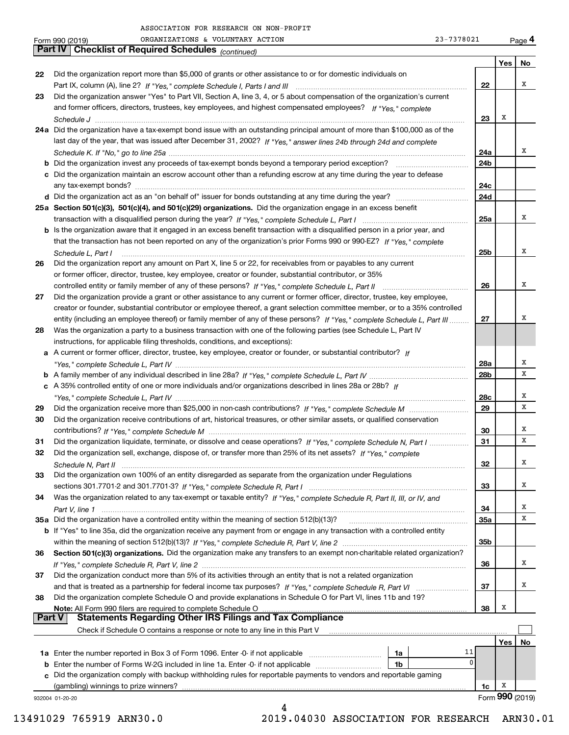|          | 23-7378021<br>ORGANIZATIONS & VOLUNTARY ACTION<br>Form 990 (2019)                                                            |                 |     | Page 4          |
|----------|------------------------------------------------------------------------------------------------------------------------------|-----------------|-----|-----------------|
|          | Part IV   Checklist of Required Schedules (continued)                                                                        |                 |     |                 |
|          |                                                                                                                              |                 | Yes | No              |
| 22       | Did the organization report more than \$5,000 of grants or other assistance to or for domestic individuals on                |                 |     |                 |
|          |                                                                                                                              | 22              |     | х               |
| 23       | Did the organization answer "Yes" to Part VII, Section A, line 3, 4, or 5 about compensation of the organization's current   |                 |     |                 |
|          | and former officers, directors, trustees, key employees, and highest compensated employees? If "Yes," complete               |                 |     |                 |
|          |                                                                                                                              | 23              | х   |                 |
|          | 24a Did the organization have a tax-exempt bond issue with an outstanding principal amount of more than \$100,000 as of the  |                 |     |                 |
|          | last day of the year, that was issued after December 31, 2002? If "Yes," answer lines 24b through 24d and complete           | 24a             |     | х               |
|          |                                                                                                                              | 24 <sub>b</sub> |     |                 |
|          | c Did the organization maintain an escrow account other than a refunding escrow at any time during the year to defease       |                 |     |                 |
|          |                                                                                                                              | 24c             |     |                 |
|          |                                                                                                                              | 24d             |     |                 |
|          | 25a Section 501(c)(3), 501(c)(4), and 501(c)(29) organizations. Did the organization engage in an excess benefit             |                 |     |                 |
|          |                                                                                                                              | 25a             |     | х               |
|          | b Is the organization aware that it engaged in an excess benefit transaction with a disqualified person in a prior year, and |                 |     |                 |
|          | that the transaction has not been reported on any of the organization's prior Forms 990 or 990-EZ? If "Yes," complete        |                 |     |                 |
|          | Schedule L, Part I                                                                                                           | 25 <sub>b</sub> |     | х               |
| 26       | Did the organization report any amount on Part X, line 5 or 22, for receivables from or payables to any current              |                 |     |                 |
|          | or former officer, director, trustee, key employee, creator or founder, substantial contributor, or 35%                      |                 |     |                 |
|          |                                                                                                                              | 26              |     | х               |
| 27       | Did the organization provide a grant or other assistance to any current or former officer, director, trustee, key employee,  |                 |     |                 |
|          | creator or founder, substantial contributor or employee thereof, a grant selection committee member, or to a 35% controlled  |                 |     |                 |
|          | entity (including an employee thereof) or family member of any of these persons? If "Yes," complete Schedule L, Part III     | 27              |     | х               |
| 28       | Was the organization a party to a business transaction with one of the following parties (see Schedule L, Part IV            |                 |     |                 |
|          | instructions, for applicable filing thresholds, conditions, and exceptions):                                                 |                 |     |                 |
|          | a A current or former officer, director, trustee, key employee, creator or founder, or substantial contributor? If           |                 |     |                 |
|          |                                                                                                                              | 28a             |     | х               |
|          |                                                                                                                              | 28b             |     | X               |
|          | c A 35% controlled entity of one or more individuals and/or organizations described in lines 28a or 28b? If                  |                 |     | х               |
|          |                                                                                                                              | 28c<br>29       |     | X               |
| 29<br>30 | Did the organization receive contributions of art, historical treasures, or other similar assets, or qualified conservation  |                 |     |                 |
|          |                                                                                                                              | 30              |     | x               |
| 31       | Did the organization liquidate, terminate, or dissolve and cease operations? If "Yes," complete Schedule N, Part I           | 31              |     | X               |
| 32       | Did the organization sell, exchange, dispose of, or transfer more than 25% of its net assets? If "Yes," complete             |                 |     |                 |
|          |                                                                                                                              | 32              |     | х               |
| 33       | Did the organization own 100% of an entity disregarded as separate from the organization under Regulations                   |                 |     |                 |
|          |                                                                                                                              | 33              |     | х               |
| 34       | Was the organization related to any tax-exempt or taxable entity? If "Yes," complete Schedule R, Part II, III, or IV, and    |                 |     |                 |
|          |                                                                                                                              | 34              |     | x               |
|          | 35a Did the organization have a controlled entity within the meaning of section 512(b)(13)?                                  | 35a             |     | X               |
|          | b If "Yes" to line 35a, did the organization receive any payment from or engage in any transaction with a controlled entity  |                 |     |                 |
|          |                                                                                                                              | 35b             |     |                 |
| 36       | Section 501(c)(3) organizations. Did the organization make any transfers to an exempt non-charitable related organization?   |                 |     |                 |
|          |                                                                                                                              | 36              |     | х               |
| 37       | Did the organization conduct more than 5% of its activities through an entity that is not a related organization             |                 |     |                 |
|          |                                                                                                                              | 37              |     | х               |
| 38       | Did the organization complete Schedule O and provide explanations in Schedule O for Part VI, lines 11b and 19?               |                 |     |                 |
|          | Note: All Form 990 filers are required to complete Schedule O                                                                | 38              | Х   |                 |
|          | <b>Statements Regarding Other IRS Filings and Tax Compliance</b><br><b>Part V</b>                                            |                 |     |                 |
|          | Check if Schedule O contains a response or note to any line in this Part V                                                   |                 |     |                 |
|          | 1a                                                                                                                           | 11              | Yes | No              |
|          | <b>b</b> Enter the number of Forms W-2G included in line 1a. Enter -0- if not applicable<br>1b                               | 0               |     |                 |
|          | c Did the organization comply with backup withholding rules for reportable payments to vendors and reportable gaming         |                 |     |                 |
|          |                                                                                                                              | 1c              | x   |                 |
|          | 932004 01-20-20                                                                                                              |                 |     | Form 990 (2019) |
|          | 4                                                                                                                            |                 |     |                 |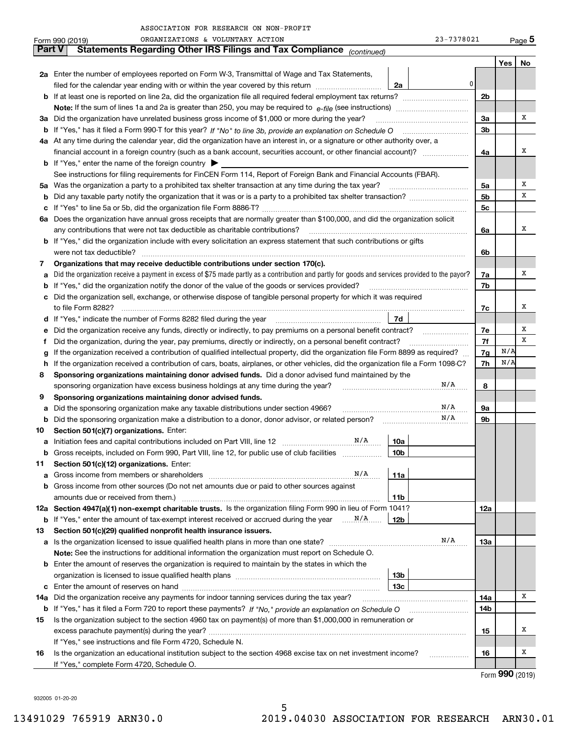| 23-7378021 | Pag |
|------------|-----|
|            |     |

|               | Form 990 (2019) | ORGANIZATIONS & VOLUNTARY ACTION                                                                                                                |                 | 23-7378021 |                |     | Page 5 |
|---------------|-----------------|-------------------------------------------------------------------------------------------------------------------------------------------------|-----------------|------------|----------------|-----|--------|
| <b>Part V</b> |                 | Statements Regarding Other IRS Filings and Tax Compliance (continued)                                                                           |                 |            |                |     |        |
|               |                 |                                                                                                                                                 |                 |            |                | Yes | No     |
|               |                 | 2a Enter the number of employees reported on Form W-3, Transmittal of Wage and Tax Statements,                                                  |                 |            |                |     |        |
|               |                 | filed for the calendar year ending with or within the year covered by this return                                                               | 2a              | 0          |                |     |        |
|               |                 |                                                                                                                                                 |                 |            | 2b             |     |        |
|               |                 |                                                                                                                                                 |                 |            |                |     |        |
| За            |                 | Did the organization have unrelated business gross income of \$1,000 or more during the year?                                                   |                 |            | 3a             |     | х      |
| b             |                 |                                                                                                                                                 |                 |            | 3 <sub>b</sub> |     |        |
|               |                 | 4a At any time during the calendar year, did the organization have an interest in, or a signature or other authority over, a                    |                 |            |                |     |        |
|               |                 | financial account in a foreign country (such as a bank account, securities account, or other financial account)?                                |                 |            | 4a             |     | х      |
|               |                 | <b>b</b> If "Yes," enter the name of the foreign country $\triangleright$                                                                       |                 |            |                |     |        |
|               |                 | See instructions for filing requirements for FinCEN Form 114, Report of Foreign Bank and Financial Accounts (FBAR).                             |                 |            |                |     |        |
| 5a            |                 | Was the organization a party to a prohibited tax shelter transaction at any time during the tax year?                                           |                 |            | 5a             |     | х      |
| b             |                 |                                                                                                                                                 |                 |            | 5 <sub>b</sub> |     | х      |
| с             |                 |                                                                                                                                                 |                 |            | 5с             |     |        |
|               |                 | 6a Does the organization have annual gross receipts that are normally greater than \$100,000, and did the organization solicit                  |                 |            |                |     |        |
|               |                 | any contributions that were not tax deductible as charitable contributions?                                                                     |                 |            | 6a             |     | х      |
|               |                 | <b>b</b> If "Yes," did the organization include with every solicitation an express statement that such contributions or gifts                   |                 |            |                |     |        |
|               |                 | were not tax deductible?                                                                                                                        |                 |            | 6b             |     |        |
| 7             |                 | Organizations that may receive deductible contributions under section 170(c).                                                                   |                 |            |                |     |        |
| a             |                 | Did the organization receive a payment in excess of \$75 made partly as a contribution and partly for goods and services provided to the payor? |                 |            | 7a             |     | х      |
| b             |                 | If "Yes," did the organization notify the donor of the value of the goods or services provided?                                                 |                 |            | 7b             |     |        |
|               |                 | Did the organization sell, exchange, or otherwise dispose of tangible personal property for which it was required                               |                 |            |                |     |        |
|               |                 |                                                                                                                                                 |                 |            | 7c             |     | х      |
| d             |                 | If "Yes," indicate the number of Forms 8282 filed during the year                                                                               | 7d              |            |                |     |        |
| е             |                 | Did the organization receive any funds, directly or indirectly, to pay premiums on a personal benefit contract?                                 |                 |            | 7e             |     | х      |
| f             |                 | Did the organization, during the year, pay premiums, directly or indirectly, on a personal benefit contract?                                    |                 |            | 7f             |     | х      |
| g             |                 | If the organization received a contribution of qualified intellectual property, did the organization file Form 8899 as required?                |                 |            | 7g             | N/A |        |
| h             |                 | If the organization received a contribution of cars, boats, airplanes, or other vehicles, did the organization file a Form 1098-C?              |                 |            | 7h             | N/A |        |
| 8             |                 | Sponsoring organizations maintaining donor advised funds. Did a donor advised fund maintained by the                                            |                 |            |                |     |        |
|               |                 | sponsoring organization have excess business holdings at any time during the year?                                                              |                 | N/A        | 8              |     |        |
| 9             |                 | Sponsoring organizations maintaining donor advised funds.                                                                                       |                 |            |                |     |        |
| a             |                 | Did the sponsoring organization make any taxable distributions under section 4966?                                                              |                 | $\rm N/A$  | 9а             |     |        |
| b             |                 | Did the sponsoring organization make a distribution to a donor, donor advisor, or related person?                                               |                 | N/A        | 9b             |     |        |
| 10            |                 | Section 501(c)(7) organizations. Enter:                                                                                                         |                 |            |                |     |        |
|               |                 | N/A<br>Initiation fees and capital contributions included on Part VIII, line 12 [100]                                                           | 10a             |            |                |     |        |
|               |                 | Gross receipts, included on Form 990, Part VIII, line 12, for public use of club facilities                                                     | 10 <sub>b</sub> |            |                |     |        |
| 11            |                 | Section 501(c)(12) organizations. Enter:                                                                                                        |                 |            |                |     |        |
| a             |                 | N/A<br>Gross income from members or shareholders                                                                                                | 11a             |            |                |     |        |
| b             |                 | Gross income from other sources (Do not net amounts due or paid to other sources against                                                        |                 |            |                |     |        |
|               |                 |                                                                                                                                                 | 11b             |            |                |     |        |
|               |                 | 12a Section 4947(a)(1) non-exempt charitable trusts. Is the organization filing Form 990 in lieu of Form 1041?                                  |                 |            | 12a            |     |        |
|               |                 |                                                                                                                                                 | 12b             |            |                |     |        |
| 13            |                 | Section 501(c)(29) qualified nonprofit health insurance issuers.                                                                                |                 |            |                |     |        |
| a             |                 |                                                                                                                                                 |                 | N/A        | 13a            |     |        |
|               |                 | Note: See the instructions for additional information the organization must report on Schedule O.                                               |                 |            |                |     |        |
| b             |                 | Enter the amount of reserves the organization is required to maintain by the states in which the                                                |                 |            |                |     |        |
|               |                 |                                                                                                                                                 | 13 <sub>b</sub> |            |                |     |        |
| с             |                 |                                                                                                                                                 | 13c             |            |                |     |        |
| 14a           |                 | Did the organization receive any payments for indoor tanning services during the tax year?                                                      |                 |            | 14a            |     | х      |
|               |                 | <b>b</b> If "Yes," has it filed a Form 720 to report these payments? If "No," provide an explanation on Schedule O                              |                 |            | 14b            |     |        |
| 15            |                 | Is the organization subject to the section 4960 tax on payment(s) of more than \$1,000,000 in remuneration or                                   |                 |            |                |     |        |
|               |                 | excess parachute payment(s) during the year?                                                                                                    |                 |            | 15             |     | х      |
|               |                 | If "Yes," see instructions and file Form 4720, Schedule N.                                                                                      |                 |            |                |     |        |
| 16            |                 | Is the organization an educational institution subject to the section 4968 excise tax on net investment income?                                 |                 |            | 16             |     | х      |
|               |                 | If "Yes," complete Form 4720, Schedule O.                                                                                                       |                 |            |                |     |        |

Form (2019) **990**

932005 01-20-20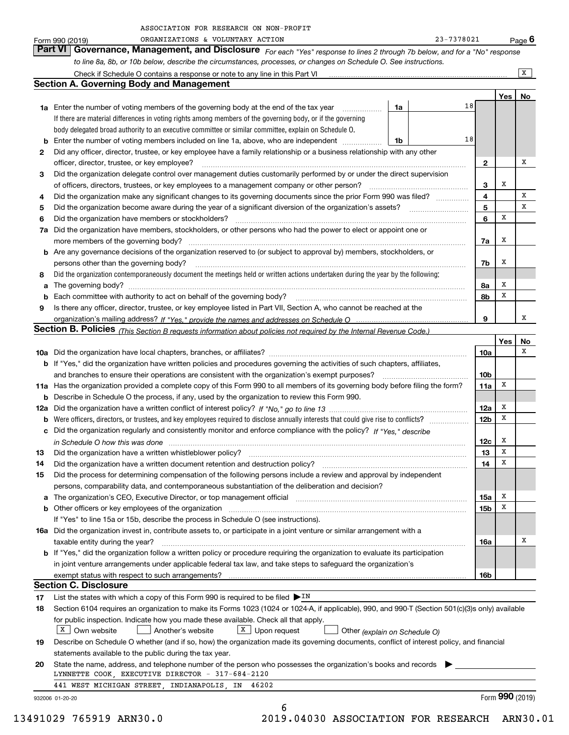|    | ORGANIZATIONS & VOLUNTARY ACTION<br>Form 990 (2019)                                                                                                                                                                                    |    | 23-7378021 |                 |     | Page 6          |
|----|----------------------------------------------------------------------------------------------------------------------------------------------------------------------------------------------------------------------------------------|----|------------|-----------------|-----|-----------------|
|    | <b>Part VI</b><br>Governance, Management, and Disclosure For each "Yes" response to lines 2 through 7b below, and for a "No" response                                                                                                  |    |            |                 |     |                 |
|    | to line 8a, 8b, or 10b below, describe the circumstances, processes, or changes on Schedule O. See instructions.                                                                                                                       |    |            |                 |     |                 |
|    |                                                                                                                                                                                                                                        |    |            |                 |     | X               |
|    | <b>Section A. Governing Body and Management</b>                                                                                                                                                                                        |    |            |                 |     |                 |
|    |                                                                                                                                                                                                                                        |    |            |                 | Yes | No              |
|    | <b>1a</b> Enter the number of voting members of the governing body at the end of the tax year <i>manumum</i>                                                                                                                           | 1a | 18         |                 |     |                 |
|    | If there are material differences in voting rights among members of the governing body, or if the governing                                                                                                                            |    |            |                 |     |                 |
|    | body delegated broad authority to an executive committee or similar committee, explain on Schedule O.                                                                                                                                  |    |            |                 |     |                 |
|    | <b>b</b> Enter the number of voting members included on line 1a, above, who are independent <i>manumum</i>                                                                                                                             | 1b | 18         |                 |     |                 |
| 2  | Did any officer, director, trustee, or key employee have a family relationship or a business relationship with any other                                                                                                               |    |            |                 |     |                 |
|    | officer, director, trustee, or key employee?                                                                                                                                                                                           |    |            | $\mathbf{2}$    |     | х               |
| 3  | Did the organization delegate control over management duties customarily performed by or under the direct supervision                                                                                                                  |    |            |                 | х   |                 |
| 4  | of officers, directors, trustees, or key employees to a management company or other person?<br>Did the organization make any significant changes to its governing documents since the prior Form 990 was filed?                        |    |            | 3<br>4          |     | x               |
| 5  | Did the organization become aware during the year of a significant diversion of the organization's assets?                                                                                                                             |    |            | 5               |     | x               |
| 6  | Did the organization have members or stockholders?                                                                                                                                                                                     |    |            | 6               | x   |                 |
|    | 7a Did the organization have members, stockholders, or other persons who had the power to elect or appoint one or                                                                                                                      |    |            |                 |     |                 |
|    | more members of the governing body?                                                                                                                                                                                                    |    |            | 7a              | х   |                 |
|    | <b>b</b> Are any governance decisions of the organization reserved to (or subject to approval by) members, stockholders, or                                                                                                            |    |            |                 |     |                 |
|    | persons other than the governing body?                                                                                                                                                                                                 |    |            | 7b              | х   |                 |
| 8  | Did the organization contemporaneously document the meetings held or written actions undertaken during the year by the following:                                                                                                      |    |            |                 |     |                 |
|    |                                                                                                                                                                                                                                        |    |            | 8a              | х   |                 |
|    | <b>b</b> Each committee with authority to act on behalf of the governing body?                                                                                                                                                         |    |            | 8b              | х   |                 |
| 9  | Is there any officer, director, trustee, or key employee listed in Part VII, Section A, who cannot be reached at the                                                                                                                   |    |            |                 |     |                 |
|    |                                                                                                                                                                                                                                        |    |            | 9               |     | x               |
|    | Section B. Policies (This Section B requests information about policies not required by the Internal Revenue Code.)                                                                                                                    |    |            |                 |     |                 |
|    |                                                                                                                                                                                                                                        |    |            |                 | Yes | No<br>х         |
|    |                                                                                                                                                                                                                                        |    |            | 10a             |     |                 |
|    | <b>b</b> If "Yes," did the organization have written policies and procedures governing the activities of such chapters, affiliates,<br>and branches to ensure their operations are consistent with the organization's exempt purposes? |    |            | 10 <sub>b</sub> |     |                 |
|    | 11a Has the organization provided a complete copy of this Form 990 to all members of its governing body before filing the form?                                                                                                        |    |            | 11a             | х   |                 |
|    | <b>b</b> Describe in Schedule O the process, if any, used by the organization to review this Form 990.                                                                                                                                 |    |            |                 |     |                 |
|    |                                                                                                                                                                                                                                        |    |            | 12a             | х   |                 |
|    |                                                                                                                                                                                                                                        |    |            | 12 <sub>b</sub> | х   |                 |
|    | c Did the organization regularly and consistently monitor and enforce compliance with the policy? If "Yes," describe                                                                                                                   |    |            |                 |     |                 |
|    | in Schedule O how this was done manufactured and continuum and contact the United Schedule O how this was done                                                                                                                         |    |            | 12c             | х   |                 |
| 13 | Did the organization have a written whistleblower policy?                                                                                                                                                                              |    |            | 13              | x   |                 |
| 14 | Did the organization have a written document retention and destruction policy?                                                                                                                                                         |    |            | 14              | x   |                 |
| 15 | Did the process for determining compensation of the following persons include a review and approval by independent                                                                                                                     |    |            |                 |     |                 |
|    | persons, comparability data, and contemporaneous substantiation of the deliberation and decision?                                                                                                                                      |    |            |                 |     |                 |
|    |                                                                                                                                                                                                                                        |    |            | 15a             | х   |                 |
|    |                                                                                                                                                                                                                                        |    |            | 15b             | X   |                 |
|    | If "Yes" to line 15a or 15b, describe the process in Schedule O (see instructions).                                                                                                                                                    |    |            |                 |     |                 |
|    | 16a Did the organization invest in, contribute assets to, or participate in a joint venture or similar arrangement with a<br>taxable entity during the year?                                                                           |    |            | 16a             |     | х               |
|    | <b>b</b> If "Yes," did the organization follow a written policy or procedure requiring the organization to evaluate its participation                                                                                                  |    |            |                 |     |                 |
|    | in joint venture arrangements under applicable federal tax law, and take steps to safeguard the organization's                                                                                                                         |    |            |                 |     |                 |
|    |                                                                                                                                                                                                                                        |    |            | 16b             |     |                 |
|    | <b>Section C. Disclosure</b>                                                                                                                                                                                                           |    |            |                 |     |                 |
| 17 | List the states with which a copy of this Form 990 is required to be filed $\blacktriangleright^{\text{IN}}$                                                                                                                           |    |            |                 |     |                 |
| 18 | Section 6104 requires an organization to make its Forms 1023 (1024 or 1024-A, if applicable), 990, and 990-T (Section 501(c)(3)s only) available                                                                                       |    |            |                 |     |                 |
|    | for public inspection. Indicate how you made these available. Check all that apply.                                                                                                                                                    |    |            |                 |     |                 |
|    | $X$ Own website<br>$X$ Upon request<br>Another's website<br>Other (explain on Schedule O)                                                                                                                                              |    |            |                 |     |                 |
| 19 | Describe on Schedule O whether (and if so, how) the organization made its governing documents, conflict of interest policy, and financial                                                                                              |    |            |                 |     |                 |
|    | statements available to the public during the tax year.                                                                                                                                                                                |    |            |                 |     |                 |
| 20 | State the name, address, and telephone number of the person who possesses the organization's books and records                                                                                                                         |    |            |                 |     |                 |
|    | LYNNETTE COOK, EXECUTIVE DIRECTOR - 317-684-2120<br>441 WEST MICHIGAN STREET, INDIANAPOLIS, IN<br>46202                                                                                                                                |    |            |                 |     |                 |
|    |                                                                                                                                                                                                                                        |    |            |                 |     | Form 990 (2019) |
|    | 932006 01-20-20<br>6                                                                                                                                                                                                                   |    |            |                 |     |                 |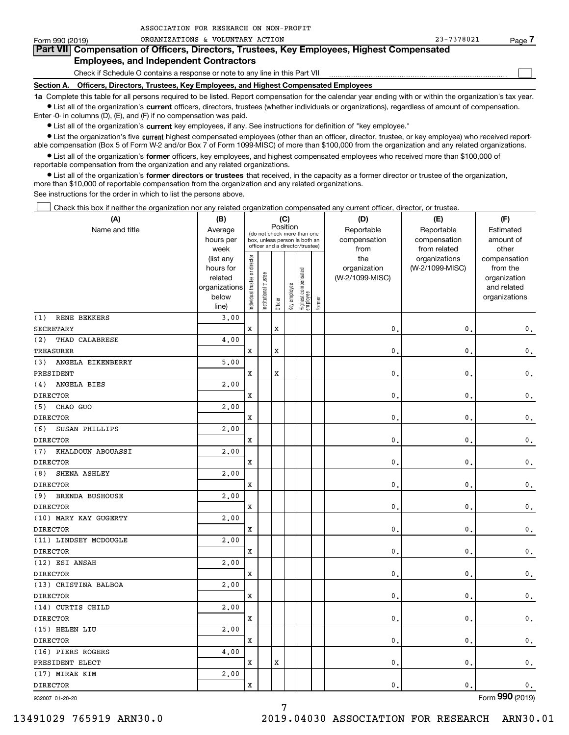| Form 990 (2019) | ORGANIZATIONS & VOLUNTARY ACTION                                                                                                                           | 23-7378021 | Page. |  |  |  |  |  |  |  |
|-----------------|------------------------------------------------------------------------------------------------------------------------------------------------------------|------------|-------|--|--|--|--|--|--|--|
|                 | Part VII Compensation of Officers, Directors, Trustees, Key Employees, Highest Compensated                                                                 |            |       |  |  |  |  |  |  |  |
|                 | <b>Employees, and Independent Contractors</b>                                                                                                              |            |       |  |  |  |  |  |  |  |
|                 | Check if Schedule O contains a response or note to any line in this Part VII                                                                               |            |       |  |  |  |  |  |  |  |
| Section A.      | Officers, Directors, Trustees, Key Employees, and Highest Compensated Employees                                                                            |            |       |  |  |  |  |  |  |  |
|                 | 1a Complete this table for all persons required to be listed. Report compensation for the calendar year ending with or within the organization's tax year. |            |       |  |  |  |  |  |  |  |

**•** List all of the organization's current officers, directors, trustees (whether individuals or organizations), regardless of amount of compensation. Enter -0- in columns (D), (E), and (F) if no compensation was paid.

 $\bullet$  List all of the organization's  $\,$ current key employees, if any. See instructions for definition of "key employee."

ASSOCIATION FOR RESEARCH ON NON-PROFIT

**•** List the organization's five current highest compensated employees (other than an officer, director, trustee, or key employee) who received reportable compensation (Box 5 of Form W-2 and/or Box 7 of Form 1099-MISC) of more than \$100,000 from the organization and any related organizations.

**•** List all of the organization's former officers, key employees, and highest compensated employees who received more than \$100,000 of reportable compensation from the organization and any related organizations.

**former directors or trustees**  ¥ List all of the organization's that received, in the capacity as a former director or trustee of the organization, more than \$10,000 of reportable compensation from the organization and any related organizations.

See instructions for the order in which to list the persons above.

Check this box if neither the organization nor any related organization compensated any current officer, director, or trustee.  $\mathcal{L}^{\text{max}}$ 

| (A)                      | (B)                    |                                |                                         |             | (C)          |                                                                  |           | (D)             | (E)                              | (F)                      |
|--------------------------|------------------------|--------------------------------|-----------------------------------------|-------------|--------------|------------------------------------------------------------------|-----------|-----------------|----------------------------------|--------------------------|
| Name and title           | Average                |                                | Position<br>(do not check more than one |             | Reportable   | Reportable                                                       | Estimated |                 |                                  |                          |
|                          | hours per              |                                |                                         |             |              | box, unless person is both an<br>officer and a director/trustee) |           | compensation    | compensation                     | amount of                |
|                          | week                   |                                |                                         |             |              |                                                                  |           | from<br>the     | from related                     | other                    |
|                          | (list any<br>hours for |                                |                                         |             |              |                                                                  |           | organization    | organizations<br>(W-2/1099-MISC) | compensation<br>from the |
|                          | related                |                                |                                         |             |              |                                                                  |           | (W-2/1099-MISC) |                                  | organization             |
|                          | organizations          |                                |                                         |             |              |                                                                  |           |                 |                                  | and related              |
|                          | below                  | Individual trustee or director | Institutional trustee                   |             | Key employee | Highest compensated<br>employee                                  |           |                 |                                  | organizations            |
|                          | line)                  |                                |                                         | Officer     |              |                                                                  | Former    |                 |                                  |                          |
| RENE BEKKERS<br>(1)      | 3.00                   |                                |                                         |             |              |                                                                  |           |                 |                                  |                          |
| <b>SECRETARY</b>         |                        | X                              |                                         | $\mathbf x$ |              |                                                                  |           | $\mathbf{0}$    | $\mathbf{0}$                     | $\mathbf 0$ .            |
| (2)<br>THAD CALABRESE    | 4.00                   |                                |                                         |             |              |                                                                  |           |                 |                                  |                          |
| <b>TREASURER</b>         |                        | X                              |                                         | X           |              |                                                                  |           | $\mathbf{0}$    | $\mathbf 0$                      | $\mathsf{0}\,.$          |
| ANGELA EIKENBERRY<br>(3) | 5.00                   |                                |                                         |             |              |                                                                  |           |                 |                                  |                          |
| PRESIDENT                |                        | X                              |                                         | X           |              |                                                                  |           | $\mathbf{0}$    | $\mathbf 0$                      | 0.                       |
| ANGELA BIES<br>(4)       | 2.00                   |                                |                                         |             |              |                                                                  |           |                 |                                  |                          |
| <b>DIRECTOR</b>          |                        | X                              |                                         |             |              |                                                                  |           | $\mathbf{0}$    | $\mathbf 0$                      | $\mathsf{0}\,.$          |
| CHAO GUO<br>(5)          | 2,00                   |                                |                                         |             |              |                                                                  |           |                 |                                  |                          |
| <b>DIRECTOR</b>          |                        | X                              |                                         |             |              |                                                                  |           | $\mathbf{0}$    | $\mathbf{0}$                     | $\mathbf 0$ .            |
| (6)<br>SUSAN PHILLIPS    | 2,00                   |                                |                                         |             |              |                                                                  |           |                 |                                  |                          |
| <b>DIRECTOR</b>          |                        | X                              |                                         |             |              |                                                                  |           | $\mathbf{0}$    | $\mathbf 0$                      | $\mathsf{0}\,.$          |
| (7)<br>KHALDOUN ABOUASSI | 2,00                   |                                |                                         |             |              |                                                                  |           |                 |                                  |                          |
| <b>DIRECTOR</b>          |                        | X                              |                                         |             |              |                                                                  |           | $\mathbf{0}$    | $\mathbf 0$                      | 0.                       |
| (8)<br>SHENA ASHLEY      | 2,00                   |                                |                                         |             |              |                                                                  |           |                 |                                  |                          |
| <b>DIRECTOR</b>          |                        | X                              |                                         |             |              |                                                                  |           | $\mathbf{0}$    | $\mathbf 0$                      | $\mathsf{0}\,.$          |
| (9)<br>BRENDA BUSHOUSE   | 2,00                   |                                |                                         |             |              |                                                                  |           |                 |                                  |                          |
| <b>DIRECTOR</b>          |                        | X                              |                                         |             |              |                                                                  |           | $\mathbf{0}$    | $\mathbf{0}$                     | $\mathbf 0$ .            |
| (10) MARY KAY GUGERTY    | 2.00                   |                                |                                         |             |              |                                                                  |           |                 |                                  |                          |
| <b>DIRECTOR</b>          |                        | X                              |                                         |             |              |                                                                  |           | 0               | $\mathbf 0$                      | $\mathbf 0$ .            |
| (11) LINDSEY MCDOUGLE    | 2,00                   |                                |                                         |             |              |                                                                  |           |                 |                                  |                          |
| <b>DIRECTOR</b>          |                        | X                              |                                         |             |              |                                                                  |           | $\mathbf{0}$    | $\mathbf 0$                      | $\mathbf 0$ .            |
| (12) ESI ANSAH           | 2,00                   |                                |                                         |             |              |                                                                  |           |                 |                                  |                          |
| <b>DIRECTOR</b>          |                        | X                              |                                         |             |              |                                                                  |           | $\mathbf 0$     | $\pmb{0}$                        | $\mathbf 0$ .            |
| (13) CRISTINA BALBOA     | 2,00                   |                                |                                         |             |              |                                                                  |           |                 |                                  |                          |
| <b>DIRECTOR</b>          |                        | $\mathbf x$                    |                                         |             |              |                                                                  |           | $\mathbf 0$     | $\mathbf{0}$                     | $\mathbf 0$ .            |
| (14) CURTIS CHILD        | 2.00                   |                                |                                         |             |              |                                                                  |           |                 |                                  |                          |
| <b>DIRECTOR</b>          |                        | X                              |                                         |             |              |                                                                  |           | 0               | $\pmb{0}$                        | $\mathbf 0$ .            |
| (15) HELEN LIU           | 2,00                   |                                |                                         |             |              |                                                                  |           |                 |                                  |                          |
| <b>DIRECTOR</b>          |                        | X                              |                                         |             |              |                                                                  |           | $\mathbf 0$     | $\mathbf{0}$                     | $\mathbf 0$ .            |
| (16) PIERS ROGERS        | 4,00                   |                                |                                         |             |              |                                                                  |           |                 |                                  |                          |
| PRESIDENT ELECT          |                        | X                              |                                         | $\mathbf x$ |              |                                                                  |           | $\mathbf 0$     | $\mathbf{0}$                     | 0.                       |
| (17) MIRAE KIM           | 2,00                   |                                |                                         |             |              |                                                                  |           |                 |                                  |                          |
| <b>DIRECTOR</b>          |                        | x                              |                                         |             |              |                                                                  |           | $\mathbf{0}$ .  | $\mathbf 0$                      | $\mathbf 0$ .            |
|                          |                        |                                |                                         |             |              |                                                                  |           |                 |                                  |                          |

932007 01-20-20

Form (2019) **990**

7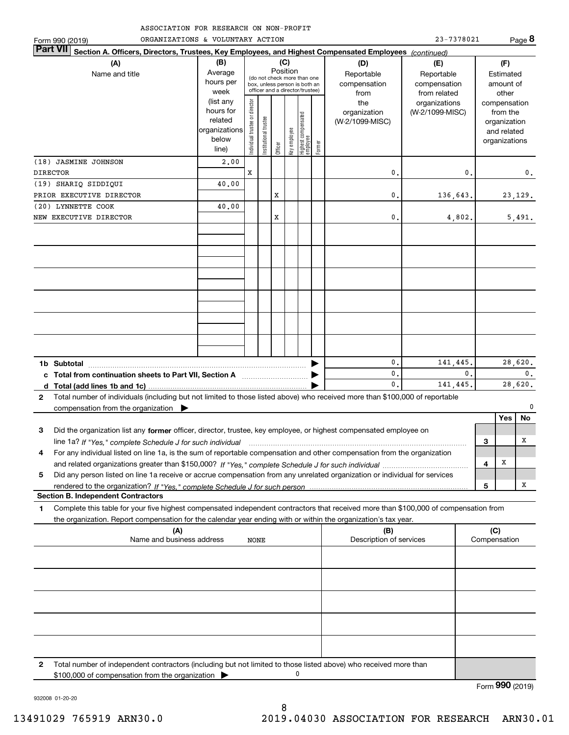| ASSOCIATION FOR RESEARCH ON NON-PROFIT |  |
|----------------------------------------|--|
|----------------------------------------|--|

| ORGANIZATIONS & VOLUNTARY ACTION<br>Form 990 (2019)                                                                                          |                                                                      |                                |                       |         |                 |                                                                                                 |        |                                           | 23-7378021                                        |              |                                         | Page 8                        |
|----------------------------------------------------------------------------------------------------------------------------------------------|----------------------------------------------------------------------|--------------------------------|-----------------------|---------|-----------------|-------------------------------------------------------------------------------------------------|--------|-------------------------------------------|---------------------------------------------------|--------------|-----------------------------------------|-------------------------------|
| <b>Part VII</b><br>Section A. Officers, Directors, Trustees, Key Employees, and Highest Compensated Employees (continued)                    |                                                                      |                                |                       |         |                 |                                                                                                 |        |                                           |                                                   |              |                                         |                               |
| (A)<br>Name and title                                                                                                                        | (B)<br>Average<br>hours per<br>week                                  |                                |                       |         | (C)<br>Position | (do not check more than one<br>box, unless person is both an<br>officer and a director/trustee) |        | (D)<br>Reportable<br>compensation<br>from | (E)<br>Reportable<br>compensation<br>from related |              | (F)<br>Estimated<br>amount of<br>other  |                               |
|                                                                                                                                              | (list any<br>hours for<br>related<br>organizations<br>below<br>line) | Individual trustee or director | Institutional trustee | Officer | Key employee    | Highest compensated<br>employee                                                                 | Former | the<br>organization<br>(W-2/1099-MISC)    | organizations<br>(W-2/1099-MISC)                  |              | from the<br>organization<br>and related | compensation<br>organizations |
| (18) JASMINE JOHNSON<br><b>DIRECTOR</b>                                                                                                      | 2,00                                                                 | X                              |                       |         |                 |                                                                                                 |        | 0.                                        |                                                   | 0.           |                                         | 0.                            |
| (19) SHARIQ SIDDIQUI                                                                                                                         | 40.00                                                                |                                |                       |         |                 |                                                                                                 |        |                                           |                                                   |              |                                         |                               |
| PRIOR EXECUTIVE DIRECTOR                                                                                                                     |                                                                      |                                |                       | x       |                 |                                                                                                 |        | 0.                                        | 136,643.                                          |              |                                         | 23, 129.                      |
| (20) LYNNETTE COOK                                                                                                                           | 40.00                                                                |                                |                       |         |                 |                                                                                                 |        |                                           |                                                   |              |                                         |                               |
| NEW EXECUTIVE DIRECTOR                                                                                                                       |                                                                      |                                |                       | x       |                 |                                                                                                 |        | 0.                                        | 4,802.                                            |              |                                         | 5,491.                        |
|                                                                                                                                              |                                                                      |                                |                       |         |                 |                                                                                                 |        |                                           |                                                   |              |                                         |                               |
|                                                                                                                                              |                                                                      |                                |                       |         |                 |                                                                                                 |        |                                           |                                                   |              |                                         |                               |
|                                                                                                                                              |                                                                      |                                |                       |         |                 |                                                                                                 |        |                                           |                                                   |              |                                         |                               |
|                                                                                                                                              |                                                                      |                                |                       |         |                 |                                                                                                 |        |                                           |                                                   |              |                                         |                               |
|                                                                                                                                              |                                                                      |                                |                       |         |                 |                                                                                                 |        |                                           |                                                   |              |                                         |                               |
|                                                                                                                                              |                                                                      |                                |                       |         |                 |                                                                                                 |        |                                           |                                                   |              |                                         |                               |
| 1b Subtotal                                                                                                                                  |                                                                      |                                |                       |         |                 |                                                                                                 |        | 0.                                        | 141,445.                                          |              |                                         | 28,620.                       |
| c Total from continuation sheets to Part VII, Section A <b>Constanting the Continuum</b>                                                     |                                                                      |                                |                       |         |                 |                                                                                                 |        | 0.                                        |                                                   | 0.           |                                         | $\mathbf{0}$ .                |
|                                                                                                                                              |                                                                      |                                |                       |         |                 |                                                                                                 |        | $\mathbf{0}$ .                            | 141,445.                                          |              |                                         | 28,620.                       |
| Total number of individuals (including but not limited to those listed above) who received more than \$100,000 of reportable<br>$\mathbf{2}$ |                                                                      |                                |                       |         |                 |                                                                                                 |        |                                           |                                                   |              |                                         | 0                             |
| compensation from the organization $\blacktriangleright$                                                                                     |                                                                      |                                |                       |         |                 |                                                                                                 |        |                                           |                                                   |              | Yes                                     | No                            |
| Did the organization list any former officer, director, trustee, key employee, or highest compensated employee on<br>3                       |                                                                      |                                |                       |         |                 |                                                                                                 |        |                                           |                                                   |              |                                         |                               |
|                                                                                                                                              |                                                                      |                                |                       |         |                 |                                                                                                 |        |                                           |                                                   | 3            |                                         | x                             |
| For any individual listed on line 1a, is the sum of reportable compensation and other compensation from the organization<br>4                |                                                                      |                                |                       |         |                 |                                                                                                 |        |                                           |                                                   |              |                                         |                               |
|                                                                                                                                              |                                                                      |                                |                       |         |                 |                                                                                                 |        |                                           |                                                   | 4            | Х                                       |                               |
| Did any person listed on line 1a receive or accrue compensation from any unrelated organization or individual for services<br>5              |                                                                      |                                |                       |         |                 |                                                                                                 |        |                                           |                                                   |              |                                         | x                             |
| <b>Section B. Independent Contractors</b>                                                                                                    |                                                                      |                                |                       |         |                 |                                                                                                 |        |                                           |                                                   | 5            |                                         |                               |
| Complete this table for your five highest compensated independent contractors that received more than \$100,000 of compensation from<br>1    |                                                                      |                                |                       |         |                 |                                                                                                 |        |                                           |                                                   |              |                                         |                               |
| the organization. Report compensation for the calendar year ending with or within the organization's tax year.                               |                                                                      |                                |                       |         |                 |                                                                                                 |        |                                           |                                                   |              |                                         |                               |
| (A)<br>Name and business address                                                                                                             |                                                                      | NONE                           |                       |         |                 |                                                                                                 |        | (B)<br>Description of services            |                                                   | Compensation | (C)                                     |                               |
|                                                                                                                                              |                                                                      |                                |                       |         |                 |                                                                                                 |        |                                           |                                                   |              |                                         |                               |
|                                                                                                                                              |                                                                      |                                |                       |         |                 |                                                                                                 |        |                                           |                                                   |              |                                         |                               |
|                                                                                                                                              |                                                                      |                                |                       |         |                 |                                                                                                 |        |                                           |                                                   |              |                                         |                               |

Total number of independent contractors (including but not limited to those listed above) who received more than

 $\pmb{0}$ 

\$100,000 of compensation from the organization  $\blacktriangleright$ 

932008 01-20-20

**2**

Form (2019) **990**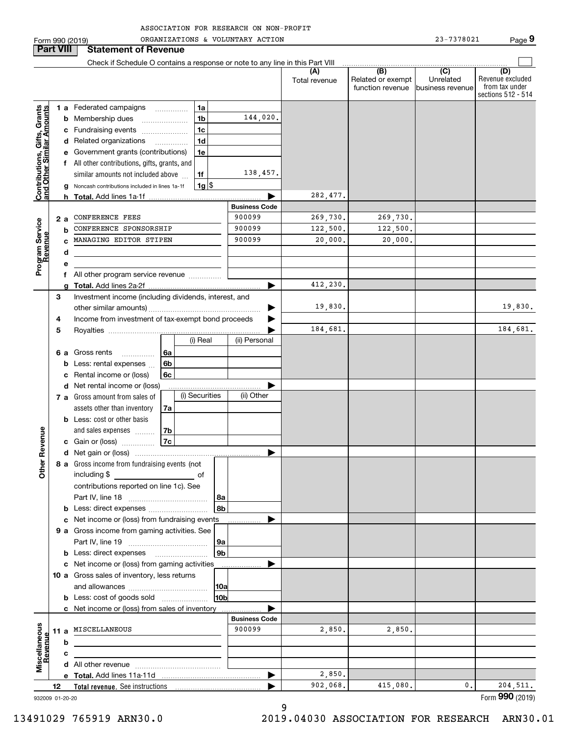|                                                           |                  | ORGANIZATIONS & VOLUNTARY ACTION<br>Form 990 (2019)                           |                      |                      |                                                           | 23-7378021                                       | Page 9                                                          |
|-----------------------------------------------------------|------------------|-------------------------------------------------------------------------------|----------------------|----------------------|-----------------------------------------------------------|--------------------------------------------------|-----------------------------------------------------------------|
|                                                           | <b>Part VIII</b> | <b>Statement of Revenue</b>                                                   |                      |                      |                                                           |                                                  |                                                                 |
|                                                           |                  | Check if Schedule O contains a response or note to any line in this Part VIII |                      |                      |                                                           |                                                  |                                                                 |
|                                                           |                  |                                                                               |                      | (A)<br>Total revenue | $\overline{(B)}$<br>Related or exempt<br>function revenue | $\overline{C}$<br>Unrelated<br>Ibusiness revenue | (D)<br>Revenue excluded<br>from tax under<br>sections 512 - 514 |
|                                                           |                  | 1a<br>1 a Federated campaigns                                                 |                      |                      |                                                           |                                                  |                                                                 |
|                                                           | b                | 1 <sub>b</sub><br>Membership dues                                             | 144,020.             |                      |                                                           |                                                  |                                                                 |
|                                                           |                  | 1 <sub>c</sub><br>Fundraising events<br>c                                     |                      |                      |                                                           |                                                  |                                                                 |
|                                                           |                  | 1 <sub>d</sub><br>d Related organizations<br>$\overline{\phantom{a}}$         |                      |                      |                                                           |                                                  |                                                                 |
|                                                           |                  | 1e<br>Government grants (contributions)                                       |                      |                      |                                                           |                                                  |                                                                 |
|                                                           |                  | f All other contributions, gifts, grants, and                                 |                      |                      |                                                           |                                                  |                                                                 |
|                                                           |                  | similar amounts not included above<br>1f                                      | 138,457.             |                      |                                                           |                                                  |                                                                 |
| Contributions, Gifts, Grants<br>and Other Similar Amounts |                  | $1g$ \$<br>Noncash contributions included in lines 1a-1f                      |                      |                      |                                                           |                                                  |                                                                 |
|                                                           |                  |                                                                               | <b>Business Code</b> | 282,477.             |                                                           |                                                  |                                                                 |
|                                                           |                  | CONFERENCE FEES                                                               | 900099               | 269,730.             | 269,730.                                                  |                                                  |                                                                 |
|                                                           | 2 a<br>h         | CONFERENCE SPONSORSHIP                                                        | 900099               | 122,500.             | 122,500.                                                  |                                                  |                                                                 |
|                                                           |                  | MANAGING EDITOR STIPEN                                                        | 900099               | 20,000.              | 20,000.                                                   |                                                  |                                                                 |
| Program Service<br>Revenue                                | d                |                                                                               |                      |                      |                                                           |                                                  |                                                                 |
|                                                           | е                |                                                                               |                      |                      |                                                           |                                                  |                                                                 |
|                                                           |                  | All other program service revenue                                             |                      |                      |                                                           |                                                  |                                                                 |
|                                                           | a                |                                                                               |                      | 412,230.             |                                                           |                                                  |                                                                 |
|                                                           | 3                | Investment income (including dividends, interest, and                         |                      |                      |                                                           |                                                  |                                                                 |
|                                                           |                  |                                                                               |                      | 19,830.              |                                                           |                                                  | 19,830.                                                         |
|                                                           | 4                | Income from investment of tax-exempt bond proceeds                            |                      |                      |                                                           |                                                  |                                                                 |
|                                                           | 5                | (i) Real                                                                      | (ii) Personal        | 184,681.             |                                                           |                                                  | 184,681.                                                        |
|                                                           |                  |                                                                               |                      |                      |                                                           |                                                  |                                                                 |
|                                                           | 6а<br>b          | Gross rents<br>l 6a<br>.<br>6b<br>Less: rental expenses                       |                      |                      |                                                           |                                                  |                                                                 |
|                                                           | c                | 6c<br>Rental income or (loss)                                                 |                      |                      |                                                           |                                                  |                                                                 |
|                                                           |                  | Net rental income or (loss)<br>d                                              |                      |                      |                                                           |                                                  |                                                                 |
|                                                           |                  | (i) Securities<br>7 a Gross amount from sales of                              | (ii) Other           |                      |                                                           |                                                  |                                                                 |
|                                                           |                  | assets other than inventory<br>7a                                             |                      |                      |                                                           |                                                  |                                                                 |
|                                                           |                  | <b>b</b> Less: cost or other basis                                            |                      |                      |                                                           |                                                  |                                                                 |
|                                                           |                  | and sales expenses<br>7b                                                      |                      |                      |                                                           |                                                  |                                                                 |
| venue                                                     |                  | 7c<br>c Gain or (loss)                                                        |                      |                      |                                                           |                                                  |                                                                 |
|                                                           |                  |                                                                               |                      |                      |                                                           |                                                  |                                                                 |
| Other R                                                   |                  | 8 a Gross income from fundraising events (not                                 |                      |                      |                                                           |                                                  |                                                                 |
|                                                           |                  | including \$<br>of                                                            |                      |                      |                                                           |                                                  |                                                                 |
|                                                           |                  | contributions reported on line 1c). See<br>8a                                 |                      |                      |                                                           |                                                  |                                                                 |
|                                                           | b                | 8b<br>Less: direct expenses                                                   |                      |                      |                                                           |                                                  |                                                                 |
|                                                           |                  | Net income or (loss) from fundraising events<br>c                             |                      |                      |                                                           |                                                  |                                                                 |
|                                                           |                  | 9 a Gross income from gaming activities. See                                  |                      |                      |                                                           |                                                  |                                                                 |
|                                                           |                  | 9а                                                                            |                      |                      |                                                           |                                                  |                                                                 |
|                                                           |                  | 9 <sub>b</sub>                                                                |                      |                      |                                                           |                                                  |                                                                 |
|                                                           |                  | c Net income or (loss) from gaming activities                                 |                      |                      |                                                           |                                                  |                                                                 |
|                                                           |                  | 10 a Gross sales of inventory, less returns                                   |                      |                      |                                                           |                                                  |                                                                 |
|                                                           |                  | 10a                                                                           |                      |                      |                                                           |                                                  |                                                                 |
|                                                           |                  | 10 <sub>b</sub><br><b>b</b> Less: cost of goods sold                          |                      |                      |                                                           |                                                  |                                                                 |
|                                                           |                  | c Net income or (loss) from sales of inventory                                | <b>Business Code</b> |                      |                                                           |                                                  |                                                                 |
|                                                           |                  | 11 a MISCELLANEOUS                                                            | 900099               | 2,850.               | 2,850.                                                    |                                                  |                                                                 |
|                                                           | b                |                                                                               |                      |                      |                                                           |                                                  |                                                                 |
| Revenue                                                   | c                |                                                                               |                      |                      |                                                           |                                                  |                                                                 |
| Miscellaneous                                             |                  |                                                                               |                      |                      |                                                           |                                                  |                                                                 |
|                                                           |                  |                                                                               | ▶                    | 2,850.               |                                                           |                                                  |                                                                 |
|                                                           | 12               |                                                                               |                      | 902,068.             | 415,080.                                                  | 0.                                               | 204,511.                                                        |
|                                                           | 932009 01-20-20  |                                                                               |                      |                      |                                                           |                                                  | Form 990 (2019)                                                 |

9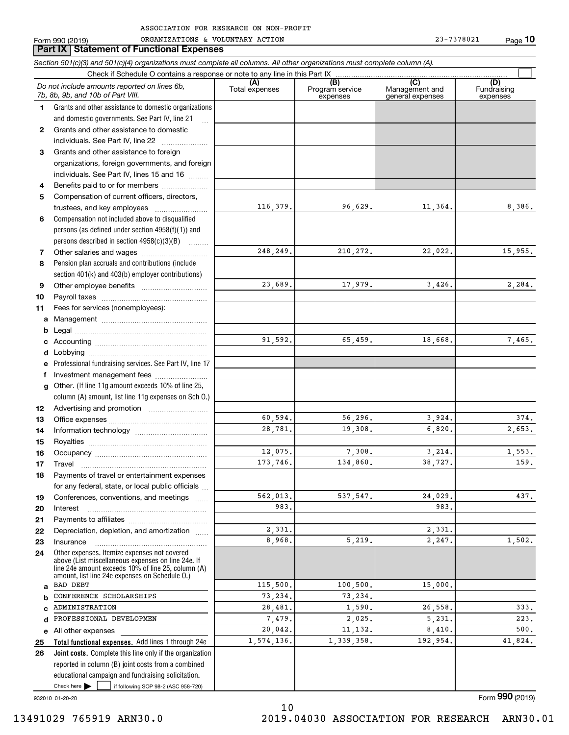**Part IX Statement of Functional Expenses**

|          | Section 501(c)(3) and 501(c)(4) organizations must complete all columns. All other organizations must complete column (A).                                 |                       |                                    |                                           |                                |
|----------|------------------------------------------------------------------------------------------------------------------------------------------------------------|-----------------------|------------------------------------|-------------------------------------------|--------------------------------|
|          | Check if Schedule O contains a response or note to any line in this Part IX                                                                                |                       |                                    |                                           |                                |
|          | Do not include amounts reported on lines 6b,<br>7b, 8b, 9b, and 10b of Part VIII.                                                                          | (A)<br>Total expenses | (B)<br>Program service<br>expenses | (C)<br>Management and<br>general expenses | (D)<br>Fundraising<br>expenses |
| 1        | Grants and other assistance to domestic organizations                                                                                                      |                       |                                    |                                           |                                |
|          | and domestic governments. See Part IV, line 21                                                                                                             |                       |                                    |                                           |                                |
| 2        | Grants and other assistance to domestic                                                                                                                    |                       |                                    |                                           |                                |
|          | individuals. See Part IV, line 22<br>$\overline{\phantom{a}}$                                                                                              |                       |                                    |                                           |                                |
| 3        | Grants and other assistance to foreign                                                                                                                     |                       |                                    |                                           |                                |
|          | organizations, foreign governments, and foreign                                                                                                            |                       |                                    |                                           |                                |
|          | individuals. See Part IV, lines 15 and 16                                                                                                                  |                       |                                    |                                           |                                |
| 4        | Benefits paid to or for members                                                                                                                            |                       |                                    |                                           |                                |
| 5        | Compensation of current officers, directors,                                                                                                               |                       |                                    |                                           |                                |
|          |                                                                                                                                                            | 116,379.              | 96,629.                            | 11,364.                                   | 8,386.                         |
| 6        | Compensation not included above to disqualified                                                                                                            |                       |                                    |                                           |                                |
|          | persons (as defined under section 4958(f)(1)) and                                                                                                          |                       |                                    |                                           |                                |
|          | persons described in section 4958(c)(3)(B)                                                                                                                 |                       |                                    |                                           |                                |
| 7        |                                                                                                                                                            | 248, 249.             | 210, 272.                          | 22,022.                                   | 15,955.                        |
| 8        | Pension plan accruals and contributions (include                                                                                                           |                       |                                    |                                           |                                |
|          | section 401(k) and 403(b) employer contributions)                                                                                                          |                       |                                    |                                           |                                |
| 9        |                                                                                                                                                            | 23,689.               | 17,979.                            | 3,426.                                    | 2,284.                         |
| 10       |                                                                                                                                                            |                       |                                    |                                           |                                |
| 11       | Fees for services (nonemployees):                                                                                                                          |                       |                                    |                                           |                                |
| a        |                                                                                                                                                            |                       |                                    |                                           |                                |
| b        |                                                                                                                                                            |                       |                                    |                                           |                                |
|          |                                                                                                                                                            | 91,592.               | 65,459.                            | 18,668.                                   | 7,465.                         |
| d        |                                                                                                                                                            |                       |                                    |                                           |                                |
| е        | Professional fundraising services. See Part IV, line 17                                                                                                    |                       |                                    |                                           |                                |
| f        | Investment management fees                                                                                                                                 |                       |                                    |                                           |                                |
| g        | Other. (If line 11g amount exceeds 10% of line 25,                                                                                                         |                       |                                    |                                           |                                |
|          | column (A) amount, list line 11g expenses on Sch O.)                                                                                                       |                       |                                    |                                           |                                |
| 12       |                                                                                                                                                            |                       |                                    |                                           |                                |
| 13       |                                                                                                                                                            | 60,594.               | 56,296.                            | 3,924.                                    | 374.                           |
| 14       |                                                                                                                                                            | 28,781.               | 19,308.                            | 6,820.                                    | 2,653.                         |
| 15       |                                                                                                                                                            |                       |                                    |                                           |                                |
| 16       |                                                                                                                                                            | 12,075.               | 7,308.                             | 3,214.                                    | 1,553.                         |
| 17       |                                                                                                                                                            | 173,746.              | 134,860.                           | 38,727.                                   | 159.                           |
| 18       | Payments of travel or entertainment expenses                                                                                                               |                       |                                    |                                           |                                |
|          | for any federal, state, or local public officials                                                                                                          |                       |                                    |                                           |                                |
| 19       | Conferences, conventions, and meetings                                                                                                                     | 562,013.<br>983.      | 537,547.                           | 24,029.<br>983.                           | 437.                           |
| 20       | Interest                                                                                                                                                   |                       |                                    |                                           |                                |
| 21<br>22 | Depreciation, depletion, and amortization                                                                                                                  | 2,331.                |                                    | 2,331.                                    |                                |
| 23       | Insurance                                                                                                                                                  | 8,968.                | 5,219.                             | 2,247.                                    | 1,502.                         |
| 24       | Other expenses. Itemize expenses not covered                                                                                                               |                       |                                    |                                           |                                |
|          | above (List miscellaneous expenses on line 24e. If<br>line 24e amount exceeds 10% of line 25, column (A)<br>amount. list line 24e expenses on Schedule O.) |                       |                                    |                                           |                                |
| a        | <b>BAD DEBT</b>                                                                                                                                            | 115,500.              | 100,500.                           | 15,000.                                   |                                |
|          | CONFERENCE SCHOLARSHIPS                                                                                                                                    | 73,234.               | 73,234.                            |                                           |                                |
| C        | ADMINISTRATION                                                                                                                                             | 28,481.               | 1,590.                             | 26,558.                                   | 333.                           |
| d        | PROFESSIONAL DEVELOPMEN                                                                                                                                    | 7,479.                | 2,025.                             | 5,231.                                    | 223.                           |
|          | e All other expenses                                                                                                                                       | 20,042.               | 11,132.                            | 8,410.                                    | 500.                           |
| 25       | Total functional expenses. Add lines 1 through 24e                                                                                                         | 1,574,136.            | 1,339,358.                         | 192,954.                                  | 41,824.                        |
| 26       | Joint costs. Complete this line only if the organization                                                                                                   |                       |                                    |                                           |                                |
|          | reported in column (B) joint costs from a combined                                                                                                         |                       |                                    |                                           |                                |
|          | educational campaign and fundraising solicitation.                                                                                                         |                       |                                    |                                           |                                |
|          | Check here $\blacktriangleright$<br>if following SOP 98-2 (ASC 958-720)                                                                                    |                       |                                    |                                           |                                |

932010 01-20-20

10 13491029 765919 ARN30.0 2019.04030 ASSOCIATION FOR RESEARCH ARN30.01

Form (2019) **990**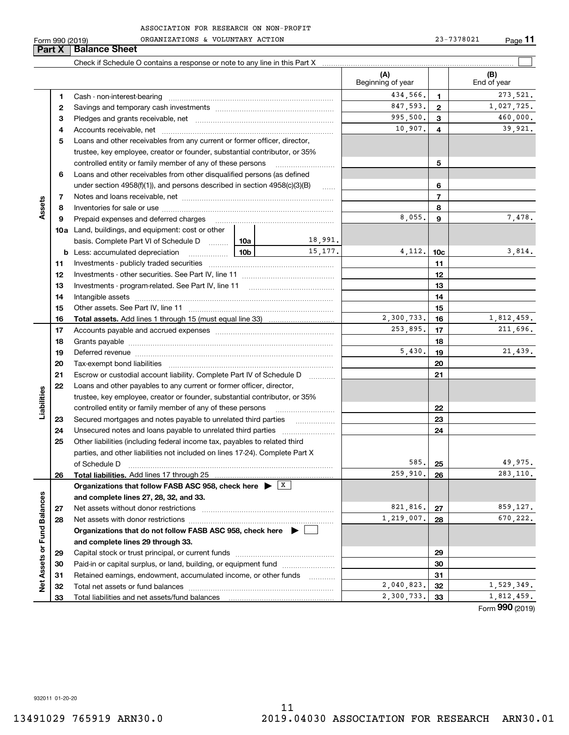| ASSOCIATION FOR RESEARCH ON NON-PROFIT |  |  |
|----------------------------------------|--|--|
|                                        |  |  |

|                             | Form 990 (2019) | ORGANIZATIONS & VOLUNTARY ACTION                                                                                                                                                                                              |                 | 23-7378021<br>$Page$ 11 |                          |                |            |                    |
|-----------------------------|-----------------|-------------------------------------------------------------------------------------------------------------------------------------------------------------------------------------------------------------------------------|-----------------|-------------------------|--------------------------|----------------|------------|--------------------|
|                             | Part X          | <b>Balance Sheet</b>                                                                                                                                                                                                          |                 |                         |                          |                |            |                    |
|                             |                 |                                                                                                                                                                                                                               |                 |                         |                          |                |            |                    |
|                             |                 |                                                                                                                                                                                                                               |                 |                         | (A)<br>Beginning of year |                |            | (B)<br>End of year |
|                             | 1               |                                                                                                                                                                                                                               | 434,566.        | 1                       |                          | 273,521.       |            |                    |
|                             | 2               |                                                                                                                                                                                                                               | 847,593.        | $\mathbf{2}$            |                          | 1,027,725.     |            |                    |
|                             | 3               |                                                                                                                                                                                                                               | 995,500.        | 3                       |                          | 460,000.       |            |                    |
|                             | 4               |                                                                                                                                                                                                                               |                 | 10,907.                 | 4                        |                | 39,921.    |                    |
|                             | 5               | Loans and other receivables from any current or former officer, director,                                                                                                                                                     |                 |                         |                          |                |            |                    |
|                             |                 | trustee, key employee, creator or founder, substantial contributor, or 35%                                                                                                                                                    |                 |                         |                          |                |            |                    |
|                             |                 | controlled entity or family member of any of these persons                                                                                                                                                                    |                 |                         |                          | 5              |            |                    |
|                             | 6               | Loans and other receivables from other disqualified persons (as defined                                                                                                                                                       |                 |                         |                          |                |            |                    |
|                             |                 | under section $4958(f)(1)$ , and persons described in section $4958(c)(3)(B)$                                                                                                                                                 |                 |                         |                          | 6              |            |                    |
|                             | 7               |                                                                                                                                                                                                                               |                 |                         |                          | $\overline{7}$ |            |                    |
| Assets                      | 8               |                                                                                                                                                                                                                               |                 |                         |                          | 8              |            |                    |
|                             | 9               | Prepaid expenses and deferred charges [11] [11] Prepaid expenses and deferred charges [11] [11] Martin Martin Martin Martin Martin Martin Martin Martin Martin Martin Martin Martin Martin Martin Martin Martin Martin Martin |                 |                         | 8,055.                   | 9              |            | 7,478.             |
|                             |                 | <b>10a</b> Land, buildings, and equipment: cost or other                                                                                                                                                                      |                 |                         |                          |                |            |                    |
|                             |                 | basis. Complete Part VI of Schedule D  10a                                                                                                                                                                                    |                 | 18,991.                 |                          |                |            |                    |
|                             |                 |                                                                                                                                                                                                                               | 10 <sub>b</sub> | 15,177.                 | 4,112.                   | 10c            |            | 3,814.             |
|                             | 11              |                                                                                                                                                                                                                               |                 |                         | 11                       |                |            |                    |
|                             | 12              |                                                                                                                                                                                                                               |                 |                         | 12                       |                |            |                    |
|                             | 13              |                                                                                                                                                                                                                               |                 |                         |                          | 13             |            |                    |
|                             | 14              |                                                                                                                                                                                                                               |                 |                         |                          | 14             |            |                    |
|                             | 15              |                                                                                                                                                                                                                               |                 | 2,300,733.              | 15                       |                | 1,812,459. |                    |
|                             | 16              |                                                                                                                                                                                                                               |                 |                         | 253,895.                 | 16<br>17       |            | 211,696.           |
|                             | 17<br>18        |                                                                                                                                                                                                                               |                 |                         | 18                       |                |            |                    |
|                             | 19              |                                                                                                                                                                                                                               |                 | 5,430.                  | 19                       |                | 21,439.    |                    |
|                             | 20              |                                                                                                                                                                                                                               |                 |                         |                          | 20             |            |                    |
|                             | 21              | Escrow or custodial account liability. Complete Part IV of Schedule D                                                                                                                                                         |                 |                         |                          | 21             |            |                    |
|                             | 22              | Loans and other payables to any current or former officer, director,                                                                                                                                                          |                 |                         |                          |                |            |                    |
| Liabilities                 |                 | trustee, key employee, creator or founder, substantial contributor, or 35%                                                                                                                                                    |                 |                         |                          |                |            |                    |
|                             |                 | controlled entity or family member of any of these persons                                                                                                                                                                    |                 |                         |                          | 22             |            |                    |
|                             | 23              | Secured mortgages and notes payable to unrelated third parties                                                                                                                                                                |                 |                         |                          | 23             |            |                    |
|                             | 24              |                                                                                                                                                                                                                               |                 |                         |                          | 24             |            |                    |
|                             | 25              | Other liabilities (including federal income tax, payables to related third                                                                                                                                                    |                 |                         |                          |                |            |                    |
|                             |                 | parties, and other liabilities not included on lines 17-24). Complete Part X                                                                                                                                                  |                 |                         |                          |                |            |                    |
|                             |                 | of Schedule D                                                                                                                                                                                                                 |                 |                         | 585.                     | 25             |            | 49,975.            |
|                             | 26              | Total liabilities. Add lines 17 through 25                                                                                                                                                                                    |                 |                         | 259,910.                 | 26             |            | 283,110.           |
|                             |                 | Organizations that follow FASB ASC 958, check here $\triangleright$ $\frac{X}{X}$                                                                                                                                             |                 |                         |                          |                |            |                    |
|                             |                 | and complete lines 27, 28, 32, and 33.                                                                                                                                                                                        |                 |                         |                          |                |            |                    |
|                             | 27              | Net assets without donor restrictions                                                                                                                                                                                         |                 |                         | 821,816.                 | 27             |            | 859,127.           |
|                             | 28              |                                                                                                                                                                                                                               |                 |                         | 1,219,007.               | 28             |            | 670,222.           |
|                             |                 | Organizations that do not follow FASB ASC 958, check here $\blacktriangleright$                                                                                                                                               |                 |                         |                          |                |            |                    |
| Net Assets or Fund Balances |                 | and complete lines 29 through 33.                                                                                                                                                                                             |                 |                         |                          |                |            |                    |
|                             | 29              |                                                                                                                                                                                                                               |                 |                         |                          | 29             |            |                    |
|                             | 30              | Paid-in or capital surplus, or land, building, or equipment fund                                                                                                                                                              |                 |                         |                          | 30             |            |                    |
|                             | 31              | Retained earnings, endowment, accumulated income, or other funds                                                                                                                                                              |                 |                         |                          | 31             |            |                    |
|                             | 32              |                                                                                                                                                                                                                               |                 |                         | 2,040,823.               | 32             |            | 1,529,349.         |
|                             | 33              |                                                                                                                                                                                                                               |                 |                         | 2,300,733.               | 33             |            | 1,812,459.         |

Form (2019) **990**

932011 01-20-20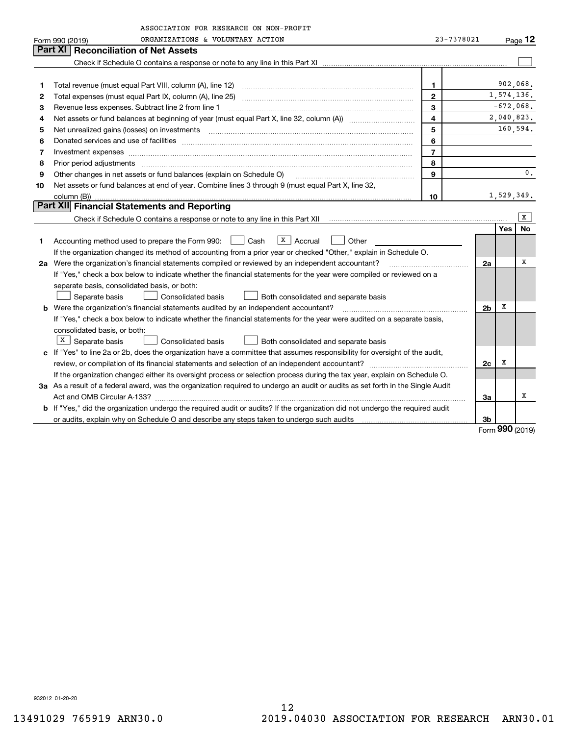|    | ASSOCIATION FOR RESEARCH ON NON-PROFIT                                                                                                                                                                                         |                |                |            |           |  |  |  |
|----|--------------------------------------------------------------------------------------------------------------------------------------------------------------------------------------------------------------------------------|----------------|----------------|------------|-----------|--|--|--|
|    | ORGANIZATIONS & VOLUNTARY ACTION<br>Form 990 (2019)                                                                                                                                                                            | 23-7378021     |                |            | Page $12$ |  |  |  |
|    | Part XI<br><b>Reconciliation of Net Assets</b>                                                                                                                                                                                 |                |                |            |           |  |  |  |
|    |                                                                                                                                                                                                                                |                |                |            |           |  |  |  |
|    |                                                                                                                                                                                                                                |                |                |            |           |  |  |  |
| 1  |                                                                                                                                                                                                                                | 1              |                |            | 902,068.  |  |  |  |
| 2  |                                                                                                                                                                                                                                | $\mathbf{2}$   |                | 1,574,136. |           |  |  |  |
| з  | 3<br>Revenue less expenses. Subtract line 2 from line 1                                                                                                                                                                        |                |                |            |           |  |  |  |
| 4  | $\overline{\mathbf{4}}$                                                                                                                                                                                                        |                |                |            |           |  |  |  |
| 5  | Net unrealized gains (losses) on investments [11] matter contracts and the state of the state of the state of the state of the state of the state of the state of the state of the state of the state of the state of the stat | 5              |                |            | 160,594.  |  |  |  |
| 6  |                                                                                                                                                                                                                                | 6              |                |            |           |  |  |  |
| 7  | Investment expenses www.communication.com/www.communication.com/www.communication.com/www.communication.com                                                                                                                    | $\overline{7}$ |                |            |           |  |  |  |
| 8  | Prior period adjustments with an accommodal contract of the contract of the contract of the contract of the contract of the contract of the contract of the contract of the contract of the contract of the contract of the co | 8              |                |            |           |  |  |  |
| 9  | Other changes in net assets or fund balances (explain on Schedule O)                                                                                                                                                           | 9              |                |            | 0.        |  |  |  |
| 10 | Net assets or fund balances at end of year. Combine lines 3 through 9 (must equal Part X, line 32,                                                                                                                             |                |                |            |           |  |  |  |
|    | 10<br>column (B))                                                                                                                                                                                                              |                |                |            |           |  |  |  |
|    | Part XII Financial Statements and Reporting                                                                                                                                                                                    |                |                |            |           |  |  |  |
|    |                                                                                                                                                                                                                                |                |                |            | x         |  |  |  |
|    |                                                                                                                                                                                                                                |                |                | Yes        | <b>No</b> |  |  |  |
| 1  | $\vert X \vert$ Accrual<br>Accounting method used to prepare the Form 990: Cash<br>Other                                                                                                                                       |                |                |            |           |  |  |  |
|    | If the organization changed its method of accounting from a prior year or checked "Other," explain in Schedule O.                                                                                                              |                |                |            |           |  |  |  |
|    | 2a Were the organization's financial statements compiled or reviewed by an independent accountant?                                                                                                                             |                | 2a             |            | x         |  |  |  |
|    | If "Yes," check a box below to indicate whether the financial statements for the year were compiled or reviewed on a                                                                                                           |                |                |            |           |  |  |  |
|    | separate basis, consolidated basis, or both:                                                                                                                                                                                   |                |                |            |           |  |  |  |
|    | Separate basis<br><b>Consolidated basis</b><br>Both consolidated and separate basis                                                                                                                                            |                |                |            |           |  |  |  |
|    | <b>b</b> Were the organization's financial statements audited by an independent accountant?                                                                                                                                    |                | 2 <sub>b</sub> | х          |           |  |  |  |
|    | If "Yes," check a box below to indicate whether the financial statements for the year were audited on a separate basis,                                                                                                        |                |                |            |           |  |  |  |
|    | consolidated basis, or both:                                                                                                                                                                                                   |                |                |            |           |  |  |  |
|    | $X$ Separate basis<br>Consolidated basis<br>Both consolidated and separate basis                                                                                                                                               |                |                |            |           |  |  |  |
|    | c If "Yes" to line 2a or 2b, does the organization have a committee that assumes responsibility for oversight of the audit,                                                                                                    |                |                |            |           |  |  |  |
|    |                                                                                                                                                                                                                                |                | 2c             | х          |           |  |  |  |
|    | If the organization changed either its oversight process or selection process during the tax year, explain on Schedule O.                                                                                                      |                |                |            |           |  |  |  |
|    | 3a As a result of a federal award, was the organization required to undergo an audit or audits as set forth in the Single Audit                                                                                                |                |                |            |           |  |  |  |
|    |                                                                                                                                                                                                                                |                | За             |            | x         |  |  |  |
|    | b If "Yes," did the organization undergo the required audit or audits? If the organization did not undergo the required audit                                                                                                  |                |                |            |           |  |  |  |
|    | or audits, explain why on Schedule O and describe any steps taken to undergo such audits [11] our manuscription why on Schedule O and describe any steps taken to undergo such audits                                          |                | 3b             | מחח        |           |  |  |  |

Form (2019) **990**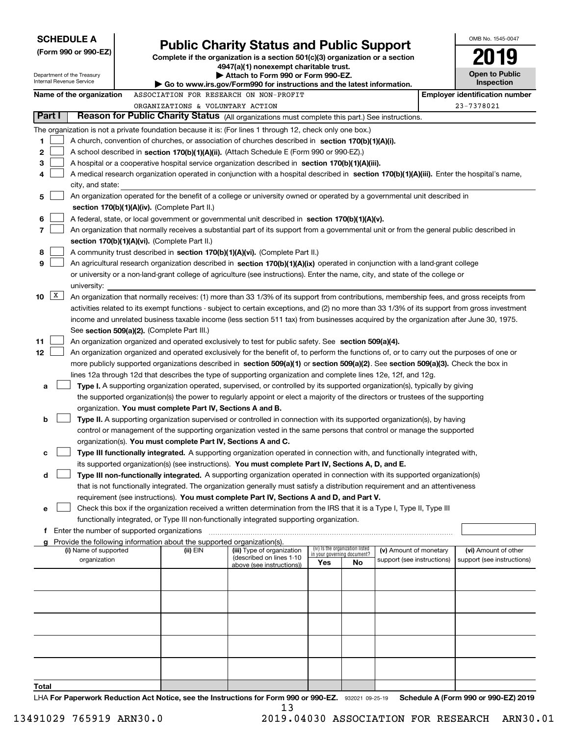| <b>SCHEDULE A</b>                                                                                              |                                                                        |                                                                                                                                                                                                                                                                 |     |                                                                |                            | OMB No. 1545-0047                     |
|----------------------------------------------------------------------------------------------------------------|------------------------------------------------------------------------|-----------------------------------------------------------------------------------------------------------------------------------------------------------------------------------------------------------------------------------------------------------------|-----|----------------------------------------------------------------|----------------------------|---------------------------------------|
| (Form 990 or 990-EZ)                                                                                           |                                                                        | <b>Public Charity Status and Public Support</b>                                                                                                                                                                                                                 |     |                                                                |                            |                                       |
|                                                                                                                |                                                                        | Complete if the organization is a section $501(c)(3)$ organization or a section<br>4947(a)(1) nonexempt charitable trust.                                                                                                                                       |     |                                                                |                            |                                       |
| Department of the Treasury<br>Internal Revenue Service                                                         |                                                                        | Attach to Form 990 or Form 990-EZ.                                                                                                                                                                                                                              |     |                                                                |                            | <b>Open to Public</b>                 |
|                                                                                                                |                                                                        | Go to www.irs.gov/Form990 for instructions and the latest information.                                                                                                                                                                                          |     |                                                                |                            | Inspection                            |
| Name of the organization                                                                                       |                                                                        | ASSOCIATION FOR RESEARCH ON NON-PROFIT                                                                                                                                                                                                                          |     |                                                                |                            | <b>Employer identification number</b> |
| Part I                                                                                                         | ORGANIZATIONS & VOLUNTARY ACTION                                       | Reason for Public Charity Status (All organizations must complete this part.) See instructions.                                                                                                                                                                 |     |                                                                |                            | 23-7378021                            |
|                                                                                                                |                                                                        |                                                                                                                                                                                                                                                                 |     |                                                                |                            |                                       |
| The organization is not a private foundation because it is: (For lines 1 through 12, check only one box.)<br>1 |                                                                        | A church, convention of churches, or association of churches described in section 170(b)(1)(A)(i).                                                                                                                                                              |     |                                                                |                            |                                       |
| 2                                                                                                              |                                                                        | A school described in section 170(b)(1)(A)(ii). (Attach Schedule E (Form 990 or 990-EZ).)                                                                                                                                                                       |     |                                                                |                            |                                       |
| 3                                                                                                              |                                                                        | A hospital or a cooperative hospital service organization described in section 170(b)(1)(A)(iii).                                                                                                                                                               |     |                                                                |                            |                                       |
| 4                                                                                                              |                                                                        | A medical research organization operated in conjunction with a hospital described in section 170(b)(1)(A)(iii). Enter the hospital's name,                                                                                                                      |     |                                                                |                            |                                       |
| city, and state:                                                                                               |                                                                        |                                                                                                                                                                                                                                                                 |     |                                                                |                            |                                       |
| 5                                                                                                              |                                                                        | An organization operated for the benefit of a college or university owned or operated by a governmental unit described in                                                                                                                                       |     |                                                                |                            |                                       |
|                                                                                                                | section $170(b)(1)(A)(iv)$ . (Complete Part II.)                       |                                                                                                                                                                                                                                                                 |     |                                                                |                            |                                       |
| 6                                                                                                              |                                                                        | A federal, state, or local government or governmental unit described in section 170(b)(1)(A)(v).                                                                                                                                                                |     |                                                                |                            |                                       |
| 7                                                                                                              |                                                                        | An organization that normally receives a substantial part of its support from a governmental unit or from the general public described in                                                                                                                       |     |                                                                |                            |                                       |
|                                                                                                                | section 170(b)(1)(A)(vi). (Complete Part II.)                          |                                                                                                                                                                                                                                                                 |     |                                                                |                            |                                       |
| 8<br>9                                                                                                         |                                                                        | A community trust described in section 170(b)(1)(A)(vi). (Complete Part II.)                                                                                                                                                                                    |     |                                                                |                            |                                       |
|                                                                                                                |                                                                        | An agricultural research organization described in section 170(b)(1)(A)(ix) operated in conjunction with a land-grant college<br>or university or a non-land-grant college of agriculture (see instructions). Enter the name, city, and state of the college or |     |                                                                |                            |                                       |
| university:                                                                                                    |                                                                        |                                                                                                                                                                                                                                                                 |     |                                                                |                            |                                       |
| $\mathbf{X}$<br>10                                                                                             |                                                                        | An organization that normally receives: (1) more than 33 1/3% of its support from contributions, membership fees, and gross receipts from                                                                                                                       |     |                                                                |                            |                                       |
|                                                                                                                |                                                                        | activities related to its exempt functions - subject to certain exceptions, and (2) no more than 33 1/3% of its support from gross investment                                                                                                                   |     |                                                                |                            |                                       |
|                                                                                                                |                                                                        | income and unrelated business taxable income (less section 511 tax) from businesses acquired by the organization after June 30, 1975.                                                                                                                           |     |                                                                |                            |                                       |
|                                                                                                                | See section 509(a)(2). (Complete Part III.)                            |                                                                                                                                                                                                                                                                 |     |                                                                |                            |                                       |
| 11                                                                                                             |                                                                        | An organization organized and operated exclusively to test for public safety. See section 509(a)(4).                                                                                                                                                            |     |                                                                |                            |                                       |
| 12                                                                                                             |                                                                        | An organization organized and operated exclusively for the benefit of, to perform the functions of, or to carry out the purposes of one or                                                                                                                      |     |                                                                |                            |                                       |
|                                                                                                                |                                                                        | more publicly supported organizations described in section 509(a)(1) or section 509(a)(2). See section 509(a)(3). Check the box in                                                                                                                              |     |                                                                |                            |                                       |
|                                                                                                                |                                                                        | lines 12a through 12d that describes the type of supporting organization and complete lines 12e, 12f, and 12g.                                                                                                                                                  |     |                                                                |                            |                                       |
| a                                                                                                              |                                                                        | Type I. A supporting organization operated, supervised, or controlled by its supported organization(s), typically by giving<br>the supported organization(s) the power to regularly appoint or elect a majority of the directors or trustees of the supporting  |     |                                                                |                            |                                       |
|                                                                                                                | organization. You must complete Part IV, Sections A and B.             |                                                                                                                                                                                                                                                                 |     |                                                                |                            |                                       |
| b                                                                                                              |                                                                        | Type II. A supporting organization supervised or controlled in connection with its supported organization(s), by having                                                                                                                                         |     |                                                                |                            |                                       |
|                                                                                                                |                                                                        | control or management of the supporting organization vested in the same persons that control or manage the supported                                                                                                                                            |     |                                                                |                            |                                       |
|                                                                                                                | organization(s). You must complete Part IV, Sections A and C.          |                                                                                                                                                                                                                                                                 |     |                                                                |                            |                                       |
| с                                                                                                              |                                                                        | Type III functionally integrated. A supporting organization operated in connection with, and functionally integrated with,                                                                                                                                      |     |                                                                |                            |                                       |
|                                                                                                                |                                                                        | its supported organization(s) (see instructions). You must complete Part IV, Sections A, D, and E.                                                                                                                                                              |     |                                                                |                            |                                       |
| d                                                                                                              |                                                                        | Type III non-functionally integrated. A supporting organization operated in connection with its supported organization(s)                                                                                                                                       |     |                                                                |                            |                                       |
|                                                                                                                |                                                                        | that is not functionally integrated. The organization generally must satisfy a distribution requirement and an attentiveness                                                                                                                                    |     |                                                                |                            |                                       |
|                                                                                                                |                                                                        | requirement (see instructions). You must complete Part IV, Sections A and D, and Part V.<br>Check this box if the organization received a written determination from the IRS that it is a Type I, Type II, Type III                                             |     |                                                                |                            |                                       |
| е                                                                                                              |                                                                        | functionally integrated, or Type III non-functionally integrated supporting organization.                                                                                                                                                                       |     |                                                                |                            |                                       |
| Enter the number of supported organizations<br>f                                                               |                                                                        |                                                                                                                                                                                                                                                                 |     |                                                                |                            |                                       |
| g                                                                                                              | Provide the following information about the supported organization(s). |                                                                                                                                                                                                                                                                 |     |                                                                |                            |                                       |
| (i) Name of supported                                                                                          | (ii) EIN                                                               | (iii) Type of organization<br>(described on lines 1-10                                                                                                                                                                                                          |     | (iv) Is the organization listed<br>in your governing document? | (v) Amount of monetary     | (vi) Amount of other                  |
| organization                                                                                                   |                                                                        | above (see instructions))                                                                                                                                                                                                                                       | Yes | No                                                             | support (see instructions) | support (see instructions)            |
|                                                                                                                |                                                                        |                                                                                                                                                                                                                                                                 |     |                                                                |                            |                                       |
|                                                                                                                |                                                                        |                                                                                                                                                                                                                                                                 |     |                                                                |                            |                                       |
|                                                                                                                |                                                                        |                                                                                                                                                                                                                                                                 |     |                                                                |                            |                                       |
|                                                                                                                |                                                                        |                                                                                                                                                                                                                                                                 |     |                                                                |                            |                                       |
|                                                                                                                |                                                                        |                                                                                                                                                                                                                                                                 |     |                                                                |                            |                                       |
|                                                                                                                |                                                                        |                                                                                                                                                                                                                                                                 |     |                                                                |                            |                                       |
|                                                                                                                |                                                                        |                                                                                                                                                                                                                                                                 |     |                                                                |                            |                                       |
|                                                                                                                |                                                                        |                                                                                                                                                                                                                                                                 |     |                                                                |                            |                                       |
|                                                                                                                |                                                                        |                                                                                                                                                                                                                                                                 |     |                                                                |                            |                                       |
| Total                                                                                                          |                                                                        |                                                                                                                                                                                                                                                                 |     |                                                                |                            |                                       |
|                                                                                                                |                                                                        | UA For Reportuarly Reduction Act Notice, see the Instructions for Form 000 or 000-F7 - 000001-00-05-10                                                                                                                                                          |     |                                                                |                            | Schodule A (Form 000 or 000 F7) 2010  |

**or 990-EZ.** 932021 09-25-19 **For Paperwork Reduction Act Notice, see the Instructions for Form 990 or 990-EZ. Schedule A (Form 990 or 990-EZ) 2019 LHA For Paperwork Reduction Act** orm 990<br>13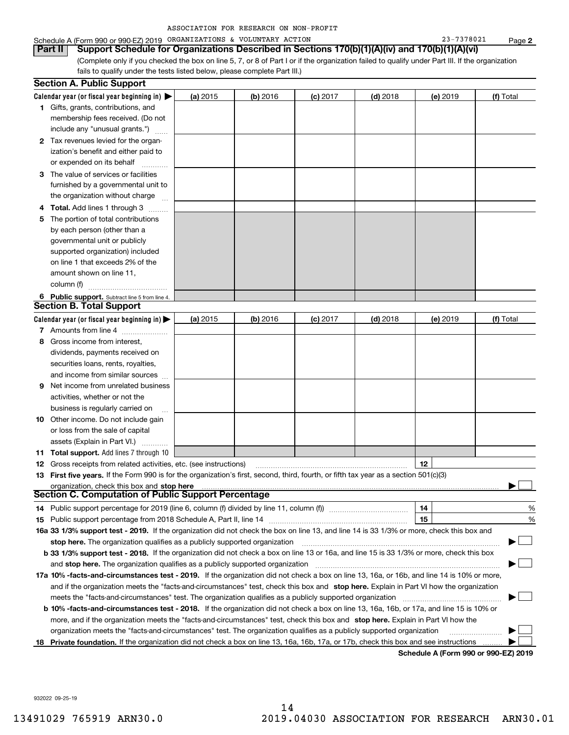| ASSOCIATION FOR RESEARCH ON NON-PROFIT |  |  |  |  |
|----------------------------------------|--|--|--|--|
|----------------------------------------|--|--|--|--|

## Schedule A (Form 990 or 990-EZ) 2019 Page ORGANIZATIONS & VOLUNTARY ACTION 23-7378021

(Complete only if you checked the box on line 5, 7, or 8 of Part I or if the organization failed to qualify under Part III. If the organization fails to qualify under the tests listed below, please complete Part III.) **Part II Support Schedule for Organizations Described in Sections 170(b)(1)(A)(iv) and 170(b)(1)(A)(vi)**

|   | <b>Section A. Public Support</b>                                                                                                           |            |            |            |            |          |           |
|---|--------------------------------------------------------------------------------------------------------------------------------------------|------------|------------|------------|------------|----------|-----------|
|   | Calendar year (or fiscal year beginning in) $\blacktriangleright$                                                                          | (a) 2015   | $(b)$ 2016 | $(c)$ 2017 | $(d)$ 2018 | (e) 2019 | (f) Total |
|   | <b>1</b> Gifts, grants, contributions, and                                                                                                 |            |            |            |            |          |           |
|   | membership fees received. (Do not                                                                                                          |            |            |            |            |          |           |
|   | include any "unusual grants.")                                                                                                             |            |            |            |            |          |           |
|   | <b>2</b> Tax revenues levied for the organ-                                                                                                |            |            |            |            |          |           |
|   | ization's benefit and either paid to                                                                                                       |            |            |            |            |          |           |
|   | or expended on its behalf                                                                                                                  |            |            |            |            |          |           |
|   | 3 The value of services or facilities                                                                                                      |            |            |            |            |          |           |
|   | furnished by a governmental unit to                                                                                                        |            |            |            |            |          |           |
|   | the organization without charge                                                                                                            |            |            |            |            |          |           |
|   | 4 Total. Add lines 1 through 3                                                                                                             |            |            |            |            |          |           |
| 5 | The portion of total contributions                                                                                                         |            |            |            |            |          |           |
|   | by each person (other than a                                                                                                               |            |            |            |            |          |           |
|   | governmental unit or publicly                                                                                                              |            |            |            |            |          |           |
|   | supported organization) included                                                                                                           |            |            |            |            |          |           |
|   | on line 1 that exceeds 2% of the                                                                                                           |            |            |            |            |          |           |
|   | amount shown on line 11,                                                                                                                   |            |            |            |            |          |           |
|   | column (f)                                                                                                                                 |            |            |            |            |          |           |
|   | 6 Public support. Subtract line 5 from line 4.                                                                                             |            |            |            |            |          |           |
|   | <b>Section B. Total Support</b>                                                                                                            |            |            |            |            |          |           |
|   | Calendar year (or fiscal year beginning in) $\blacktriangleright$                                                                          | (a) $2015$ | (b) 2016   | $(c)$ 2017 | $(d)$ 2018 | (e) 2019 | (f) Total |
|   | 7 Amounts from line 4                                                                                                                      |            |            |            |            |          |           |
| 8 | Gross income from interest,                                                                                                                |            |            |            |            |          |           |
|   | dividends, payments received on                                                                                                            |            |            |            |            |          |           |
|   | securities loans, rents, royalties,                                                                                                        |            |            |            |            |          |           |
|   | and income from similar sources                                                                                                            |            |            |            |            |          |           |
| 9 | Net income from unrelated business                                                                                                         |            |            |            |            |          |           |
|   | activities, whether or not the                                                                                                             |            |            |            |            |          |           |
|   | business is regularly carried on                                                                                                           |            |            |            |            |          |           |
|   | <b>10</b> Other income. Do not include gain                                                                                                |            |            |            |            |          |           |
|   | or loss from the sale of capital                                                                                                           |            |            |            |            |          |           |
|   | assets (Explain in Part VI.) <b>Constants</b>                                                                                              |            |            |            |            |          |           |
|   | 11 Total support. Add lines 7 through 10                                                                                                   |            |            |            |            |          |           |
|   | <b>12</b> Gross receipts from related activities, etc. (see instructions)                                                                  |            |            |            |            | 12       |           |
|   | 13 First five years. If the Form 990 is for the organization's first, second, third, fourth, or fifth tax year as a section 501(c)(3)      |            |            |            |            |          |           |
|   | organization, check this box and stop here                                                                                                 |            |            |            |            |          |           |
|   | <b>Section C. Computation of Public Support Percentage</b>                                                                                 |            |            |            |            |          |           |
|   | 14 Public support percentage for 2019 (line 6, column (f) divided by line 11, column (f) <i>manumumumum</i>                                |            |            |            |            | 14       | %         |
|   |                                                                                                                                            |            |            |            |            | 15       | %         |
|   | 16a 33 1/3% support test - 2019. If the organization did not check the box on line 13, and line 14 is 33 1/3% or more, check this box and  |            |            |            |            |          |           |
|   | stop here. The organization qualifies as a publicly supported organization                                                                 |            |            |            |            |          |           |
|   | b 33 1/3% support test - 2018. If the organization did not check a box on line 13 or 16a, and line 15 is 33 1/3% or more, check this box   |            |            |            |            |          |           |
|   | and stop here. The organization qualifies as a publicly supported organization                                                             |            |            |            |            |          |           |
|   | 17a 10% -facts-and-circumstances test - 2019. If the organization did not check a box on line 13, 16a, or 16b, and line 14 is 10% or more, |            |            |            |            |          |           |
|   | and if the organization meets the "facts-and-circumstances" test, check this box and stop here. Explain in Part VI how the organization    |            |            |            |            |          |           |
|   | meets the "facts-and-circumstances" test. The organization qualifies as a publicly supported organization <i>manumumumumum</i>             |            |            |            |            |          |           |
|   | b 10% -facts-and-circumstances test - 2018. If the organization did not check a box on line 13, 16a, 16b, or 17a, and line 15 is 10% or    |            |            |            |            |          |           |
|   | more, and if the organization meets the "facts-and-circumstances" test, check this box and stop here. Explain in Part VI how the           |            |            |            |            |          |           |
|   | organization meets the "facts-and-circumstances" test. The organization qualifies as a publicly supported organization                     |            |            |            |            |          |           |
|   | 18 Private foundation. If the organization did not check a box on line 13, 16a, 16b, 17a, or 17b, check this box and see instructions      |            |            |            |            |          |           |
|   |                                                                                                                                            |            |            |            |            |          |           |

**Schedule A (Form 990 or 990-EZ) 2019**

932022 09-25-19

**2**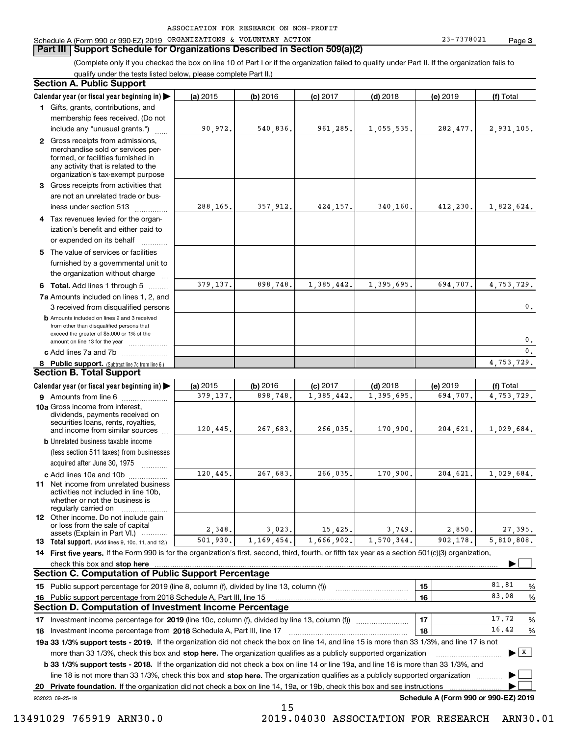## **Part III Support Schedule for Organizations Described in Section 509(a)(2)**

(Complete only if you checked the box on line 10 of Part I or if the organization failed to qualify under Part II. If the organization fails to qualify under the tests listed below, please complete Part II.)

## **8 Public support.** (Subtract line 7c from line 6.) **b** Amounts included on lines 2 and 3 received from other than disqualified persons that exceed the greater of \$5,000 or 1% of the amount on line 13 for the year  $\ldots$ ............... **13 Total support.** (Add lines 9, 10c, 11, and 12.) 932023 09-25-19 **Calendar year (or fiscal year beginning in) | Calendar year (or fiscal year beginning in) | (a)** 2015 **| (b)** 2016 **| (c)** 2017 **| (d)** 2018 **| (e)** 2019 **| (f) 1**Gifts, grants, contributions, and **2** Gross receipts from admissions, **3** Gross receipts from activities that **4**Tax revenues levied for the organ-**5** The value of services or facilities **6 Total.** Add lines 1 through 5  $\ldots$ ... **7a**Amounts included on lines 1, 2, and **c** Add lines 7a and 7b  $\ldots$   $\ldots$   $\ldots$  ... **(a)** 2015 **| (b)** 2016 **| (c)** 2017 **| (d)** 2018 **| (e)** 2019 **| (f) 9** Amounts from line 6  $^{10}$ **10a**Gross income from interest, **b** Unrelated business taxable income **c** Add lines 10a and 10b  $^{100}$ **11** Net income from unrelated business **12** Other income. Do not include gain **14 First five years.** If the Form 990 is for the organization's first, second, third, fourth, or fifth tax year as a section 501(c)(3) organization, **check this box and stop here with the construction of the construction of the check this box and stop here** with the check of the check of the check this box and stop here with the check of the check of the check of the c **151615161718 2018** Investment income percentage from Schedule A, Part III, line 17 ~~~~~~~~~~~~~~~~~~**19a 33 1/3% support tests - 2019.** If the organization did not check the box on line 14, and line 15 is more than 33 1/3%, and line 17 is not **20Private foundation.**  If the organization did not check a box on line 14, 19a, or 19b, check this box and see instructions | Investment income percentage for 2019 (line 10c, column (f), divided by line 13, column (f)) **1718b33 1/3% support tests - 2018.**  If the organization did not check a box on line 14 or line 19a, and line 16 is more than 33 1/3%, and more than 33 1/3%, check this box and stop here. The organization qualifies as a publicly supported organization *manimumment* line 18 is not more than 33 1/3%, check this box and stop here. The organization qualifies as a publicly supported organization  $\Box$ **Schedule A (Form 990 or 990-EZ) 2019** (less section 511 taxes) from businesses acquired after June 30, 1975 (a) 2015 15 **| (b)** 2016 **| (c)** 2017 **| (d)** 2018 **| (e)** 2019 **| (f)** Total membership fees received. (Do not include any "unusual grants.") merchandise sold or services performed, or facilities furnished in any activity that is related to the organization's tax-exempt purpose are not an unrelated trade or business under section 513  $\quad$ ization's benefit and either paid to or expended on its behalf  $^{+}_{-}, \dots$ furnished by a governmental unit to the organization without charge 3 received from disqualified persons (a) 2015 15 **| (b)** 2016 **| (c)** 2017 **| (d)** 2018 **| (e)** 2019 **| (f)** Total dividends, payments received on securities loans, rents, royalties, and income from similar sources activities not included in line 10b, whether or not the business is regularly carried on or loss from the sale of capital assets (Explain in Part VI.) ............ Public support percentage for 2019 (line 8, column (f), divided by line 13, column (f)) Public support percentage from 2018 Schedule A, Part III, line 15 % 81.81 %  $\sim$  17 | 17 | 17.72 %  $\ldots$  | 18 |  $\ldots$  | 18 |  $\ldots$  | 18 |  $\ldots$  | 16.42  $\ldots$  % **Section A. Public Support Section B. Total Support Section C. Computation of Public Support Percentage Section D. Computation of Investment Income Percentage**  $\mathcal{L}^{\text{max}}$  $\boxed{\mathbf{X}}$  $\mathcal{L}^{\text{max}}$  $\mathcal{L}^{\text{max}}$ 90,972. 540,836. 961,285. 1,055,535. 282,477. 2,931,105. 288,165. 357,912. 424,157. 340,160. 412,230. 1,822,624. 379,137. 898,748. 1,385,442. 1,395,695. 694,707. 4,753,729. 379,137. 898,748. 1,385,442. 1,395,695. 694,707. 4,753,729.  $\mathbf{0}$ . 0. $\overline{0}$ . 4,753,729. 120,445. 267,683. 266,035. 170,900. 204,621. 1,029,684. 120,445. 267,683. 266,035. 170,900. 204,621. 1,029,684. 2,348. 3,023. 15,425. 3,749. 2,850. 27,395. 5,810,808. 83.0817.7216.42501,930. 1,169,454. 1,666,902. 1,570,344. 902,178.

15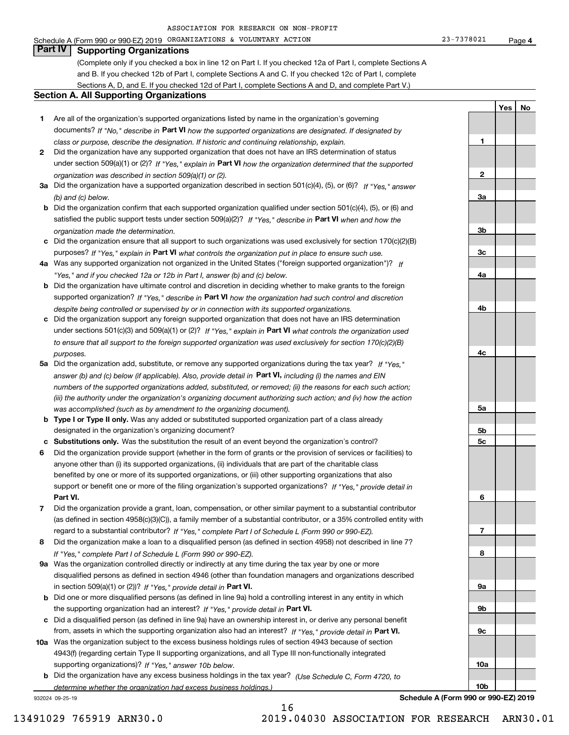Schedule A (Form 990 or 990-EZ) 2019 Page ORGANIZATIONS & VOLUNTARY ACTION 23-7378021

## **4**

**1**

**2**

**3a**

**3b**

**3c**

**4a**

**4b**

**4c**

**5a**

**5b5c**

**6**

**7**

**8**

**9a**

**9b**

**9c**

**10a**

**10b**

**YesNo**

# **Part IV Supporting Organizations**

(Complete only if you checked a box in line 12 on Part I. If you checked 12a of Part I, complete Sections A and B. If you checked 12b of Part I, complete Sections A and C. If you checked 12c of Part I, complete Sections A, D, and E. If you checked 12d of Part I, complete Sections A and D, and complete Part V.)

## **Section A. All Supporting Organizations**

- **1** Are all of the organization's supported organizations listed by name in the organization's governing documents? If "No," describe in **Part VI** how the supported organizations are designated. If designated by *class or purpose, describe the designation. If historic and continuing relationship, explain.*
- **2** Did the organization have any supported organization that does not have an IRS determination of status under section 509(a)(1) or (2)? If "Yes," explain in Part VI how the organization determined that the supported *organization was described in section 509(a)(1) or (2).*
- **3a** Did the organization have a supported organization described in section 501(c)(4), (5), or (6)? If "Yes," answer *(b) and (c) below.*
- **b** Did the organization confirm that each supported organization qualified under section 501(c)(4), (5), or (6) and satisfied the public support tests under section 509(a)(2)? If "Yes," describe in **Part VI** when and how the *organization made the determination.*
- **c**Did the organization ensure that all support to such organizations was used exclusively for section 170(c)(2)(B) purposes? If "Yes," explain in **Part VI** what controls the organization put in place to ensure such use.
- **4a***If* Was any supported organization not organized in the United States ("foreign supported organization")? *"Yes," and if you checked 12a or 12b in Part I, answer (b) and (c) below.*
- **b** Did the organization have ultimate control and discretion in deciding whether to make grants to the foreign supported organization? If "Yes," describe in **Part VI** how the organization had such control and discretion *despite being controlled or supervised by or in connection with its supported organizations.*
- **c** Did the organization support any foreign supported organization that does not have an IRS determination under sections 501(c)(3) and 509(a)(1) or (2)? If "Yes," explain in **Part VI** what controls the organization used *to ensure that all support to the foreign supported organization was used exclusively for section 170(c)(2)(B) purposes.*
- **5a** Did the organization add, substitute, or remove any supported organizations during the tax year? If "Yes," answer (b) and (c) below (if applicable). Also, provide detail in **Part VI,** including (i) the names and EIN *numbers of the supported organizations added, substituted, or removed; (ii) the reasons for each such action; (iii) the authority under the organization's organizing document authorizing such action; and (iv) how the action was accomplished (such as by amendment to the organizing document).*
- **b** Type I or Type II only. Was any added or substituted supported organization part of a class already designated in the organization's organizing document?
- **cSubstitutions only.**  Was the substitution the result of an event beyond the organization's control?
- **6** Did the organization provide support (whether in the form of grants or the provision of services or facilities) to **Part VI.** *If "Yes," provide detail in* support or benefit one or more of the filing organization's supported organizations? anyone other than (i) its supported organizations, (ii) individuals that are part of the charitable class benefited by one or more of its supported organizations, or (iii) other supporting organizations that also
- **7**Did the organization provide a grant, loan, compensation, or other similar payment to a substantial contributor *If "Yes," complete Part I of Schedule L (Form 990 or 990-EZ).* regard to a substantial contributor? (as defined in section 4958(c)(3)(C)), a family member of a substantial contributor, or a 35% controlled entity with
- **8** Did the organization make a loan to a disqualified person (as defined in section 4958) not described in line 7? *If "Yes," complete Part I of Schedule L (Form 990 or 990-EZ).*
- **9a** Was the organization controlled directly or indirectly at any time during the tax year by one or more in section 509(a)(1) or (2))? If "Yes," *provide detail in* <code>Part VI.</code> disqualified persons as defined in section 4946 (other than foundation managers and organizations described
- **b** Did one or more disqualified persons (as defined in line 9a) hold a controlling interest in any entity in which the supporting organization had an interest? If "Yes," provide detail in P**art VI**.
- **c**Did a disqualified person (as defined in line 9a) have an ownership interest in, or derive any personal benefit from, assets in which the supporting organization also had an interest? If "Yes," provide detail in P**art VI.**
- **10a** Was the organization subject to the excess business holdings rules of section 4943 because of section supporting organizations)? If "Yes," answer 10b below. 4943(f) (regarding certain Type II supporting organizations, and all Type III non-functionally integrated
- **b** Did the organization have any excess business holdings in the tax year? (Use Schedule C, Form 4720, to *determine whether the organization had excess business holdings.)*

16

932024 09-25-19

**Schedule A (Form 990 or 990-EZ) 2019**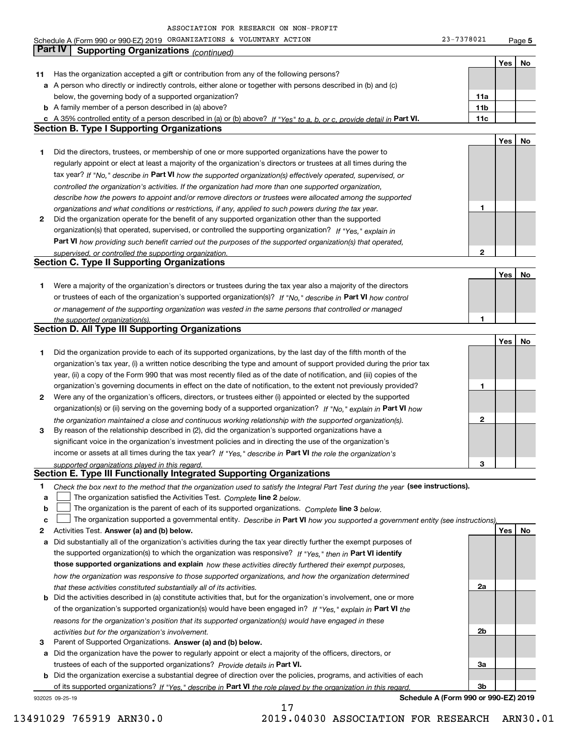Schedule A (Form 990 or 990-EZ) 2019 Page ORGANIZATIONS & VOLUNTARY ACTION 23-7378021

**5**

|              | Part IV<br><b>Supporting Organizations (continued)</b>                                                                            |              |     |    |
|--------------|-----------------------------------------------------------------------------------------------------------------------------------|--------------|-----|----|
|              |                                                                                                                                   |              | Yes | No |
| 11           | Has the organization accepted a gift or contribution from any of the following persons?                                           |              |     |    |
|              | a A person who directly or indirectly controls, either alone or together with persons described in (b) and (c)                    |              |     |    |
|              | below, the governing body of a supported organization?                                                                            | 11a          |     |    |
|              | <b>b</b> A family member of a person described in (a) above?                                                                      | 11b          |     |    |
|              | c A 35% controlled entity of a person described in (a) or (b) above? If "Yes" to a, b, or c, provide detail in Part VI.           | 11c          |     |    |
|              | <b>Section B. Type I Supporting Organizations</b>                                                                                 |              |     |    |
|              |                                                                                                                                   |              | Yes | No |
|              |                                                                                                                                   |              |     |    |
| 1            | Did the directors, trustees, or membership of one or more supported organizations have the power to                               |              |     |    |
|              | regularly appoint or elect at least a majority of the organization's directors or trustees at all times during the                |              |     |    |
|              | tax year? If "No," describe in Part VI how the supported organization(s) effectively operated, supervised, or                     |              |     |    |
|              | controlled the organization's activities. If the organization had more than one supported organization,                           |              |     |    |
|              | describe how the powers to appoint and/or remove directors or trustees were allocated among the supported                         |              |     |    |
|              | organizations and what conditions or restrictions, if any, applied to such powers during the tax year.                            | 1            |     |    |
| $\mathbf{2}$ | Did the organization operate for the benefit of any supported organization other than the supported                               |              |     |    |
|              | organization(s) that operated, supervised, or controlled the supporting organization? If "Yes," explain in                        |              |     |    |
|              | Part VI how providing such benefit carried out the purposes of the supported organization(s) that operated,                       |              |     |    |
|              | supervised, or controlled the supporting organization.                                                                            | 2            |     |    |
|              | <b>Section C. Type II Supporting Organizations</b>                                                                                |              |     |    |
|              |                                                                                                                                   |              | Yes | No |
| 1            | Were a majority of the organization's directors or trustees during the tax year also a majority of the directors                  |              |     |    |
|              | or trustees of each of the organization's supported organization(s)? If "No," describe in Part VI how control                     |              |     |    |
|              | or management of the supporting organization was vested in the same persons that controlled or managed                            |              |     |    |
|              | the supported organization(s).                                                                                                    | 1            |     |    |
|              | <b>Section D. All Type III Supporting Organizations</b>                                                                           |              |     |    |
|              |                                                                                                                                   |              | Yes | No |
| 1            | Did the organization provide to each of its supported organizations, by the last day of the fifth month of the                    |              |     |    |
|              |                                                                                                                                   |              |     |    |
|              | organization's tax year, (i) a written notice describing the type and amount of support provided during the prior tax             |              |     |    |
|              | year, (ii) a copy of the Form 990 that was most recently filed as of the date of notification, and (iii) copies of the            |              |     |    |
|              | organization's governing documents in effect on the date of notification, to the extent not previously provided?                  | 1            |     |    |
| 2            | Were any of the organization's officers, directors, or trustees either (i) appointed or elected by the supported                  |              |     |    |
|              | organization(s) or (ii) serving on the governing body of a supported organization? If "No," explain in Part VI how                |              |     |    |
|              | the organization maintained a close and continuous working relationship with the supported organization(s).                       | $\mathbf{2}$ |     |    |
| 3            | By reason of the relationship described in (2), did the organization's supported organizations have a                             |              |     |    |
|              | significant voice in the organization's investment policies and in directing the use of the organization's                        |              |     |    |
|              | income or assets at all times during the tax year? If "Yes," describe in Part VI the role the organization's                      |              |     |    |
|              | supported organizations played in this regard.                                                                                    | 3            |     |    |
|              | Section E. Type III Functionally Integrated Supporting Organizations                                                              |              |     |    |
| 1            | Check the box next to the method that the organization used to satisfy the Integral Part Test during the year (see instructions). |              |     |    |
| a            | The organization satisfied the Activities Test. Complete line 2 below.                                                            |              |     |    |
| b            | The organization is the parent of each of its supported organizations. Complete line 3 below.                                     |              |     |    |
| C            | The organization supported a governmental entity. Describe in Part VI how you supported a government entity (see instructions),   |              |     |    |
| 2            | Activities Test. Answer (a) and (b) below.                                                                                        |              | Yes | No |
| a            | Did substantially all of the organization's activities during the tax year directly further the exempt purposes of                |              |     |    |
|              | the supported organization(s) to which the organization was responsive? If "Yes," then in Part VI identify                        |              |     |    |
|              | those supported organizations and explain how these activities directly furthered their exempt purposes,                          |              |     |    |
|              |                                                                                                                                   |              |     |    |
|              | how the organization was responsive to those supported organizations, and how the organization determined                         |              |     |    |
|              | that these activities constituted substantially all of its activities.                                                            | 2a           |     |    |
| b            | Did the activities described in (a) constitute activities that, but for the organization's involvement, one or more               |              |     |    |
|              | of the organization's supported organization(s) would have been engaged in? If "Yes," explain in Part VI the                      |              |     |    |
|              | reasons for the organization's position that its supported organization(s) would have engaged in these                            |              |     |    |
|              | activities but for the organization's involvement.                                                                                | 2b           |     |    |
| з            | Parent of Supported Organizations. Answer (a) and (b) below.                                                                      |              |     |    |
| а            | Did the organization have the power to regularly appoint or elect a majority of the officers, directors, or                       |              |     |    |
|              | trustees of each of the supported organizations? Provide details in Part VI.                                                      | За           |     |    |
|              | <b>b</b> Did the organization exercise a substantial degree of direction over the policies, programs, and activities of each      |              |     |    |
|              | of its supported organizations? If "Yes," describe in Part VI the role played by the organization in this regard                  | Зb           |     |    |
|              | Schedule A (Form 990 or 990-EZ) 2019<br>932025 09-25-19                                                                           |              |     |    |

17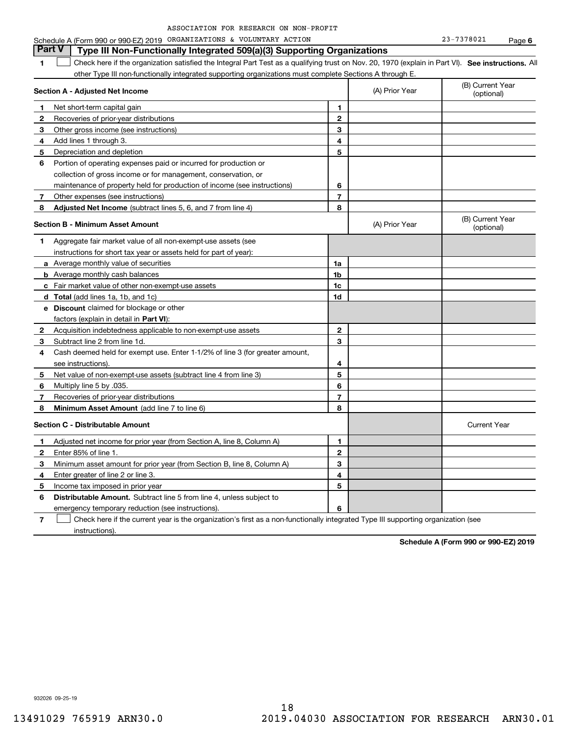| ASSOCIATION FOR RESEARCH ON NON-PROFIT |  |  |  |  |  |  |
|----------------------------------------|--|--|--|--|--|--|
|----------------------------------------|--|--|--|--|--|--|

## **1SEP 10. See instructions.** All antegral Part Test as a qualifying trust on Nov. 20, 1970 (explain in Part VI). See instructions. All **Section A - Adjusted Net Income 12** Recoveries of prior-year distributions **3** Other gross income (see instructions) **4**Add lines 1 through 3. **56** Portion of operating expenses paid or incurred for production or **7** Other expenses (see instructions) **8** Adjusted Net Income (subtract lines 5, 6, and 7 from line 4) **8 8 1234567Section B - Minimum Asset Amount 1**Aggregate fair market value of all non-exempt-use assets (see **2**Acquisition indebtedness applicable to non-exempt-use assets **3** Subtract line 2 from line 1d. **4**Cash deemed held for exempt use. Enter 1-1/2% of line 3 (for greater amount, **5** Net value of non-exempt-use assets (subtract line 4 from line 3) **678a** Average monthly value of securities **b** Average monthly cash balances **c**Fair market value of other non-exempt-use assets **dTotal**  (add lines 1a, 1b, and 1c) **eDiscount** claimed for blockage or other **1a1b1c1d2345678**factors (explain in detail in **Part VI**): **Minimum Asset Amount**  (add line 7 to line 6) **Section C - Distributable Amount 12**Enter 85% of line 1. **3456** Distributable Amount. Subtract line 5 from line 4, unless subject to **123456**other Type III non-functionally integrated supporting organizations must complete Sections A through E. (B) Current Year (optional)(A) Prior Year Net short-term capital gain Depreciation and depletion collection of gross income or for management, conservation, or maintenance of property held for production of income (see instructions) (B) Current Year (optional)(A) Prior Year instructions for short tax year or assets held for part of year): see instructions). Multiply line 5 by .035. Recoveries of prior-year distributions Current Year Adjusted net income for prior year (from Section A, line 8, Column A) Minimum asset amount for prior year (from Section B, line 8, Column A) Enter greater of line 2 or line 3. Income tax imposed in prior year emergency temporary reduction (see instructions). **Part V** Type III Non-Functionally Integrated 509(a)(3) Supporting Organizations  $\mathcal{L}^{\text{max}}$

**7**Check here if the current year is the organization's first as a non-functionally integrated Type III supporting organization (see instructions). $\mathcal{L}^{\text{max}}$ 

**Schedule A (Form 990 or 990-EZ) 2019**

932026 09-25-19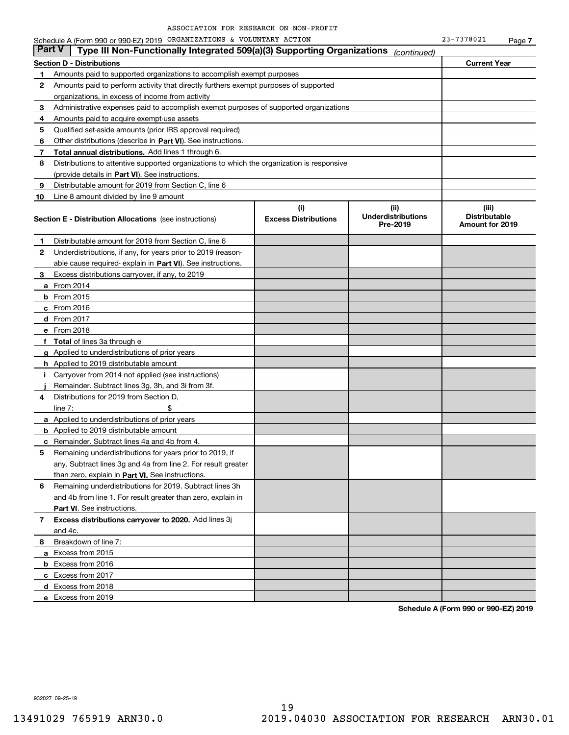|               | Schedule A (Form 990 or 990-EZ) 2019 ORGANIZATIONS & VOLUNTARY ACTION                      |                                    |                                               | 23-7378021                                              | Page 7 |
|---------------|--------------------------------------------------------------------------------------------|------------------------------------|-----------------------------------------------|---------------------------------------------------------|--------|
| <b>Part V</b> | Type III Non-Functionally Integrated 509(a)(3) Supporting Organizations                    |                                    | (continued)                                   |                                                         |        |
|               | <b>Section D - Distributions</b>                                                           |                                    |                                               | <b>Current Year</b>                                     |        |
| 1             | Amounts paid to supported organizations to accomplish exempt purposes                      |                                    |                                               |                                                         |        |
| 2             | Amounts paid to perform activity that directly furthers exempt purposes of supported       |                                    |                                               |                                                         |        |
|               | organizations, in excess of income from activity                                           |                                    |                                               |                                                         |        |
| 3             | Administrative expenses paid to accomplish exempt purposes of supported organizations      |                                    |                                               |                                                         |        |
| 4             | Amounts paid to acquire exempt-use assets                                                  |                                    |                                               |                                                         |        |
| 5             | Qualified set-aside amounts (prior IRS approval required)                                  |                                    |                                               |                                                         |        |
| 6             | Other distributions (describe in Part VI). See instructions.                               |                                    |                                               |                                                         |        |
| 7             | Total annual distributions. Add lines 1 through 6.                                         |                                    |                                               |                                                         |        |
| 8             | Distributions to attentive supported organizations to which the organization is responsive |                                    |                                               |                                                         |        |
|               | (provide details in Part VI). See instructions.                                            |                                    |                                               |                                                         |        |
| 9             | Distributable amount for 2019 from Section C, line 6                                       |                                    |                                               |                                                         |        |
| 10            | Line 8 amount divided by line 9 amount                                                     |                                    |                                               |                                                         |        |
|               | <b>Section E - Distribution Allocations</b> (see instructions)                             | (i)<br><b>Excess Distributions</b> | (ii)<br><b>Underdistributions</b><br>Pre-2019 | (iii)<br><b>Distributable</b><br><b>Amount for 2019</b> |        |
| 1             | Distributable amount for 2019 from Section C, line 6                                       |                                    |                                               |                                                         |        |
| 2             | Underdistributions, if any, for years prior to 2019 (reason-                               |                                    |                                               |                                                         |        |
|               | able cause required- explain in Part VI). See instructions.                                |                                    |                                               |                                                         |        |
| З.            | Excess distributions carryover, if any, to 2019                                            |                                    |                                               |                                                         |        |
|               | <b>a</b> From 2014                                                                         |                                    |                                               |                                                         |        |
|               | <b>b</b> From $2015$                                                                       |                                    |                                               |                                                         |        |
|               | $c$ From 2016                                                                              |                                    |                                               |                                                         |        |
|               | <b>d</b> From 2017                                                                         |                                    |                                               |                                                         |        |
|               | e From 2018                                                                                |                                    |                                               |                                                         |        |
|               | f Total of lines 3a through e                                                              |                                    |                                               |                                                         |        |
|               | g Applied to underdistributions of prior years                                             |                                    |                                               |                                                         |        |
|               | <b>h</b> Applied to 2019 distributable amount                                              |                                    |                                               |                                                         |        |
| ÷.            | Carryover from 2014 not applied (see instructions)                                         |                                    |                                               |                                                         |        |
|               | Remainder. Subtract lines 3g, 3h, and 3i from 3f.                                          |                                    |                                               |                                                         |        |
| 4             | Distributions for 2019 from Section D,                                                     |                                    |                                               |                                                         |        |
|               | \$<br>line $7:$                                                                            |                                    |                                               |                                                         |        |
|               | <b>a</b> Applied to underdistributions of prior years                                      |                                    |                                               |                                                         |        |
|               | <b>b</b> Applied to 2019 distributable amount                                              |                                    |                                               |                                                         |        |
|               | <b>c</b> Remainder. Subtract lines 4a and 4b from 4.                                       |                                    |                                               |                                                         |        |
|               | Remaining underdistributions for years prior to 2019, if                                   |                                    |                                               |                                                         |        |
|               | any. Subtract lines 3g and 4a from line 2. For result greater                              |                                    |                                               |                                                         |        |
|               | than zero, explain in Part VI. See instructions.                                           |                                    |                                               |                                                         |        |
| 6             | Remaining underdistributions for 2019. Subtract lines 3h                                   |                                    |                                               |                                                         |        |
|               | and 4b from line 1. For result greater than zero, explain in                               |                                    |                                               |                                                         |        |
|               | Part VI. See instructions.                                                                 |                                    |                                               |                                                         |        |
| 7             | Excess distributions carryover to 2020. Add lines 3j                                       |                                    |                                               |                                                         |        |
|               | and 4c.                                                                                    |                                    |                                               |                                                         |        |
| 8             | Breakdown of line 7:                                                                       |                                    |                                               |                                                         |        |
|               | a Excess from 2015                                                                         |                                    |                                               |                                                         |        |
|               | <b>b</b> Excess from 2016                                                                  |                                    |                                               |                                                         |        |
|               | c Excess from 2017                                                                         |                                    |                                               |                                                         |        |
|               | d Excess from 2018                                                                         |                                    |                                               |                                                         |        |
|               | e Excess from 2019                                                                         |                                    |                                               |                                                         |        |
|               |                                                                                            |                                    |                                               |                                                         |        |

**Schedule A (Form 990 or 990-EZ) 2019**

932027 09-25-19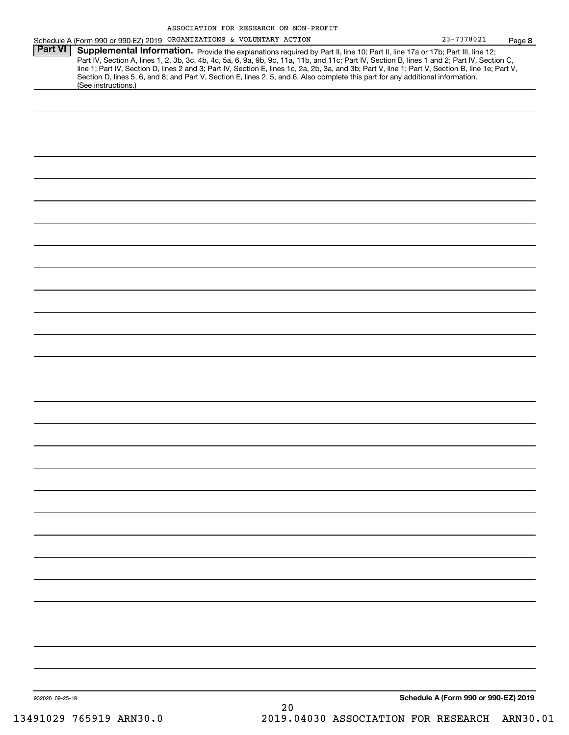| Part VI<br>Supplemental Information. Provide the explanations required by Part II, line 10; Part II, line 17a or 17b; Part III, line 12;<br>Part IV, Section A, lines 1, 2, 3b, 3c, 4b, 4c, 5a, 6, 9a, 9b, 9c, 11a, 11b, and 11c; Part IV, Section B, lines 1 and 2; Part IV, Section C,<br>line 1; Part IV, Section D, lines 2 and 3; Part IV, Section E, lines 1c, 2a, 2b, 3a, and 3b; Part V, line 1; Part V, Section B, line 1e; Part V,<br>Section D, lines 5, 6, and 8; and Part V, Section E, lines 2, 5, and 6. Also complete this part for any additional information.<br>(See instructions.) | Page 8 |
|--------------------------------------------------------------------------------------------------------------------------------------------------------------------------------------------------------------------------------------------------------------------------------------------------------------------------------------------------------------------------------------------------------------------------------------------------------------------------------------------------------------------------------------------------------------------------------------------------------|--------|
|                                                                                                                                                                                                                                                                                                                                                                                                                                                                                                                                                                                                        |        |
|                                                                                                                                                                                                                                                                                                                                                                                                                                                                                                                                                                                                        |        |
|                                                                                                                                                                                                                                                                                                                                                                                                                                                                                                                                                                                                        |        |
|                                                                                                                                                                                                                                                                                                                                                                                                                                                                                                                                                                                                        |        |
|                                                                                                                                                                                                                                                                                                                                                                                                                                                                                                                                                                                                        |        |
|                                                                                                                                                                                                                                                                                                                                                                                                                                                                                                                                                                                                        |        |
|                                                                                                                                                                                                                                                                                                                                                                                                                                                                                                                                                                                                        |        |
|                                                                                                                                                                                                                                                                                                                                                                                                                                                                                                                                                                                                        |        |
|                                                                                                                                                                                                                                                                                                                                                                                                                                                                                                                                                                                                        |        |
|                                                                                                                                                                                                                                                                                                                                                                                                                                                                                                                                                                                                        |        |
|                                                                                                                                                                                                                                                                                                                                                                                                                                                                                                                                                                                                        |        |
|                                                                                                                                                                                                                                                                                                                                                                                                                                                                                                                                                                                                        |        |
|                                                                                                                                                                                                                                                                                                                                                                                                                                                                                                                                                                                                        |        |
|                                                                                                                                                                                                                                                                                                                                                                                                                                                                                                                                                                                                        |        |
|                                                                                                                                                                                                                                                                                                                                                                                                                                                                                                                                                                                                        |        |
|                                                                                                                                                                                                                                                                                                                                                                                                                                                                                                                                                                                                        |        |
|                                                                                                                                                                                                                                                                                                                                                                                                                                                                                                                                                                                                        |        |
|                                                                                                                                                                                                                                                                                                                                                                                                                                                                                                                                                                                                        |        |
|                                                                                                                                                                                                                                                                                                                                                                                                                                                                                                                                                                                                        |        |
|                                                                                                                                                                                                                                                                                                                                                                                                                                                                                                                                                                                                        |        |
|                                                                                                                                                                                                                                                                                                                                                                                                                                                                                                                                                                                                        |        |
|                                                                                                                                                                                                                                                                                                                                                                                                                                                                                                                                                                                                        |        |
|                                                                                                                                                                                                                                                                                                                                                                                                                                                                                                                                                                                                        |        |
|                                                                                                                                                                                                                                                                                                                                                                                                                                                                                                                                                                                                        |        |
|                                                                                                                                                                                                                                                                                                                                                                                                                                                                                                                                                                                                        |        |
|                                                                                                                                                                                                                                                                                                                                                                                                                                                                                                                                                                                                        |        |
|                                                                                                                                                                                                                                                                                                                                                                                                                                                                                                                                                                                                        |        |
|                                                                                                                                                                                                                                                                                                                                                                                                                                                                                                                                                                                                        |        |
|                                                                                                                                                                                                                                                                                                                                                                                                                                                                                                                                                                                                        |        |
|                                                                                                                                                                                                                                                                                                                                                                                                                                                                                                                                                                                                        |        |
|                                                                                                                                                                                                                                                                                                                                                                                                                                                                                                                                                                                                        |        |
|                                                                                                                                                                                                                                                                                                                                                                                                                                                                                                                                                                                                        |        |
|                                                                                                                                                                                                                                                                                                                                                                                                                                                                                                                                                                                                        |        |
|                                                                                                                                                                                                                                                                                                                                                                                                                                                                                                                                                                                                        |        |
|                                                                                                                                                                                                                                                                                                                                                                                                                                                                                                                                                                                                        |        |
|                                                                                                                                                                                                                                                                                                                                                                                                                                                                                                                                                                                                        |        |
|                                                                                                                                                                                                                                                                                                                                                                                                                                                                                                                                                                                                        |        |
|                                                                                                                                                                                                                                                                                                                                                                                                                                                                                                                                                                                                        |        |
|                                                                                                                                                                                                                                                                                                                                                                                                                                                                                                                                                                                                        |        |
|                                                                                                                                                                                                                                                                                                                                                                                                                                                                                                                                                                                                        |        |
| Schedule A (Form 990 or 990-EZ) 2019<br>932028 09-25-19                                                                                                                                                                                                                                                                                                                                                                                                                                                                                                                                                |        |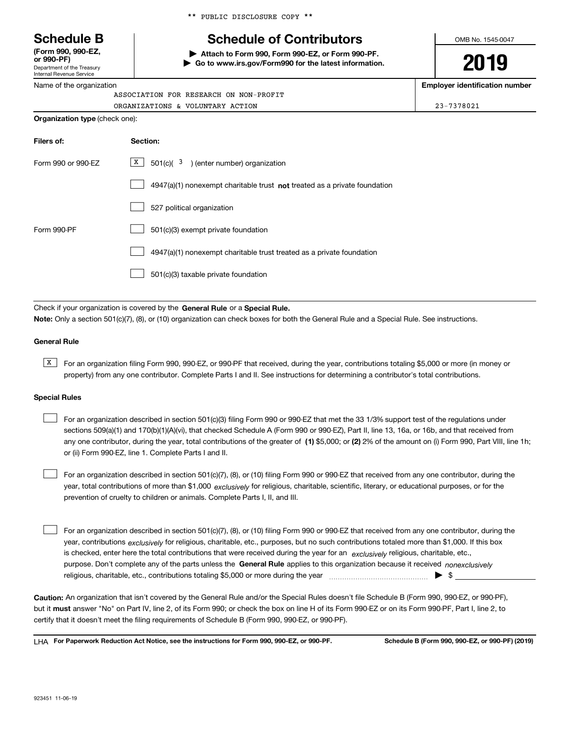Department of the Treasury **(Form 990, 990-EZ, or 990-PF)**

Internal Revenue Service Name of the organization

|  |  | ** PUBLIC DISCLOSURE COPY ** |  |  |
|--|--|------------------------------|--|--|
|--|--|------------------------------|--|--|

# **Schedule B Schedule of Contributors**

**| Attach to Form 990, Form 990-EZ, or Form 990-PF. | Go to www.irs.gov/Form990 for the latest information.** OMB No. 1545-0047

**2019**

**Employer identification number**

| <b>Organization type</b> (check one):  |            |
|----------------------------------------|------------|
| ORGANIZATIONS & VOLUNTARY ACTION       | 23-7378021 |
| ASSOCIATION FOR RESEARCH ON NON-PROFIT |            |

| Filers of:         | Section:                                                                    |
|--------------------|-----------------------------------------------------------------------------|
| Form 990 or 990-FZ | $X$ 501(c)( 3) (enter number) organization                                  |
|                    | $4947(a)(1)$ nonexempt charitable trust not treated as a private foundation |
|                    | 527 political organization                                                  |
| Form 990-PF        | 501(c)(3) exempt private foundation                                         |
|                    | 4947(a)(1) nonexempt charitable trust treated as a private foundation       |
|                    | 501(c)(3) taxable private foundation                                        |

Check if your organization is covered by the **General Rule** or a **Special Rule. Note:**  Only a section 501(c)(7), (8), or (10) organization can check boxes for both the General Rule and a Special Rule. See instructions.

## **General Rule**

 $\overline{X}$  For an organization filing Form 990, 990-EZ, or 990-PF that received, during the year, contributions totaling \$5,000 or more (in money or property) from any one contributor. Complete Parts I and II. See instructions for determining a contributor's total contributions.

## **Special Rules**

| For an organization described in section 501(c)(3) filing Form 990 or 990-EZ that met the 33 1/3% support test of the regulations under               |
|-------------------------------------------------------------------------------------------------------------------------------------------------------|
| sections 509(a)(1) and 170(b)(1)(A)(vi), that checked Schedule A (Form 990 or 990-EZ), Part II, line 13, 16a, or 16b, and that received from          |
| any one contributor, during the year, total contributions of the greater of (1) \$5,000; or (2) 2% of the amount on (i) Form 990, Part VIII, line 1h; |
| or (ii) Form 990-EZ, line 1. Complete Parts I and II.                                                                                                 |

year, total contributions of more than \$1,000 *exclusively* for religious, charitable, scientific, literary, or educational purposes, or for the For an organization described in section 501(c)(7), (8), or (10) filing Form 990 or 990-EZ that received from any one contributor, during the prevention of cruelty to children or animals. Complete Parts I, II, and III.  $\mathcal{L}^{\text{max}}$ 

purpose. Don't complete any of the parts unless the **General Rule** applies to this organization because it received *nonexclusively* year, contributions <sub>exclusively</sub> for religious, charitable, etc., purposes, but no such contributions totaled more than \$1,000. If this box is checked, enter here the total contributions that were received during the year for an  $\;$ exclusively religious, charitable, etc., For an organization described in section 501(c)(7), (8), or (10) filing Form 990 or 990-EZ that received from any one contributor, during the religious, charitable, etc., contributions totaling \$5,000 or more during the year  $\Box$ — $\Box$  =  $\Box$  $\mathcal{L}^{\text{max}}$ 

**Caution:**  An organization that isn't covered by the General Rule and/or the Special Rules doesn't file Schedule B (Form 990, 990-EZ, or 990-PF),  **must** but it answer "No" on Part IV, line 2, of its Form 990; or check the box on line H of its Form 990-EZ or on its Form 990-PF, Part I, line 2, to certify that it doesn't meet the filing requirements of Schedule B (Form 990, 990-EZ, or 990-PF).

**For Paperwork Reduction Act Notice, see the instructions for Form 990, 990-EZ, or 990-PF. Schedule B (Form 990, 990-EZ, or 990-PF) (2019)** LHA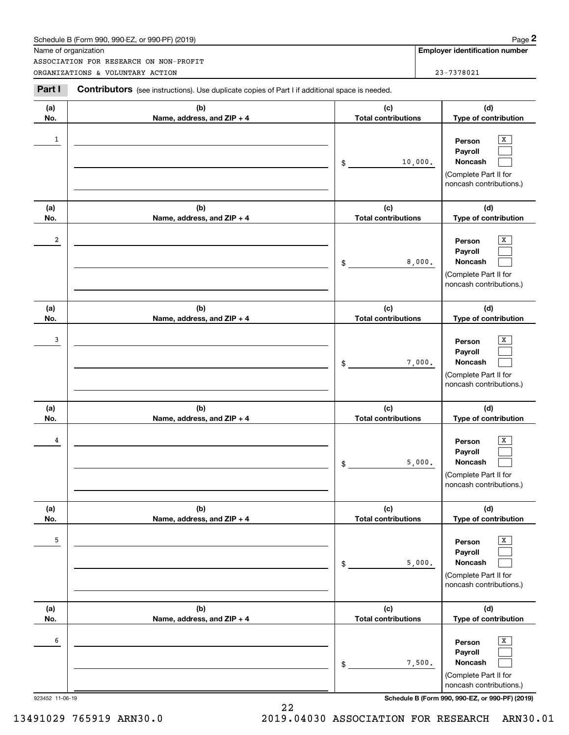| Schedule B (Form 990. 990-EZ. or 990-PF) (2019) | Page |
|-------------------------------------------------|------|
|-------------------------------------------------|------|

|                         | Schedule B (Form 990, 990-EZ, or 990-PF) (2019)                                                |                                   |         | Page 2                                                                                |
|-------------------------|------------------------------------------------------------------------------------------------|-----------------------------------|---------|---------------------------------------------------------------------------------------|
|                         | Name of organization<br>ASSOCIATION FOR RESEARCH ON NON-PROFIT                                 |                                   |         | Employer identification number                                                        |
|                         | ORGANIZATIONS & VOLUNTARY ACTION                                                               |                                   |         | 23-7378021                                                                            |
| Part I                  | Contributors (see instructions). Use duplicate copies of Part I if additional space is needed. |                                   |         |                                                                                       |
| (a)<br>No.              | (b)<br>Name, address, and ZIP + 4                                                              | (c)<br><b>Total contributions</b> |         | (d)<br>Type of contribution                                                           |
| 1                       |                                                                                                | \$                                | 10,000. | X<br>Person<br>Payroll<br>Noncash<br>(Complete Part II for<br>noncash contributions.) |
| (a)<br>No.              | (b)<br>Name, address, and ZIP + 4                                                              | (c)<br><b>Total contributions</b> |         | (d)<br>Type of contribution                                                           |
| $\overline{\mathbf{2}}$ |                                                                                                | \$                                | 8,000.  | х<br>Person<br>Payroll<br>Noncash<br>(Complete Part II for<br>noncash contributions.) |
| (a)<br>No.              | (b)<br>Name, address, and ZIP + 4                                                              | (c)<br><b>Total contributions</b> |         | (d)<br>Type of contribution                                                           |
| 3                       |                                                                                                | \$                                | 7,000.  | х<br>Person<br>Payroll<br>Noncash<br>(Complete Part II for<br>noncash contributions.) |
| (a)<br>No.              | (b)<br>Name, address, and ZIP + 4                                                              | (c)<br><b>Total contributions</b> |         | (d)<br>Type of contribution                                                           |
| 4                       |                                                                                                | \$                                | 5,000.  | х<br>Person<br>Payroll<br>Noncash<br>(Complete Part II for<br>noncash contributions.) |
| (a)<br>No.              | (b)<br>Name, address, and ZIP + 4                                                              | (c)<br><b>Total contributions</b> |         | (d)<br>Type of contribution                                                           |
| 5                       |                                                                                                | \$                                | 5,000.  | X<br>Person<br>Payroll<br>Noncash<br>(Complete Part II for<br>noncash contributions.) |
| (a)<br>No.              | (b)<br>Name, address, and ZIP + 4                                                              | (c)<br><b>Total contributions</b> |         | (d)<br>Type of contribution                                                           |
| 6                       |                                                                                                | \$                                | 7,500.  | Х<br>Person<br>Payroll<br>Noncash<br>(Complete Part II for<br>noncash contributions.) |

13491029 765919 ARN30.0 2019.04030 ASSOCIATION FOR RESEARCH ARN30.01

22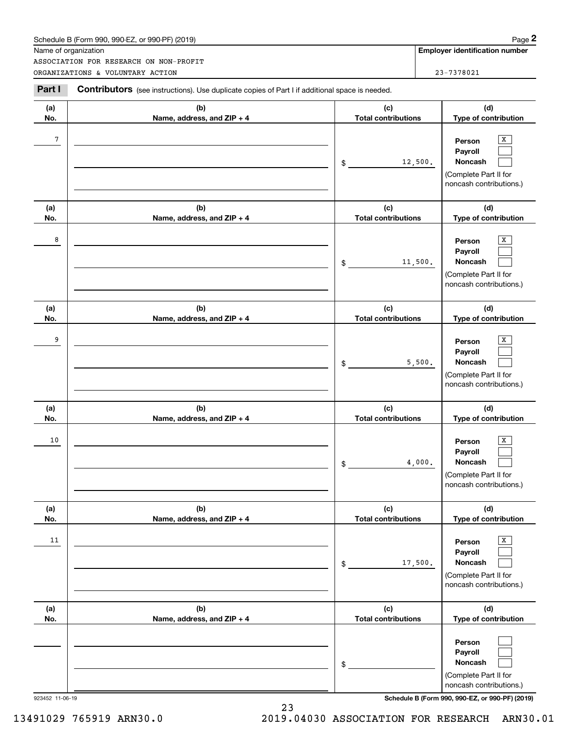| Schedule B (Form 990. 990-EZ. or 990-PF) (2019) | Page |
|-------------------------------------------------|------|
|-------------------------------------------------|------|

|            | Schedule B (Form 990, 990-EZ, or 990-PF) (2019)                                                       |                                   | Page 2                                                                                          |
|------------|-------------------------------------------------------------------------------------------------------|-----------------------------------|-------------------------------------------------------------------------------------------------|
|            | Name of organization                                                                                  |                                   | <b>Employer identification number</b>                                                           |
|            | ASSOCIATION FOR RESEARCH ON NON-PROFIT<br>ORGANIZATIONS & VOLUNTARY ACTION                            |                                   | 23-7378021                                                                                      |
|            |                                                                                                       |                                   |                                                                                                 |
| Part I     | <b>Contributors</b> (see instructions). Use duplicate copies of Part I if additional space is needed. |                                   |                                                                                                 |
| (a)        | (b)                                                                                                   | (c)                               | (d)                                                                                             |
| No.        | Name, address, and ZIP + 4                                                                            | <b>Total contributions</b>        | Type of contribution                                                                            |
| 7          |                                                                                                       | 12,500.<br>\$                     | х<br>Person<br>Payroll<br>Noncash<br>(Complete Part II for<br>noncash contributions.)           |
| (a)        | (b)                                                                                                   | (c)                               | (d)                                                                                             |
| No.        | Name, address, and ZIP + 4                                                                            | <b>Total contributions</b>        | Type of contribution                                                                            |
| 8          |                                                                                                       | 11,500.<br>\$                     | X<br>Person<br>Payroll<br>Noncash<br>(Complete Part II for<br>noncash contributions.)           |
| (a)        | (b)                                                                                                   | (c)                               | (d)                                                                                             |
| No.        | Name, address, and ZIP + 4                                                                            | <b>Total contributions</b>        | Type of contribution                                                                            |
| 9          |                                                                                                       | \$                                | х<br>Person<br>Payroll<br>5,500.<br>Noncash<br>(Complete Part II for<br>noncash contributions.) |
| (a)<br>No. | (b)<br>Name, address, and ZIP + 4                                                                     | (c)<br><b>Total contributions</b> | (d)<br>Type of contribution                                                                     |
| 10         |                                                                                                       | \$                                | х<br>Person<br>Payroll<br>4,000.<br>Noncash<br>(Complete Part II for<br>noncash contributions.) |
| (a)<br>No. | (b)<br>Name, address, and ZIP + 4                                                                     | (c)<br><b>Total contributions</b> | (d)<br>Type of contribution                                                                     |
| 11         |                                                                                                       | 17,500.<br>\$                     | Х<br>Person<br>Payroll<br>Noncash<br>(Complete Part II for<br>noncash contributions.)           |
| (a)<br>No. | (b)<br>Name, address, and ZIP + 4                                                                     | (c)<br><b>Total contributions</b> | (d)<br>Type of contribution                                                                     |
|            |                                                                                                       | \$                                | Person<br>Payroll<br>Noncash<br>(Complete Part II for<br>noncash contributions.)                |

923452 11-06-19 **Schedule B (Form 990, 990-EZ, or 990-PF) (2019)**

23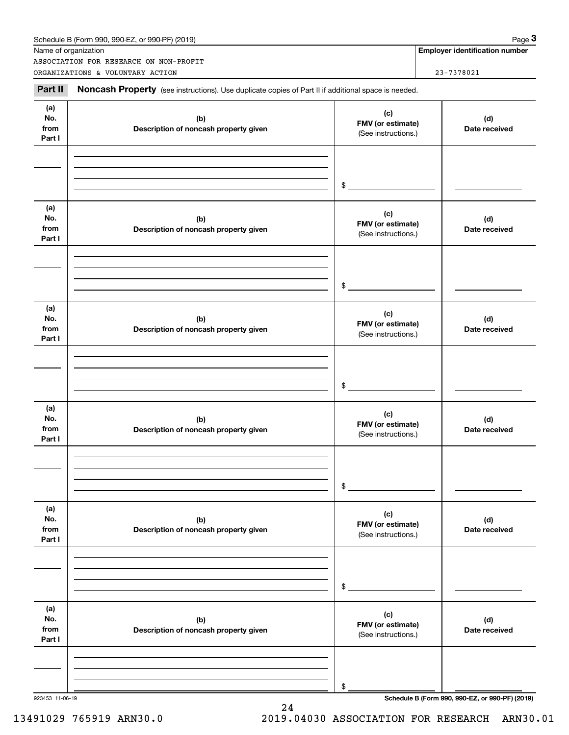|                              | Name of organization<br>ASSOCIATION FOR RESEARCH ON NON-PROFIT                                      |                                                 | <b>Employer identification number</b> |
|------------------------------|-----------------------------------------------------------------------------------------------------|-------------------------------------------------|---------------------------------------|
|                              | ORGANIZATIONS & VOLUNTARY ACTION                                                                    |                                                 | 23-7378021                            |
| Part II                      | Noncash Property (see instructions). Use duplicate copies of Part II if additional space is needed. |                                                 |                                       |
| (a)<br>No.<br>from<br>Part I | (b)<br>Description of noncash property given                                                        | (c)<br>FMV (or estimate)<br>(See instructions.) | (d)<br>Date received                  |
|                              |                                                                                                     | \$                                              |                                       |
| (a)<br>No.<br>from<br>Part I | (b)<br>Description of noncash property given                                                        | (c)<br>FMV (or estimate)<br>(See instructions.) | (d)<br>Date received                  |
|                              |                                                                                                     | \$                                              |                                       |
| (a)<br>No.<br>from<br>Part I | (b)<br>Description of noncash property given                                                        | (c)<br>FMV (or estimate)<br>(See instructions.) | (d)<br>Date received                  |
|                              |                                                                                                     | \$                                              |                                       |
| (a)<br>No.<br>from<br>Part I | (b)<br>Description of noncash property given                                                        | (c)<br>FMV (or estimate)<br>(See instructions.) | (d)<br>Date received                  |
|                              |                                                                                                     | \$                                              |                                       |
| (a)<br>No.<br>from<br>Part I | (b)<br>Description of noncash property given                                                        | (c)<br>FMV (or estimate)<br>(See instructions.) | (d)<br>Date received                  |
|                              |                                                                                                     | \$                                              |                                       |
| (a)<br>No.<br>from<br>Part I | (b)<br>Description of noncash property given                                                        | (c)<br>FMV (or estimate)<br>(See instructions.) | (d)<br>Date received                  |
|                              |                                                                                                     |                                                 |                                       |
|                              |                                                                                                     | \$                                              |                                       |

24

923453 11-06-19 **Schedule B (Form 990, 990-EZ, or 990-PF) (2019)**

13491029 765919 ARN30.0 2019.04030 ASSOCIATION FOR RESEARCH ARN30.01

**Employer identification number** Schedule B (Form 990, 990-EZ, or 990-PF) (2019) Page 3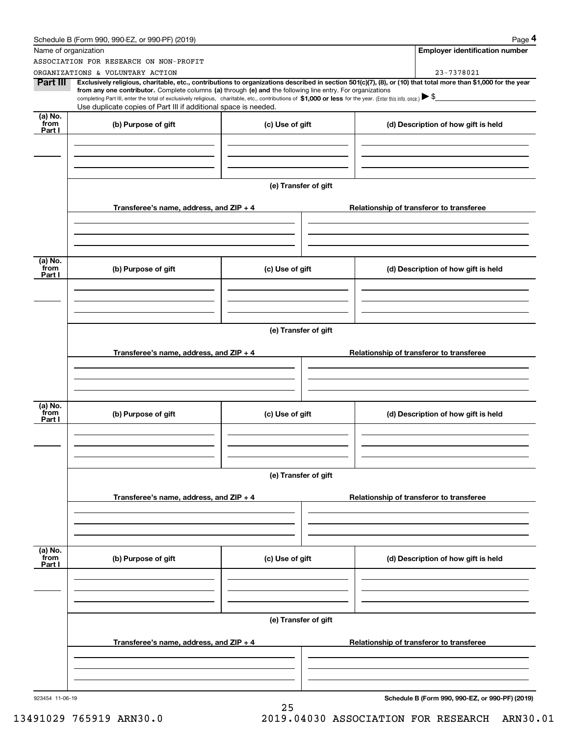|                           | Schedule B (Form 990, 990-EZ, or 990-PF) (2019)                                                                                                                                                                                                                                                                                                                                                                                              |                      |  | Page 4                                          |  |
|---------------------------|----------------------------------------------------------------------------------------------------------------------------------------------------------------------------------------------------------------------------------------------------------------------------------------------------------------------------------------------------------------------------------------------------------------------------------------------|----------------------|--|-------------------------------------------------|--|
|                           | Name of organization                                                                                                                                                                                                                                                                                                                                                                                                                         |                      |  | <b>Employer identification number</b>           |  |
|                           | ASSOCIATION FOR RESEARCH ON NON-PROFIT                                                                                                                                                                                                                                                                                                                                                                                                       |                      |  |                                                 |  |
|                           | ORGANIZATIONS & VOLUNTARY ACTION                                                                                                                                                                                                                                                                                                                                                                                                             |                      |  | 23-7378021                                      |  |
| Part III                  | Exclusively religious, charitable, etc., contributions to organizations described in section 501(c)(7), (8), or (10) that total more than \$1,000 for the year<br>from any one contributor. Complete columns (a) through (e) and the following line entry. For organizations<br>completing Part III, enter the total of exclusively religious, charitable, etc., contributions of \$1,000 or less for the year. (Enter this info. once.) \\$ |                      |  |                                                 |  |
|                           | Use duplicate copies of Part III if additional space is needed.                                                                                                                                                                                                                                                                                                                                                                              |                      |  |                                                 |  |
| (a) No.<br>from<br>Part I | (b) Purpose of gift                                                                                                                                                                                                                                                                                                                                                                                                                          | (c) Use of gift      |  | (d) Description of how gift is held             |  |
|                           |                                                                                                                                                                                                                                                                                                                                                                                                                                              |                      |  |                                                 |  |
|                           |                                                                                                                                                                                                                                                                                                                                                                                                                                              | (e) Transfer of gift |  |                                                 |  |
|                           | Transferee's name, address, and $ZIP + 4$                                                                                                                                                                                                                                                                                                                                                                                                    |                      |  | Relationship of transferor to transferee        |  |
|                           |                                                                                                                                                                                                                                                                                                                                                                                                                                              |                      |  |                                                 |  |
| (a) No.<br>from           | (b) Purpose of gift                                                                                                                                                                                                                                                                                                                                                                                                                          | (c) Use of gift      |  | (d) Description of how gift is held             |  |
| Part I                    |                                                                                                                                                                                                                                                                                                                                                                                                                                              |                      |  |                                                 |  |
|                           |                                                                                                                                                                                                                                                                                                                                                                                                                                              |                      |  |                                                 |  |
|                           | (e) Transfer of gift                                                                                                                                                                                                                                                                                                                                                                                                                         |                      |  |                                                 |  |
|                           | Transferee's name, address, and ZIP + 4                                                                                                                                                                                                                                                                                                                                                                                                      |                      |  | Relationship of transferor to transferee        |  |
|                           |                                                                                                                                                                                                                                                                                                                                                                                                                                              |                      |  |                                                 |  |
| (a) No.<br>from<br>Part I | (b) Purpose of gift                                                                                                                                                                                                                                                                                                                                                                                                                          | (c) Use of gift      |  | (d) Description of how gift is held             |  |
|                           |                                                                                                                                                                                                                                                                                                                                                                                                                                              |                      |  |                                                 |  |
|                           |                                                                                                                                                                                                                                                                                                                                                                                                                                              | (e) Transfer of gift |  |                                                 |  |
|                           | Transferee's name, address, and $ZIP + 4$                                                                                                                                                                                                                                                                                                                                                                                                    |                      |  | Relationship of transferor to transferee        |  |
|                           |                                                                                                                                                                                                                                                                                                                                                                                                                                              |                      |  |                                                 |  |
|                           |                                                                                                                                                                                                                                                                                                                                                                                                                                              |                      |  |                                                 |  |
| (a) No.<br>from<br>Part I | (b) Purpose of gift                                                                                                                                                                                                                                                                                                                                                                                                                          | (c) Use of gift      |  | (d) Description of how gift is held             |  |
|                           |                                                                                                                                                                                                                                                                                                                                                                                                                                              |                      |  |                                                 |  |
|                           | (e) Transfer of gift                                                                                                                                                                                                                                                                                                                                                                                                                         |                      |  |                                                 |  |
|                           | Transferee's name, address, and $ZIP + 4$                                                                                                                                                                                                                                                                                                                                                                                                    |                      |  | Relationship of transferor to transferee        |  |
|                           |                                                                                                                                                                                                                                                                                                                                                                                                                                              |                      |  |                                                 |  |
| 923454 11-06-19           |                                                                                                                                                                                                                                                                                                                                                                                                                                              |                      |  | Schedule B (Form 990, 990-EZ, or 990-PF) (2019) |  |
|                           |                                                                                                                                                                                                                                                                                                                                                                                                                                              | 25                   |  |                                                 |  |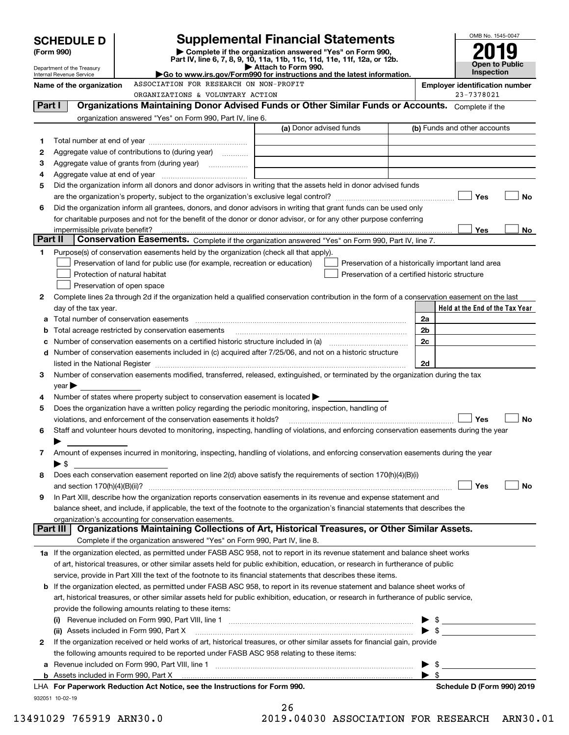|         | <b>SCHEDULE D</b>                        |                                                                                           | <b>Supplemental Financial Statements</b>                                                                                                                                                                                      |  |                | OMB No. 1545-0047                                                                                                                                                                                                                                                                                                   |
|---------|------------------------------------------|-------------------------------------------------------------------------------------------|-------------------------------------------------------------------------------------------------------------------------------------------------------------------------------------------------------------------------------|--|----------------|---------------------------------------------------------------------------------------------------------------------------------------------------------------------------------------------------------------------------------------------------------------------------------------------------------------------|
|         | (Form 990)                               |                                                                                           | Complete if the organization answered "Yes" on Form 990,                                                                                                                                                                      |  |                |                                                                                                                                                                                                                                                                                                                     |
|         | Department of the Treasury               |                                                                                           | Part IV, line 6, 7, 8, 9, 10, 11a, 11b, 11c, 11d, 11e, 11f, 12a, or 12b.<br>Attach to Form 990.                                                                                                                               |  |                | Open to Public                                                                                                                                                                                                                                                                                                      |
|         | Internal Revenue Service                 |                                                                                           | <b>Inspection</b>                                                                                                                                                                                                             |  |                |                                                                                                                                                                                                                                                                                                                     |
|         | Name of the organization                 |                                                                                           | <b>Employer identification number</b>                                                                                                                                                                                         |  |                |                                                                                                                                                                                                                                                                                                                     |
|         |                                          | ORGANIZATIONS & VOLUNTARY ACTION                                                          |                                                                                                                                                                                                                               |  |                | 23-7378021                                                                                                                                                                                                                                                                                                          |
| Part I  |                                          |                                                                                           | Organizations Maintaining Donor Advised Funds or Other Similar Funds or Accounts. Complete if the                                                                                                                             |  |                |                                                                                                                                                                                                                                                                                                                     |
|         |                                          | organization answered "Yes" on Form 990, Part IV, line 6.                                 | (a) Donor advised funds                                                                                                                                                                                                       |  |                | (b) Funds and other accounts                                                                                                                                                                                                                                                                                        |
| 1       |                                          |                                                                                           |                                                                                                                                                                                                                               |  |                |                                                                                                                                                                                                                                                                                                                     |
| 2       |                                          | Aggregate value of contributions to (during year)                                         |                                                                                                                                                                                                                               |  |                |                                                                                                                                                                                                                                                                                                                     |
| з       |                                          |                                                                                           |                                                                                                                                                                                                                               |  |                |                                                                                                                                                                                                                                                                                                                     |
| 4       |                                          |                                                                                           |                                                                                                                                                                                                                               |  |                |                                                                                                                                                                                                                                                                                                                     |
| 5       |                                          |                                                                                           | Did the organization inform all donors and donor advisors in writing that the assets held in donor advised funds                                                                                                              |  |                |                                                                                                                                                                                                                                                                                                                     |
|         |                                          |                                                                                           |                                                                                                                                                                                                                               |  |                | Yes<br>No                                                                                                                                                                                                                                                                                                           |
| 6       |                                          |                                                                                           | Did the organization inform all grantees, donors, and donor advisors in writing that grant funds can be used only                                                                                                             |  |                |                                                                                                                                                                                                                                                                                                                     |
|         |                                          |                                                                                           | for charitable purposes and not for the benefit of the donor or donor advisor, or for any other purpose conferring                                                                                                            |  |                |                                                                                                                                                                                                                                                                                                                     |
|         | impermissible private benefit?           |                                                                                           |                                                                                                                                                                                                                               |  |                | Yes<br>No                                                                                                                                                                                                                                                                                                           |
| Part II |                                          |                                                                                           | Conservation Easements. Complete if the organization answered "Yes" on Form 990, Part IV, line 7.                                                                                                                             |  |                |                                                                                                                                                                                                                                                                                                                     |
| 1       |                                          | Purpose(s) of conservation easements held by the organization (check all that apply).     |                                                                                                                                                                                                                               |  |                |                                                                                                                                                                                                                                                                                                                     |
|         |                                          | Preservation of land for public use (for example, recreation or education)                | Preservation of a historically important land area                                                                                                                                                                            |  |                |                                                                                                                                                                                                                                                                                                                     |
|         | Protection of natural habitat            |                                                                                           | Preservation of a certified historic structure                                                                                                                                                                                |  |                |                                                                                                                                                                                                                                                                                                                     |
|         | Preservation of open space               |                                                                                           |                                                                                                                                                                                                                               |  |                |                                                                                                                                                                                                                                                                                                                     |
| 2       |                                          |                                                                                           | Complete lines 2a through 2d if the organization held a qualified conservation contribution in the form of a conservation easement on the last                                                                                |  |                |                                                                                                                                                                                                                                                                                                                     |
|         | day of the tax year.                     |                                                                                           |                                                                                                                                                                                                                               |  |                | Held at the End of the Tax Year                                                                                                                                                                                                                                                                                     |
|         |                                          |                                                                                           |                                                                                                                                                                                                                               |  | 2a             |                                                                                                                                                                                                                                                                                                                     |
|         |                                          | Total acreage restricted by conservation easements                                        |                                                                                                                                                                                                                               |  | 2 <sub>b</sub> |                                                                                                                                                                                                                                                                                                                     |
|         |                                          |                                                                                           | Number of conservation easements on a certified historic structure included in (a) manufacture included in (a)                                                                                                                |  | 2c             |                                                                                                                                                                                                                                                                                                                     |
| d       |                                          |                                                                                           | Number of conservation easements included in (c) acquired after 7/25/06, and not on a historic structure                                                                                                                      |  |                |                                                                                                                                                                                                                                                                                                                     |
|         |                                          |                                                                                           | listed in the National Register [111] Marshall Register [11] Marshall Register [11] Marshall Register [11] Marshall Register [11] Marshall Register [11] Marshall Register [11] Marshall Register [11] Marshall Register [11] |  | 2d             |                                                                                                                                                                                                                                                                                                                     |
| з       |                                          |                                                                                           | Number of conservation easements modified, transferred, released, extinguished, or terminated by the organization during the tax                                                                                              |  |                |                                                                                                                                                                                                                                                                                                                     |
|         | $\vee$ ear                               |                                                                                           |                                                                                                                                                                                                                               |  |                |                                                                                                                                                                                                                                                                                                                     |
| 4<br>5  |                                          | Number of states where property subject to conservation easement is located               | Does the organization have a written policy regarding the periodic monitoring, inspection, handling of                                                                                                                        |  |                |                                                                                                                                                                                                                                                                                                                     |
|         |                                          | violations, and enforcement of the conservation easements it holds?                       |                                                                                                                                                                                                                               |  |                | Yes<br>No                                                                                                                                                                                                                                                                                                           |
| 6       |                                          |                                                                                           | Staff and volunteer hours devoted to monitoring, inspecting, handling of violations, and enforcing conservation easements during the year                                                                                     |  |                |                                                                                                                                                                                                                                                                                                                     |
|         |                                          |                                                                                           |                                                                                                                                                                                                                               |  |                |                                                                                                                                                                                                                                                                                                                     |
| 7       |                                          |                                                                                           | Amount of expenses incurred in monitoring, inspecting, handling of violations, and enforcing conservation easements during the year                                                                                           |  |                |                                                                                                                                                                                                                                                                                                                     |
|         | $\blacktriangleright$ \$                 |                                                                                           |                                                                                                                                                                                                                               |  |                |                                                                                                                                                                                                                                                                                                                     |
| 8       |                                          |                                                                                           | Does each conservation easement reported on line 2(d) above satisfy the requirements of section 170(h)(4)(B)(i)                                                                                                               |  |                |                                                                                                                                                                                                                                                                                                                     |
|         |                                          |                                                                                           |                                                                                                                                                                                                                               |  |                | Yes<br>No                                                                                                                                                                                                                                                                                                           |
| 9       |                                          |                                                                                           | In Part XIII, describe how the organization reports conservation easements in its revenue and expense statement and                                                                                                           |  |                |                                                                                                                                                                                                                                                                                                                     |
|         |                                          |                                                                                           | balance sheet, and include, if applicable, the text of the footnote to the organization's financial statements that describes the                                                                                             |  |                |                                                                                                                                                                                                                                                                                                                     |
|         |                                          | organization's accounting for conservation easements.                                     |                                                                                                                                                                                                                               |  |                |                                                                                                                                                                                                                                                                                                                     |
|         | Part III                                 |                                                                                           | Organizations Maintaining Collections of Art, Historical Treasures, or Other Similar Assets.                                                                                                                                  |  |                |                                                                                                                                                                                                                                                                                                                     |
|         |                                          | Complete if the organization answered "Yes" on Form 990, Part IV, line 8.                 |                                                                                                                                                                                                                               |  |                |                                                                                                                                                                                                                                                                                                                     |
|         |                                          |                                                                                           | 1a If the organization elected, as permitted under FASB ASC 958, not to report in its revenue statement and balance sheet works                                                                                               |  |                |                                                                                                                                                                                                                                                                                                                     |
|         |                                          |                                                                                           | of art, historical treasures, or other similar assets held for public exhibition, education, or research in furtherance of public                                                                                             |  |                |                                                                                                                                                                                                                                                                                                                     |
|         |                                          |                                                                                           | service, provide in Part XIII the text of the footnote to its financial statements that describes these items.                                                                                                                |  |                |                                                                                                                                                                                                                                                                                                                     |
|         |                                          |                                                                                           | <b>b</b> If the organization elected, as permitted under FASB ASC 958, to report in its revenue statement and balance sheet works of                                                                                          |  |                |                                                                                                                                                                                                                                                                                                                     |
|         |                                          |                                                                                           | art, historical treasures, or other similar assets held for public exhibition, education, or research in furtherance of public service,                                                                                       |  |                |                                                                                                                                                                                                                                                                                                                     |
|         |                                          | provide the following amounts relating to these items:                                    |                                                                                                                                                                                                                               |  |                |                                                                                                                                                                                                                                                                                                                     |
|         |                                          |                                                                                           |                                                                                                                                                                                                                               |  |                | $\frac{1}{2}$ $\frac{1}{2}$ $\frac{1}{2}$ $\frac{1}{2}$ $\frac{1}{2}$ $\frac{1}{2}$ $\frac{1}{2}$ $\frac{1}{2}$ $\frac{1}{2}$ $\frac{1}{2}$ $\frac{1}{2}$ $\frac{1}{2}$ $\frac{1}{2}$ $\frac{1}{2}$ $\frac{1}{2}$ $\frac{1}{2}$ $\frac{1}{2}$ $\frac{1}{2}$ $\frac{1}{2}$ $\frac{1}{2}$ $\frac{1}{2}$ $\frac{1}{2}$ |
|         | (ii) Assets included in Form 990, Part X |                                                                                           |                                                                                                                                                                                                                               |  |                |                                                                                                                                                                                                                                                                                                                     |
| 2       |                                          |                                                                                           | If the organization received or held works of art, historical treasures, or other similar assets for financial gain, provide                                                                                                  |  |                |                                                                                                                                                                                                                                                                                                                     |
|         |                                          | the following amounts required to be reported under FASB ASC 958 relating to these items: |                                                                                                                                                                                                                               |  |                |                                                                                                                                                                                                                                                                                                                     |
| а       |                                          |                                                                                           |                                                                                                                                                                                                                               |  |                |                                                                                                                                                                                                                                                                                                                     |
|         |                                          |                                                                                           |                                                                                                                                                                                                                               |  |                |                                                                                                                                                                                                                                                                                                                     |
|         |                                          | LHA For Paperwork Reduction Act Notice, see the Instructions for Form 990.                |                                                                                                                                                                                                                               |  |                | Schedule D (Form 990) 2019                                                                                                                                                                                                                                                                                          |
|         | 932051 10-02-19                          |                                                                                           |                                                                                                                                                                                                                               |  |                |                                                                                                                                                                                                                                                                                                                     |

| 26 |   |                          |
|----|---|--------------------------|
| C. | . | $\overline{\phantom{a}}$ |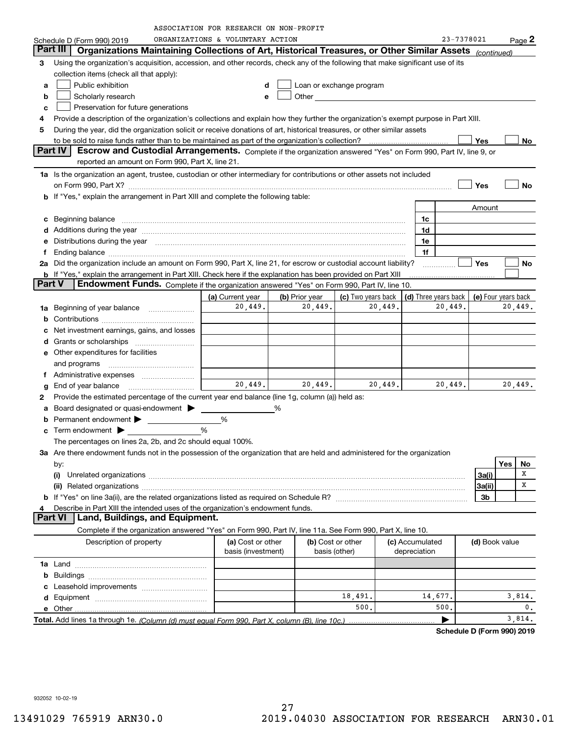| ORGANIZATIONS & VOLUNTARY ACTION<br>23-7378021<br>$Page$ 2<br>Schedule D (Form 990) 2019<br>Part III<br>Organizations Maintaining Collections of Art, Historical Treasures, or Other Similar Assets<br>(continued)<br>Using the organization's acquisition, accession, and other records, check any of the following that make significant use of its<br>3<br>collection items (check all that apply):<br>Public exhibition<br>Loan or exchange program<br>a<br>d<br>Other the contract of the contract of the contract of the contract of the contract of the contract of the contract of the contract of the contract of the contract of the contract of the contract of the contract of the cont<br>Scholarly research<br>b<br>е<br>Preservation for future generations<br>c<br>Provide a description of the organization's collections and explain how they further the organization's exempt purpose in Part XIII.<br>4<br>During the year, did the organization solicit or receive donations of art, historical treasures, or other similar assets<br>5<br>Yes<br>No<br><b>Part IV</b><br>Escrow and Custodial Arrangements. Complete if the organization answered "Yes" on Form 990, Part IV, line 9, or<br>reported an amount on Form 990, Part X, line 21.<br>1a Is the organization an agent, trustee, custodian or other intermediary for contributions or other assets not included<br>Yes<br>No<br>on Form 990, Part X? [11] matter contracts and contracts and contracts are contracted and contracts are contracted and contract and contract of the contract of the contract of the contract of the contract of the contract o<br>If "Yes," explain the arrangement in Part XIII and complete the following table:<br>Amount<br>Beginning balance manufactured and contain an account of the state of the state of the state of the state of the state of the state of the state of the state of the state of the state of the state of the state of the state<br>1c<br>с<br>1d<br>Additions during the year manufactured and an annual contract of the year manufactured and a set of the year manufactured and a set of the year manufactured and a set of the year manufactured and a set of the year manufact<br>Distributions during the year manufactured and continuum control of the year manufactured and the year manufactured and the year manufactured and the year manufactured and the year manufactured and the year manufactured an<br>1e<br>е<br>1f<br>f<br>2a Did the organization include an amount on Form 990, Part X, line 21, for escrow or custodial account liability?<br>Yes<br>No<br><b>b</b> If "Yes," explain the arrangement in Part XIII. Check here if the explanation has been provided on Part XIII<br><b>Part V</b><br>Endowment Funds. Complete if the organization answered "Yes" on Form 990, Part IV, line 10.<br>(c) Two years back<br>(a) Current year<br>(b) Prior year<br>(d) Three years back<br>(e) Four years back<br>20,449.<br>20,449.<br>20,449.<br>20,449.<br>20,449.<br>Beginning of year balance<br>1a<br>b<br>Net investment earnings, gains, and losses<br>d<br>e Other expenditures for facilities<br>and programs<br>20,449.<br>20,449.<br>20,449.<br>20,449.<br>20,449.<br>End of year balance<br>g<br>Provide the estimated percentage of the current year end balance (line 1g, column (a)) held as:<br>2<br>Board designated or quasi-endowment<br>Permanent endowment > 1<br>%<br>%<br>Term endowment <b>Department</b><br>с<br>The percentages on lines 2a, 2b, and 2c should equal 100%.<br>3a Are there endowment funds not in the possession of the organization that are held and administered for the organization<br>Yes<br>No<br>by:<br>х<br>3a(i)<br>х<br>3a(ii)<br>3b<br>Describe in Part XIII the intended uses of the organization's endowment funds.<br><b>Part VI</b><br>Land, Buildings, and Equipment.<br>Complete if the organization answered "Yes" on Form 990, Part IV, line 11a. See Form 990, Part X, line 10.<br>(a) Cost or other<br>(b) Cost or other<br>(c) Accumulated<br>Description of property<br>(d) Book value<br>basis (investment)<br>basis (other)<br>depreciation<br>b<br>с<br>18,491.<br>14,677.<br>3,814.<br>d<br>500.<br>500.<br>$\mathbf{0}$ .<br>3,814.<br>▶ |  | ASSOCIATION FOR RESEARCH ON NON-PROFIT |  |  |  |  |
|------------------------------------------------------------------------------------------------------------------------------------------------------------------------------------------------------------------------------------------------------------------------------------------------------------------------------------------------------------------------------------------------------------------------------------------------------------------------------------------------------------------------------------------------------------------------------------------------------------------------------------------------------------------------------------------------------------------------------------------------------------------------------------------------------------------------------------------------------------------------------------------------------------------------------------------------------------------------------------------------------------------------------------------------------------------------------------------------------------------------------------------------------------------------------------------------------------------------------------------------------------------------------------------------------------------------------------------------------------------------------------------------------------------------------------------------------------------------------------------------------------------------------------------------------------------------------------------------------------------------------------------------------------------------------------------------------------------------------------------------------------------------------------------------------------------------------------------------------------------------------------------------------------------------------------------------------------------------------------------------------------------------------------------------------------------------------------------------------------------------------------------------------------------------------------------------------------------------------------------------------------------------------------------------------------------------------------------------------------------------------------------------------------------------------------------------------------------------------------------------------------------------------------------------------------------------------------------------------------------------------------------------------------------------------------------------------------------------------------------------------------------------------------------------------------------------------------------------------------------------------------------------------------------------------------------------------------------------------------------------------------------------------------------------------------------------------------------------------------------------------------------------------------------------------------------------------------------------------------------------------------------------------------------------------------------------------------------------------------------------------------------------------------------------------------------------------------------------------------------------------------------------------------------------------------------------------------------------------------------------------------------------------------------------------------------------------------------------------------------------------------------------------------------------------------------------------------------------------------------------------------------------------------------------------------------------------------------------------------------------------------------------------------------------------------------------------------------------------------------------------------------------------------------------------------------------------------------------------------------------------------------------------------|--|----------------------------------------|--|--|--|--|
|                                                                                                                                                                                                                                                                                                                                                                                                                                                                                                                                                                                                                                                                                                                                                                                                                                                                                                                                                                                                                                                                                                                                                                                                                                                                                                                                                                                                                                                                                                                                                                                                                                                                                                                                                                                                                                                                                                                                                                                                                                                                                                                                                                                                                                                                                                                                                                                                                                                                                                                                                                                                                                                                                                                                                                                                                                                                                                                                                                                                                                                                                                                                                                                                                                                                                                                                                                                                                                                                                                                                                                                                                                                                                                                                                                                                                                                                                                                                                                                                                                                                                                                                                                                                                                                                                    |  |                                        |  |  |  |  |
|                                                                                                                                                                                                                                                                                                                                                                                                                                                                                                                                                                                                                                                                                                                                                                                                                                                                                                                                                                                                                                                                                                                                                                                                                                                                                                                                                                                                                                                                                                                                                                                                                                                                                                                                                                                                                                                                                                                                                                                                                                                                                                                                                                                                                                                                                                                                                                                                                                                                                                                                                                                                                                                                                                                                                                                                                                                                                                                                                                                                                                                                                                                                                                                                                                                                                                                                                                                                                                                                                                                                                                                                                                                                                                                                                                                                                                                                                                                                                                                                                                                                                                                                                                                                                                                                                    |  |                                        |  |  |  |  |
|                                                                                                                                                                                                                                                                                                                                                                                                                                                                                                                                                                                                                                                                                                                                                                                                                                                                                                                                                                                                                                                                                                                                                                                                                                                                                                                                                                                                                                                                                                                                                                                                                                                                                                                                                                                                                                                                                                                                                                                                                                                                                                                                                                                                                                                                                                                                                                                                                                                                                                                                                                                                                                                                                                                                                                                                                                                                                                                                                                                                                                                                                                                                                                                                                                                                                                                                                                                                                                                                                                                                                                                                                                                                                                                                                                                                                                                                                                                                                                                                                                                                                                                                                                                                                                                                                    |  |                                        |  |  |  |  |
|                                                                                                                                                                                                                                                                                                                                                                                                                                                                                                                                                                                                                                                                                                                                                                                                                                                                                                                                                                                                                                                                                                                                                                                                                                                                                                                                                                                                                                                                                                                                                                                                                                                                                                                                                                                                                                                                                                                                                                                                                                                                                                                                                                                                                                                                                                                                                                                                                                                                                                                                                                                                                                                                                                                                                                                                                                                                                                                                                                                                                                                                                                                                                                                                                                                                                                                                                                                                                                                                                                                                                                                                                                                                                                                                                                                                                                                                                                                                                                                                                                                                                                                                                                                                                                                                                    |  |                                        |  |  |  |  |
|                                                                                                                                                                                                                                                                                                                                                                                                                                                                                                                                                                                                                                                                                                                                                                                                                                                                                                                                                                                                                                                                                                                                                                                                                                                                                                                                                                                                                                                                                                                                                                                                                                                                                                                                                                                                                                                                                                                                                                                                                                                                                                                                                                                                                                                                                                                                                                                                                                                                                                                                                                                                                                                                                                                                                                                                                                                                                                                                                                                                                                                                                                                                                                                                                                                                                                                                                                                                                                                                                                                                                                                                                                                                                                                                                                                                                                                                                                                                                                                                                                                                                                                                                                                                                                                                                    |  |                                        |  |  |  |  |
|                                                                                                                                                                                                                                                                                                                                                                                                                                                                                                                                                                                                                                                                                                                                                                                                                                                                                                                                                                                                                                                                                                                                                                                                                                                                                                                                                                                                                                                                                                                                                                                                                                                                                                                                                                                                                                                                                                                                                                                                                                                                                                                                                                                                                                                                                                                                                                                                                                                                                                                                                                                                                                                                                                                                                                                                                                                                                                                                                                                                                                                                                                                                                                                                                                                                                                                                                                                                                                                                                                                                                                                                                                                                                                                                                                                                                                                                                                                                                                                                                                                                                                                                                                                                                                                                                    |  |                                        |  |  |  |  |
|                                                                                                                                                                                                                                                                                                                                                                                                                                                                                                                                                                                                                                                                                                                                                                                                                                                                                                                                                                                                                                                                                                                                                                                                                                                                                                                                                                                                                                                                                                                                                                                                                                                                                                                                                                                                                                                                                                                                                                                                                                                                                                                                                                                                                                                                                                                                                                                                                                                                                                                                                                                                                                                                                                                                                                                                                                                                                                                                                                                                                                                                                                                                                                                                                                                                                                                                                                                                                                                                                                                                                                                                                                                                                                                                                                                                                                                                                                                                                                                                                                                                                                                                                                                                                                                                                    |  |                                        |  |  |  |  |
|                                                                                                                                                                                                                                                                                                                                                                                                                                                                                                                                                                                                                                                                                                                                                                                                                                                                                                                                                                                                                                                                                                                                                                                                                                                                                                                                                                                                                                                                                                                                                                                                                                                                                                                                                                                                                                                                                                                                                                                                                                                                                                                                                                                                                                                                                                                                                                                                                                                                                                                                                                                                                                                                                                                                                                                                                                                                                                                                                                                                                                                                                                                                                                                                                                                                                                                                                                                                                                                                                                                                                                                                                                                                                                                                                                                                                                                                                                                                                                                                                                                                                                                                                                                                                                                                                    |  |                                        |  |  |  |  |
|                                                                                                                                                                                                                                                                                                                                                                                                                                                                                                                                                                                                                                                                                                                                                                                                                                                                                                                                                                                                                                                                                                                                                                                                                                                                                                                                                                                                                                                                                                                                                                                                                                                                                                                                                                                                                                                                                                                                                                                                                                                                                                                                                                                                                                                                                                                                                                                                                                                                                                                                                                                                                                                                                                                                                                                                                                                                                                                                                                                                                                                                                                                                                                                                                                                                                                                                                                                                                                                                                                                                                                                                                                                                                                                                                                                                                                                                                                                                                                                                                                                                                                                                                                                                                                                                                    |  |                                        |  |  |  |  |
|                                                                                                                                                                                                                                                                                                                                                                                                                                                                                                                                                                                                                                                                                                                                                                                                                                                                                                                                                                                                                                                                                                                                                                                                                                                                                                                                                                                                                                                                                                                                                                                                                                                                                                                                                                                                                                                                                                                                                                                                                                                                                                                                                                                                                                                                                                                                                                                                                                                                                                                                                                                                                                                                                                                                                                                                                                                                                                                                                                                                                                                                                                                                                                                                                                                                                                                                                                                                                                                                                                                                                                                                                                                                                                                                                                                                                                                                                                                                                                                                                                                                                                                                                                                                                                                                                    |  |                                        |  |  |  |  |
|                                                                                                                                                                                                                                                                                                                                                                                                                                                                                                                                                                                                                                                                                                                                                                                                                                                                                                                                                                                                                                                                                                                                                                                                                                                                                                                                                                                                                                                                                                                                                                                                                                                                                                                                                                                                                                                                                                                                                                                                                                                                                                                                                                                                                                                                                                                                                                                                                                                                                                                                                                                                                                                                                                                                                                                                                                                                                                                                                                                                                                                                                                                                                                                                                                                                                                                                                                                                                                                                                                                                                                                                                                                                                                                                                                                                                                                                                                                                                                                                                                                                                                                                                                                                                                                                                    |  |                                        |  |  |  |  |
|                                                                                                                                                                                                                                                                                                                                                                                                                                                                                                                                                                                                                                                                                                                                                                                                                                                                                                                                                                                                                                                                                                                                                                                                                                                                                                                                                                                                                                                                                                                                                                                                                                                                                                                                                                                                                                                                                                                                                                                                                                                                                                                                                                                                                                                                                                                                                                                                                                                                                                                                                                                                                                                                                                                                                                                                                                                                                                                                                                                                                                                                                                                                                                                                                                                                                                                                                                                                                                                                                                                                                                                                                                                                                                                                                                                                                                                                                                                                                                                                                                                                                                                                                                                                                                                                                    |  |                                        |  |  |  |  |
|                                                                                                                                                                                                                                                                                                                                                                                                                                                                                                                                                                                                                                                                                                                                                                                                                                                                                                                                                                                                                                                                                                                                                                                                                                                                                                                                                                                                                                                                                                                                                                                                                                                                                                                                                                                                                                                                                                                                                                                                                                                                                                                                                                                                                                                                                                                                                                                                                                                                                                                                                                                                                                                                                                                                                                                                                                                                                                                                                                                                                                                                                                                                                                                                                                                                                                                                                                                                                                                                                                                                                                                                                                                                                                                                                                                                                                                                                                                                                                                                                                                                                                                                                                                                                                                                                    |  |                                        |  |  |  |  |
|                                                                                                                                                                                                                                                                                                                                                                                                                                                                                                                                                                                                                                                                                                                                                                                                                                                                                                                                                                                                                                                                                                                                                                                                                                                                                                                                                                                                                                                                                                                                                                                                                                                                                                                                                                                                                                                                                                                                                                                                                                                                                                                                                                                                                                                                                                                                                                                                                                                                                                                                                                                                                                                                                                                                                                                                                                                                                                                                                                                                                                                                                                                                                                                                                                                                                                                                                                                                                                                                                                                                                                                                                                                                                                                                                                                                                                                                                                                                                                                                                                                                                                                                                                                                                                                                                    |  |                                        |  |  |  |  |
|                                                                                                                                                                                                                                                                                                                                                                                                                                                                                                                                                                                                                                                                                                                                                                                                                                                                                                                                                                                                                                                                                                                                                                                                                                                                                                                                                                                                                                                                                                                                                                                                                                                                                                                                                                                                                                                                                                                                                                                                                                                                                                                                                                                                                                                                                                                                                                                                                                                                                                                                                                                                                                                                                                                                                                                                                                                                                                                                                                                                                                                                                                                                                                                                                                                                                                                                                                                                                                                                                                                                                                                                                                                                                                                                                                                                                                                                                                                                                                                                                                                                                                                                                                                                                                                                                    |  |                                        |  |  |  |  |
|                                                                                                                                                                                                                                                                                                                                                                                                                                                                                                                                                                                                                                                                                                                                                                                                                                                                                                                                                                                                                                                                                                                                                                                                                                                                                                                                                                                                                                                                                                                                                                                                                                                                                                                                                                                                                                                                                                                                                                                                                                                                                                                                                                                                                                                                                                                                                                                                                                                                                                                                                                                                                                                                                                                                                                                                                                                                                                                                                                                                                                                                                                                                                                                                                                                                                                                                                                                                                                                                                                                                                                                                                                                                                                                                                                                                                                                                                                                                                                                                                                                                                                                                                                                                                                                                                    |  |                                        |  |  |  |  |
|                                                                                                                                                                                                                                                                                                                                                                                                                                                                                                                                                                                                                                                                                                                                                                                                                                                                                                                                                                                                                                                                                                                                                                                                                                                                                                                                                                                                                                                                                                                                                                                                                                                                                                                                                                                                                                                                                                                                                                                                                                                                                                                                                                                                                                                                                                                                                                                                                                                                                                                                                                                                                                                                                                                                                                                                                                                                                                                                                                                                                                                                                                                                                                                                                                                                                                                                                                                                                                                                                                                                                                                                                                                                                                                                                                                                                                                                                                                                                                                                                                                                                                                                                                                                                                                                                    |  |                                        |  |  |  |  |
|                                                                                                                                                                                                                                                                                                                                                                                                                                                                                                                                                                                                                                                                                                                                                                                                                                                                                                                                                                                                                                                                                                                                                                                                                                                                                                                                                                                                                                                                                                                                                                                                                                                                                                                                                                                                                                                                                                                                                                                                                                                                                                                                                                                                                                                                                                                                                                                                                                                                                                                                                                                                                                                                                                                                                                                                                                                                                                                                                                                                                                                                                                                                                                                                                                                                                                                                                                                                                                                                                                                                                                                                                                                                                                                                                                                                                                                                                                                                                                                                                                                                                                                                                                                                                                                                                    |  |                                        |  |  |  |  |
|                                                                                                                                                                                                                                                                                                                                                                                                                                                                                                                                                                                                                                                                                                                                                                                                                                                                                                                                                                                                                                                                                                                                                                                                                                                                                                                                                                                                                                                                                                                                                                                                                                                                                                                                                                                                                                                                                                                                                                                                                                                                                                                                                                                                                                                                                                                                                                                                                                                                                                                                                                                                                                                                                                                                                                                                                                                                                                                                                                                                                                                                                                                                                                                                                                                                                                                                                                                                                                                                                                                                                                                                                                                                                                                                                                                                                                                                                                                                                                                                                                                                                                                                                                                                                                                                                    |  |                                        |  |  |  |  |
|                                                                                                                                                                                                                                                                                                                                                                                                                                                                                                                                                                                                                                                                                                                                                                                                                                                                                                                                                                                                                                                                                                                                                                                                                                                                                                                                                                                                                                                                                                                                                                                                                                                                                                                                                                                                                                                                                                                                                                                                                                                                                                                                                                                                                                                                                                                                                                                                                                                                                                                                                                                                                                                                                                                                                                                                                                                                                                                                                                                                                                                                                                                                                                                                                                                                                                                                                                                                                                                                                                                                                                                                                                                                                                                                                                                                                                                                                                                                                                                                                                                                                                                                                                                                                                                                                    |  |                                        |  |  |  |  |
|                                                                                                                                                                                                                                                                                                                                                                                                                                                                                                                                                                                                                                                                                                                                                                                                                                                                                                                                                                                                                                                                                                                                                                                                                                                                                                                                                                                                                                                                                                                                                                                                                                                                                                                                                                                                                                                                                                                                                                                                                                                                                                                                                                                                                                                                                                                                                                                                                                                                                                                                                                                                                                                                                                                                                                                                                                                                                                                                                                                                                                                                                                                                                                                                                                                                                                                                                                                                                                                                                                                                                                                                                                                                                                                                                                                                                                                                                                                                                                                                                                                                                                                                                                                                                                                                                    |  |                                        |  |  |  |  |
|                                                                                                                                                                                                                                                                                                                                                                                                                                                                                                                                                                                                                                                                                                                                                                                                                                                                                                                                                                                                                                                                                                                                                                                                                                                                                                                                                                                                                                                                                                                                                                                                                                                                                                                                                                                                                                                                                                                                                                                                                                                                                                                                                                                                                                                                                                                                                                                                                                                                                                                                                                                                                                                                                                                                                                                                                                                                                                                                                                                                                                                                                                                                                                                                                                                                                                                                                                                                                                                                                                                                                                                                                                                                                                                                                                                                                                                                                                                                                                                                                                                                                                                                                                                                                                                                                    |  |                                        |  |  |  |  |
|                                                                                                                                                                                                                                                                                                                                                                                                                                                                                                                                                                                                                                                                                                                                                                                                                                                                                                                                                                                                                                                                                                                                                                                                                                                                                                                                                                                                                                                                                                                                                                                                                                                                                                                                                                                                                                                                                                                                                                                                                                                                                                                                                                                                                                                                                                                                                                                                                                                                                                                                                                                                                                                                                                                                                                                                                                                                                                                                                                                                                                                                                                                                                                                                                                                                                                                                                                                                                                                                                                                                                                                                                                                                                                                                                                                                                                                                                                                                                                                                                                                                                                                                                                                                                                                                                    |  |                                        |  |  |  |  |
|                                                                                                                                                                                                                                                                                                                                                                                                                                                                                                                                                                                                                                                                                                                                                                                                                                                                                                                                                                                                                                                                                                                                                                                                                                                                                                                                                                                                                                                                                                                                                                                                                                                                                                                                                                                                                                                                                                                                                                                                                                                                                                                                                                                                                                                                                                                                                                                                                                                                                                                                                                                                                                                                                                                                                                                                                                                                                                                                                                                                                                                                                                                                                                                                                                                                                                                                                                                                                                                                                                                                                                                                                                                                                                                                                                                                                                                                                                                                                                                                                                                                                                                                                                                                                                                                                    |  |                                        |  |  |  |  |
|                                                                                                                                                                                                                                                                                                                                                                                                                                                                                                                                                                                                                                                                                                                                                                                                                                                                                                                                                                                                                                                                                                                                                                                                                                                                                                                                                                                                                                                                                                                                                                                                                                                                                                                                                                                                                                                                                                                                                                                                                                                                                                                                                                                                                                                                                                                                                                                                                                                                                                                                                                                                                                                                                                                                                                                                                                                                                                                                                                                                                                                                                                                                                                                                                                                                                                                                                                                                                                                                                                                                                                                                                                                                                                                                                                                                                                                                                                                                                                                                                                                                                                                                                                                                                                                                                    |  |                                        |  |  |  |  |
|                                                                                                                                                                                                                                                                                                                                                                                                                                                                                                                                                                                                                                                                                                                                                                                                                                                                                                                                                                                                                                                                                                                                                                                                                                                                                                                                                                                                                                                                                                                                                                                                                                                                                                                                                                                                                                                                                                                                                                                                                                                                                                                                                                                                                                                                                                                                                                                                                                                                                                                                                                                                                                                                                                                                                                                                                                                                                                                                                                                                                                                                                                                                                                                                                                                                                                                                                                                                                                                                                                                                                                                                                                                                                                                                                                                                                                                                                                                                                                                                                                                                                                                                                                                                                                                                                    |  |                                        |  |  |  |  |
|                                                                                                                                                                                                                                                                                                                                                                                                                                                                                                                                                                                                                                                                                                                                                                                                                                                                                                                                                                                                                                                                                                                                                                                                                                                                                                                                                                                                                                                                                                                                                                                                                                                                                                                                                                                                                                                                                                                                                                                                                                                                                                                                                                                                                                                                                                                                                                                                                                                                                                                                                                                                                                                                                                                                                                                                                                                                                                                                                                                                                                                                                                                                                                                                                                                                                                                                                                                                                                                                                                                                                                                                                                                                                                                                                                                                                                                                                                                                                                                                                                                                                                                                                                                                                                                                                    |  |                                        |  |  |  |  |
|                                                                                                                                                                                                                                                                                                                                                                                                                                                                                                                                                                                                                                                                                                                                                                                                                                                                                                                                                                                                                                                                                                                                                                                                                                                                                                                                                                                                                                                                                                                                                                                                                                                                                                                                                                                                                                                                                                                                                                                                                                                                                                                                                                                                                                                                                                                                                                                                                                                                                                                                                                                                                                                                                                                                                                                                                                                                                                                                                                                                                                                                                                                                                                                                                                                                                                                                                                                                                                                                                                                                                                                                                                                                                                                                                                                                                                                                                                                                                                                                                                                                                                                                                                                                                                                                                    |  |                                        |  |  |  |  |
|                                                                                                                                                                                                                                                                                                                                                                                                                                                                                                                                                                                                                                                                                                                                                                                                                                                                                                                                                                                                                                                                                                                                                                                                                                                                                                                                                                                                                                                                                                                                                                                                                                                                                                                                                                                                                                                                                                                                                                                                                                                                                                                                                                                                                                                                                                                                                                                                                                                                                                                                                                                                                                                                                                                                                                                                                                                                                                                                                                                                                                                                                                                                                                                                                                                                                                                                                                                                                                                                                                                                                                                                                                                                                                                                                                                                                                                                                                                                                                                                                                                                                                                                                                                                                                                                                    |  |                                        |  |  |  |  |
|                                                                                                                                                                                                                                                                                                                                                                                                                                                                                                                                                                                                                                                                                                                                                                                                                                                                                                                                                                                                                                                                                                                                                                                                                                                                                                                                                                                                                                                                                                                                                                                                                                                                                                                                                                                                                                                                                                                                                                                                                                                                                                                                                                                                                                                                                                                                                                                                                                                                                                                                                                                                                                                                                                                                                                                                                                                                                                                                                                                                                                                                                                                                                                                                                                                                                                                                                                                                                                                                                                                                                                                                                                                                                                                                                                                                                                                                                                                                                                                                                                                                                                                                                                                                                                                                                    |  |                                        |  |  |  |  |
|                                                                                                                                                                                                                                                                                                                                                                                                                                                                                                                                                                                                                                                                                                                                                                                                                                                                                                                                                                                                                                                                                                                                                                                                                                                                                                                                                                                                                                                                                                                                                                                                                                                                                                                                                                                                                                                                                                                                                                                                                                                                                                                                                                                                                                                                                                                                                                                                                                                                                                                                                                                                                                                                                                                                                                                                                                                                                                                                                                                                                                                                                                                                                                                                                                                                                                                                                                                                                                                                                                                                                                                                                                                                                                                                                                                                                                                                                                                                                                                                                                                                                                                                                                                                                                                                                    |  |                                        |  |  |  |  |
|                                                                                                                                                                                                                                                                                                                                                                                                                                                                                                                                                                                                                                                                                                                                                                                                                                                                                                                                                                                                                                                                                                                                                                                                                                                                                                                                                                                                                                                                                                                                                                                                                                                                                                                                                                                                                                                                                                                                                                                                                                                                                                                                                                                                                                                                                                                                                                                                                                                                                                                                                                                                                                                                                                                                                                                                                                                                                                                                                                                                                                                                                                                                                                                                                                                                                                                                                                                                                                                                                                                                                                                                                                                                                                                                                                                                                                                                                                                                                                                                                                                                                                                                                                                                                                                                                    |  |                                        |  |  |  |  |
|                                                                                                                                                                                                                                                                                                                                                                                                                                                                                                                                                                                                                                                                                                                                                                                                                                                                                                                                                                                                                                                                                                                                                                                                                                                                                                                                                                                                                                                                                                                                                                                                                                                                                                                                                                                                                                                                                                                                                                                                                                                                                                                                                                                                                                                                                                                                                                                                                                                                                                                                                                                                                                                                                                                                                                                                                                                                                                                                                                                                                                                                                                                                                                                                                                                                                                                                                                                                                                                                                                                                                                                                                                                                                                                                                                                                                                                                                                                                                                                                                                                                                                                                                                                                                                                                                    |  |                                        |  |  |  |  |
|                                                                                                                                                                                                                                                                                                                                                                                                                                                                                                                                                                                                                                                                                                                                                                                                                                                                                                                                                                                                                                                                                                                                                                                                                                                                                                                                                                                                                                                                                                                                                                                                                                                                                                                                                                                                                                                                                                                                                                                                                                                                                                                                                                                                                                                                                                                                                                                                                                                                                                                                                                                                                                                                                                                                                                                                                                                                                                                                                                                                                                                                                                                                                                                                                                                                                                                                                                                                                                                                                                                                                                                                                                                                                                                                                                                                                                                                                                                                                                                                                                                                                                                                                                                                                                                                                    |  |                                        |  |  |  |  |
|                                                                                                                                                                                                                                                                                                                                                                                                                                                                                                                                                                                                                                                                                                                                                                                                                                                                                                                                                                                                                                                                                                                                                                                                                                                                                                                                                                                                                                                                                                                                                                                                                                                                                                                                                                                                                                                                                                                                                                                                                                                                                                                                                                                                                                                                                                                                                                                                                                                                                                                                                                                                                                                                                                                                                                                                                                                                                                                                                                                                                                                                                                                                                                                                                                                                                                                                                                                                                                                                                                                                                                                                                                                                                                                                                                                                                                                                                                                                                                                                                                                                                                                                                                                                                                                                                    |  |                                        |  |  |  |  |
|                                                                                                                                                                                                                                                                                                                                                                                                                                                                                                                                                                                                                                                                                                                                                                                                                                                                                                                                                                                                                                                                                                                                                                                                                                                                                                                                                                                                                                                                                                                                                                                                                                                                                                                                                                                                                                                                                                                                                                                                                                                                                                                                                                                                                                                                                                                                                                                                                                                                                                                                                                                                                                                                                                                                                                                                                                                                                                                                                                                                                                                                                                                                                                                                                                                                                                                                                                                                                                                                                                                                                                                                                                                                                                                                                                                                                                                                                                                                                                                                                                                                                                                                                                                                                                                                                    |  |                                        |  |  |  |  |
|                                                                                                                                                                                                                                                                                                                                                                                                                                                                                                                                                                                                                                                                                                                                                                                                                                                                                                                                                                                                                                                                                                                                                                                                                                                                                                                                                                                                                                                                                                                                                                                                                                                                                                                                                                                                                                                                                                                                                                                                                                                                                                                                                                                                                                                                                                                                                                                                                                                                                                                                                                                                                                                                                                                                                                                                                                                                                                                                                                                                                                                                                                                                                                                                                                                                                                                                                                                                                                                                                                                                                                                                                                                                                                                                                                                                                                                                                                                                                                                                                                                                                                                                                                                                                                                                                    |  |                                        |  |  |  |  |
|                                                                                                                                                                                                                                                                                                                                                                                                                                                                                                                                                                                                                                                                                                                                                                                                                                                                                                                                                                                                                                                                                                                                                                                                                                                                                                                                                                                                                                                                                                                                                                                                                                                                                                                                                                                                                                                                                                                                                                                                                                                                                                                                                                                                                                                                                                                                                                                                                                                                                                                                                                                                                                                                                                                                                                                                                                                                                                                                                                                                                                                                                                                                                                                                                                                                                                                                                                                                                                                                                                                                                                                                                                                                                                                                                                                                                                                                                                                                                                                                                                                                                                                                                                                                                                                                                    |  |                                        |  |  |  |  |
|                                                                                                                                                                                                                                                                                                                                                                                                                                                                                                                                                                                                                                                                                                                                                                                                                                                                                                                                                                                                                                                                                                                                                                                                                                                                                                                                                                                                                                                                                                                                                                                                                                                                                                                                                                                                                                                                                                                                                                                                                                                                                                                                                                                                                                                                                                                                                                                                                                                                                                                                                                                                                                                                                                                                                                                                                                                                                                                                                                                                                                                                                                                                                                                                                                                                                                                                                                                                                                                                                                                                                                                                                                                                                                                                                                                                                                                                                                                                                                                                                                                                                                                                                                                                                                                                                    |  |                                        |  |  |  |  |
|                                                                                                                                                                                                                                                                                                                                                                                                                                                                                                                                                                                                                                                                                                                                                                                                                                                                                                                                                                                                                                                                                                                                                                                                                                                                                                                                                                                                                                                                                                                                                                                                                                                                                                                                                                                                                                                                                                                                                                                                                                                                                                                                                                                                                                                                                                                                                                                                                                                                                                                                                                                                                                                                                                                                                                                                                                                                                                                                                                                                                                                                                                                                                                                                                                                                                                                                                                                                                                                                                                                                                                                                                                                                                                                                                                                                                                                                                                                                                                                                                                                                                                                                                                                                                                                                                    |  |                                        |  |  |  |  |
|                                                                                                                                                                                                                                                                                                                                                                                                                                                                                                                                                                                                                                                                                                                                                                                                                                                                                                                                                                                                                                                                                                                                                                                                                                                                                                                                                                                                                                                                                                                                                                                                                                                                                                                                                                                                                                                                                                                                                                                                                                                                                                                                                                                                                                                                                                                                                                                                                                                                                                                                                                                                                                                                                                                                                                                                                                                                                                                                                                                                                                                                                                                                                                                                                                                                                                                                                                                                                                                                                                                                                                                                                                                                                                                                                                                                                                                                                                                                                                                                                                                                                                                                                                                                                                                                                    |  |                                        |  |  |  |  |
|                                                                                                                                                                                                                                                                                                                                                                                                                                                                                                                                                                                                                                                                                                                                                                                                                                                                                                                                                                                                                                                                                                                                                                                                                                                                                                                                                                                                                                                                                                                                                                                                                                                                                                                                                                                                                                                                                                                                                                                                                                                                                                                                                                                                                                                                                                                                                                                                                                                                                                                                                                                                                                                                                                                                                                                                                                                                                                                                                                                                                                                                                                                                                                                                                                                                                                                                                                                                                                                                                                                                                                                                                                                                                                                                                                                                                                                                                                                                                                                                                                                                                                                                                                                                                                                                                    |  |                                        |  |  |  |  |
|                                                                                                                                                                                                                                                                                                                                                                                                                                                                                                                                                                                                                                                                                                                                                                                                                                                                                                                                                                                                                                                                                                                                                                                                                                                                                                                                                                                                                                                                                                                                                                                                                                                                                                                                                                                                                                                                                                                                                                                                                                                                                                                                                                                                                                                                                                                                                                                                                                                                                                                                                                                                                                                                                                                                                                                                                                                                                                                                                                                                                                                                                                                                                                                                                                                                                                                                                                                                                                                                                                                                                                                                                                                                                                                                                                                                                                                                                                                                                                                                                                                                                                                                                                                                                                                                                    |  |                                        |  |  |  |  |
|                                                                                                                                                                                                                                                                                                                                                                                                                                                                                                                                                                                                                                                                                                                                                                                                                                                                                                                                                                                                                                                                                                                                                                                                                                                                                                                                                                                                                                                                                                                                                                                                                                                                                                                                                                                                                                                                                                                                                                                                                                                                                                                                                                                                                                                                                                                                                                                                                                                                                                                                                                                                                                                                                                                                                                                                                                                                                                                                                                                                                                                                                                                                                                                                                                                                                                                                                                                                                                                                                                                                                                                                                                                                                                                                                                                                                                                                                                                                                                                                                                                                                                                                                                                                                                                                                    |  |                                        |  |  |  |  |
|                                                                                                                                                                                                                                                                                                                                                                                                                                                                                                                                                                                                                                                                                                                                                                                                                                                                                                                                                                                                                                                                                                                                                                                                                                                                                                                                                                                                                                                                                                                                                                                                                                                                                                                                                                                                                                                                                                                                                                                                                                                                                                                                                                                                                                                                                                                                                                                                                                                                                                                                                                                                                                                                                                                                                                                                                                                                                                                                                                                                                                                                                                                                                                                                                                                                                                                                                                                                                                                                                                                                                                                                                                                                                                                                                                                                                                                                                                                                                                                                                                                                                                                                                                                                                                                                                    |  |                                        |  |  |  |  |
|                                                                                                                                                                                                                                                                                                                                                                                                                                                                                                                                                                                                                                                                                                                                                                                                                                                                                                                                                                                                                                                                                                                                                                                                                                                                                                                                                                                                                                                                                                                                                                                                                                                                                                                                                                                                                                                                                                                                                                                                                                                                                                                                                                                                                                                                                                                                                                                                                                                                                                                                                                                                                                                                                                                                                                                                                                                                                                                                                                                                                                                                                                                                                                                                                                                                                                                                                                                                                                                                                                                                                                                                                                                                                                                                                                                                                                                                                                                                                                                                                                                                                                                                                                                                                                                                                    |  |                                        |  |  |  |  |
|                                                                                                                                                                                                                                                                                                                                                                                                                                                                                                                                                                                                                                                                                                                                                                                                                                                                                                                                                                                                                                                                                                                                                                                                                                                                                                                                                                                                                                                                                                                                                                                                                                                                                                                                                                                                                                                                                                                                                                                                                                                                                                                                                                                                                                                                                                                                                                                                                                                                                                                                                                                                                                                                                                                                                                                                                                                                                                                                                                                                                                                                                                                                                                                                                                                                                                                                                                                                                                                                                                                                                                                                                                                                                                                                                                                                                                                                                                                                                                                                                                                                                                                                                                                                                                                                                    |  |                                        |  |  |  |  |
|                                                                                                                                                                                                                                                                                                                                                                                                                                                                                                                                                                                                                                                                                                                                                                                                                                                                                                                                                                                                                                                                                                                                                                                                                                                                                                                                                                                                                                                                                                                                                                                                                                                                                                                                                                                                                                                                                                                                                                                                                                                                                                                                                                                                                                                                                                                                                                                                                                                                                                                                                                                                                                                                                                                                                                                                                                                                                                                                                                                                                                                                                                                                                                                                                                                                                                                                                                                                                                                                                                                                                                                                                                                                                                                                                                                                                                                                                                                                                                                                                                                                                                                                                                                                                                                                                    |  |                                        |  |  |  |  |
|                                                                                                                                                                                                                                                                                                                                                                                                                                                                                                                                                                                                                                                                                                                                                                                                                                                                                                                                                                                                                                                                                                                                                                                                                                                                                                                                                                                                                                                                                                                                                                                                                                                                                                                                                                                                                                                                                                                                                                                                                                                                                                                                                                                                                                                                                                                                                                                                                                                                                                                                                                                                                                                                                                                                                                                                                                                                                                                                                                                                                                                                                                                                                                                                                                                                                                                                                                                                                                                                                                                                                                                                                                                                                                                                                                                                                                                                                                                                                                                                                                                                                                                                                                                                                                                                                    |  |                                        |  |  |  |  |
|                                                                                                                                                                                                                                                                                                                                                                                                                                                                                                                                                                                                                                                                                                                                                                                                                                                                                                                                                                                                                                                                                                                                                                                                                                                                                                                                                                                                                                                                                                                                                                                                                                                                                                                                                                                                                                                                                                                                                                                                                                                                                                                                                                                                                                                                                                                                                                                                                                                                                                                                                                                                                                                                                                                                                                                                                                                                                                                                                                                                                                                                                                                                                                                                                                                                                                                                                                                                                                                                                                                                                                                                                                                                                                                                                                                                                                                                                                                                                                                                                                                                                                                                                                                                                                                                                    |  |                                        |  |  |  |  |
|                                                                                                                                                                                                                                                                                                                                                                                                                                                                                                                                                                                                                                                                                                                                                                                                                                                                                                                                                                                                                                                                                                                                                                                                                                                                                                                                                                                                                                                                                                                                                                                                                                                                                                                                                                                                                                                                                                                                                                                                                                                                                                                                                                                                                                                                                                                                                                                                                                                                                                                                                                                                                                                                                                                                                                                                                                                                                                                                                                                                                                                                                                                                                                                                                                                                                                                                                                                                                                                                                                                                                                                                                                                                                                                                                                                                                                                                                                                                                                                                                                                                                                                                                                                                                                                                                    |  |                                        |  |  |  |  |
|                                                                                                                                                                                                                                                                                                                                                                                                                                                                                                                                                                                                                                                                                                                                                                                                                                                                                                                                                                                                                                                                                                                                                                                                                                                                                                                                                                                                                                                                                                                                                                                                                                                                                                                                                                                                                                                                                                                                                                                                                                                                                                                                                                                                                                                                                                                                                                                                                                                                                                                                                                                                                                                                                                                                                                                                                                                                                                                                                                                                                                                                                                                                                                                                                                                                                                                                                                                                                                                                                                                                                                                                                                                                                                                                                                                                                                                                                                                                                                                                                                                                                                                                                                                                                                                                                    |  |                                        |  |  |  |  |
|                                                                                                                                                                                                                                                                                                                                                                                                                                                                                                                                                                                                                                                                                                                                                                                                                                                                                                                                                                                                                                                                                                                                                                                                                                                                                                                                                                                                                                                                                                                                                                                                                                                                                                                                                                                                                                                                                                                                                                                                                                                                                                                                                                                                                                                                                                                                                                                                                                                                                                                                                                                                                                                                                                                                                                                                                                                                                                                                                                                                                                                                                                                                                                                                                                                                                                                                                                                                                                                                                                                                                                                                                                                                                                                                                                                                                                                                                                                                                                                                                                                                                                                                                                                                                                                                                    |  |                                        |  |  |  |  |
|                                                                                                                                                                                                                                                                                                                                                                                                                                                                                                                                                                                                                                                                                                                                                                                                                                                                                                                                                                                                                                                                                                                                                                                                                                                                                                                                                                                                                                                                                                                                                                                                                                                                                                                                                                                                                                                                                                                                                                                                                                                                                                                                                                                                                                                                                                                                                                                                                                                                                                                                                                                                                                                                                                                                                                                                                                                                                                                                                                                                                                                                                                                                                                                                                                                                                                                                                                                                                                                                                                                                                                                                                                                                                                                                                                                                                                                                                                                                                                                                                                                                                                                                                                                                                                                                                    |  |                                        |  |  |  |  |
|                                                                                                                                                                                                                                                                                                                                                                                                                                                                                                                                                                                                                                                                                                                                                                                                                                                                                                                                                                                                                                                                                                                                                                                                                                                                                                                                                                                                                                                                                                                                                                                                                                                                                                                                                                                                                                                                                                                                                                                                                                                                                                                                                                                                                                                                                                                                                                                                                                                                                                                                                                                                                                                                                                                                                                                                                                                                                                                                                                                                                                                                                                                                                                                                                                                                                                                                                                                                                                                                                                                                                                                                                                                                                                                                                                                                                                                                                                                                                                                                                                                                                                                                                                                                                                                                                    |  |                                        |  |  |  |  |

**Schedule D (Form 990) 2019**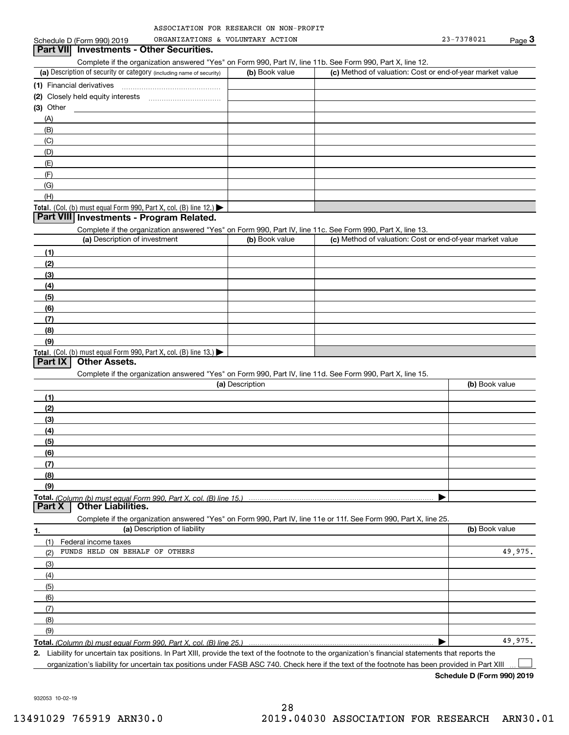| ASSOCIATION FOR RESEARCH ON NON-PROFIT |  |  |
|----------------------------------------|--|--|
|                                        |  |  |

## (a) Description of security or category (including name of security)  $\vert$  (b) Book value  $\vert$  (c) Total. (Col. (b) must equal Form 990, Part X, col. (B) line 12.) Total. (Col. (b) must equal Form 990, Part X, col. (B) line 13.) **(1)** Financial derivatives ~~~~~~~~~~~~~~~**(2)** Closely held equity interests **(3)** Other (a) Description of investment **b (b)** Book value **(1)(2) (3)(4) (5) (6)(7) (8)(9)(a) (b)**  Description**(1)(2) (3)(4)(5) (6)(7) (8)(9)Total.**  *(Column (b) must equal Form 990, Part X, col. (B) line 15.)* **1.(a)** Description of liability **Book value** Book value Book value Book value Book value **Total.**  *(Column (b) must equal Form 990, Part X, col. (B) line 25.)* **2.**Schedule D (Form 990) 2019 ORGANIZATIONS & VOLUNTARY ACTION 23-7378021 Page Complete if the organization answered "Yes" on Form 990, Part IV, line 11b. See Form 990, Part X, line 12.  $(b)$  Book value  $\vert$  (c) Method of valuation: Cost or end-of-year market value ~~~~~~~~~~~(A)(B)(C)(D)(E)(F)(G)(H)Complete if the organization answered "Yes" on Form 990, Part IV, line 11c. See Form 990, Part X, line 13. (c) Method of valuation: Cost or end-of-year market value Complete if the organization answered "Yes" on Form 990, Part IV, line 11d. See Form 990, Part X, line 15. (b) Book value  $\blacktriangleright$ Complete if the organization answered "Yes" on Form 990, Part IV, line 11e or 11f. See Form 990, Part X, line 25. (1)(2)(3)(4)(5)(6)(7)(8)(9)Federal income taxes  $\blacktriangleright$ Liability for uncertain tax positions. In Part XIII, provide the text of the footnote to the organization's financial statements that reports the Schedule D (Form 990) 2019 ORGANIZATIONS & VOLUNTARY ACTION 23-7378021 Page 3 Page 3 Page 3 **Part VIII Investments - Program Related. Part IX Other Assets. Part X Other Liabilities.** FUNDS HELD ON BEHALF OF OTHERS 49,975. 49,975.

organization's liability for uncertain tax positions under FASB ASC 740. Check here if the text of the footnote has been provided in Part XIII

**Schedule D (Form 990) 2019**

 $\mathcal{L}^{\text{max}}$ 

932053 10-02-19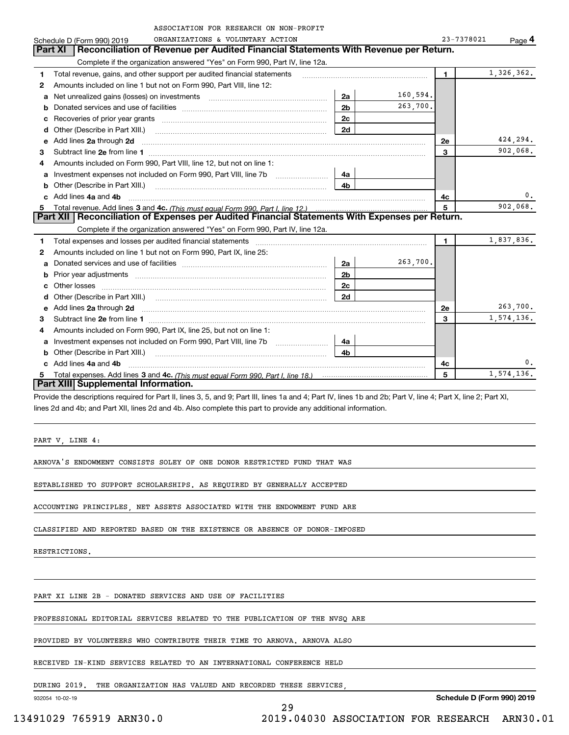|    | ASSOCIATION FOR RESEARCH ON NON-PROFIT                                                                                                                                                                                              |                |          |                |            |
|----|-------------------------------------------------------------------------------------------------------------------------------------------------------------------------------------------------------------------------------------|----------------|----------|----------------|------------|
|    | ORGANIZATIONS & VOLUNTARY ACTION<br>Schedule D (Form 990) 2019                                                                                                                                                                      |                |          | 23-7378021     | Page $4$   |
|    | Part XI<br>Reconciliation of Revenue per Audited Financial Statements With Revenue per Return.                                                                                                                                      |                |          |                |            |
|    | Complete if the organization answered "Yes" on Form 990, Part IV, line 12a.                                                                                                                                                         |                |          |                |            |
| 1  | Total revenue, gains, and other support per audited financial statements                                                                                                                                                            |                |          | $\blacksquare$ | 1,326,362. |
| 2  | Amounts included on line 1 but not on Form 990, Part VIII, line 12:                                                                                                                                                                 |                |          |                |            |
| a  |                                                                                                                                                                                                                                     | 2a             | 160.594. |                |            |
| b  |                                                                                                                                                                                                                                     | 2 <sub>b</sub> | 263,700. |                |            |
| с  |                                                                                                                                                                                                                                     | 2c             |          |                |            |
| d  | Other (Describe in Part XIII.) <b>Construction Contract Construction</b> Chern Construction Chern Chern Chern Chern Chern Chern Chern Chern Chern Chern Chern Chern Chern Chern Chern Chern Chern Chern Chern Chern Chern Chern Che | 2d             |          |                |            |
| е  | Add lines 2a through 2d                                                                                                                                                                                                             |                |          | <b>2e</b>      | 424,294.   |
| 3  |                                                                                                                                                                                                                                     |                |          | 3              | 902,068.   |
| 4  | Amounts included on Form 990, Part VIII, line 12, but not on line 1:                                                                                                                                                                |                |          |                |            |
| a  | Investment expenses not included on Form 990, Part VIII, line 7b [1000000000000000000000000000000000                                                                                                                                | 4a             |          |                |            |
| b  |                                                                                                                                                                                                                                     | 4b             |          |                |            |
|    | Add lines 4a and 4b                                                                                                                                                                                                                 |                |          | 4с             | 0.         |
| 5. |                                                                                                                                                                                                                                     |                |          | 5              | 902,068.   |
|    | Part XII   Reconciliation of Expenses per Audited Financial Statements With Expenses per Return.                                                                                                                                    |                |          |                |            |
|    | Complete if the organization answered "Yes" on Form 990, Part IV, line 12a.                                                                                                                                                         |                |          |                |            |
| 1  | Total expenses and losses per audited financial statements [11, 11] manuscription control expenses and losses per audited financial statements [11] manuscription of the statements and the statements and the statements and       |                |          | $\mathbf{1}$   | 1,837,836. |
| 2  | Amounts included on line 1 but not on Form 990, Part IX, line 25:                                                                                                                                                                   |                |          |                |            |
| a  |                                                                                                                                                                                                                                     | 2a             | 263,700. |                |            |
| b  |                                                                                                                                                                                                                                     | 2 <sub>b</sub> |          |                |            |
| c  |                                                                                                                                                                                                                                     | 2c             |          |                |            |
| d  |                                                                                                                                                                                                                                     | 2d             |          |                |            |
| е  | Add lines 2a through 2d <b>contained a contained a contained a contained a</b> contained a contained a contained a contained a contained a contained a contained a contained a contained a contained a contained a contained a cont |                |          | 2e             | 263,700.   |
| з  |                                                                                                                                                                                                                                     |                |          | 3              | 1,574,136. |
| 4  | Amounts included on Form 990, Part IX, line 25, but not on line 1:                                                                                                                                                                  |                |          |                |            |
| a  |                                                                                                                                                                                                                                     | 4a             |          |                |            |
| b  | Other (Describe in Part XIII.)                                                                                                                                                                                                      | 4 <sub>b</sub> |          |                |            |
|    | c Add lines 4a and 4b                                                                                                                                                                                                               |                |          | 4c             | 0.         |
| 5. |                                                                                                                                                                                                                                     |                |          | 5              | 1,574,136. |
|    | Part XIII Supplemental Information.                                                                                                                                                                                                 |                |          |                |            |
|    | Provide the descriptions required for Part II, lines 3, 5, and 9; Part III, lines 1a and 4; Part IV, lines 1b and 2b; Part V, line 4; Part X, line 2; Part XI,                                                                      |                |          |                |            |

lines 2d and 4b; and Part XII, lines 2d and 4b. Also complete this part to provide any additional information.

PART V, LINE 4:

ARNOVA'S ENDOWMENT CONSISTS SOLEY OF ONE DONOR RESTRICTED FUND THAT WAS

ESTABLISHED TO SUPPORT SCHOLARSHIPS. AS REQUIRED BY GENERALLY ACCEPTED

ACCOUNTING PRINCIPLES, NET ASSETS ASSOCIATED WITH THE ENDOWMENT FUND ARE

CLASSIFIED AND REPORTED BASED ON THE EXISTENCE OR ABSENCE OF DONOR-IMPOSED

RESTRICTIONS.

PART XI LINE 2B - DONATED SERVICES AND USE OF FACILITIES

PROFESSIONAL EDITORIAL SERVICES RELATED TO THE PUBLICATION OF THE NVSQ ARE

PROVIDED BY VOLUNTEERS WHO CONTRIBUTE THEIR TIME TO ARNOVA. ARNOVA ALSO

RECEIVED IN-KIND SERVICES RELATED TO AN INTERNATIONAL CONFERENCE HELD

DURING 2019. THE ORGANIZATION HAS VALUED AND RECORDED THESE SERVICES,

932054 10-02-19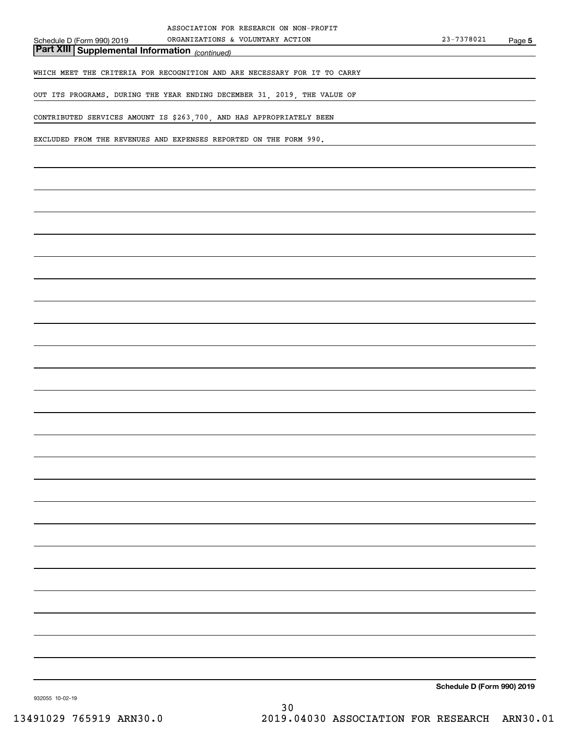*(continued)* **Part XIII Supplemental Information** 

WHICH MEET THE CRITERIA FOR RECOGNITION AND ARE NECESSARY FOR IT TO CARRY

OUT ITS PROGRAMS. DURING THE YEAR ENDING DECEMBER 31, 2019, THE VALUE OF

CONTRIBUTED SERVICES AMOUNT IS \$263,700, AND HAS APPROPRIATELY BEEN

EXCLUDED FROM THE REVENUES AND EXPENSES REPORTED ON THE FORM 990.

**Schedule D (Form 990) 2019**

932055 10-02-19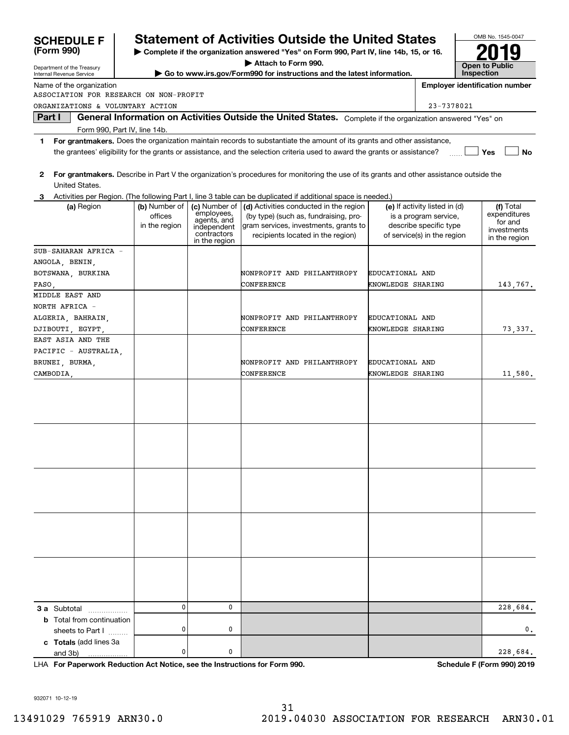| <b>SCHEDULE F</b>                                                          |                                           |                                                                                           | <b>Statement of Activities Outside the United States</b>                                                                                                                                                                                             |                   |                                                                                                                 |                       | OMB No. 1545-0047                                                    |
|----------------------------------------------------------------------------|-------------------------------------------|-------------------------------------------------------------------------------------------|------------------------------------------------------------------------------------------------------------------------------------------------------------------------------------------------------------------------------------------------------|-------------------|-----------------------------------------------------------------------------------------------------------------|-----------------------|----------------------------------------------------------------------|
| (Form 990)                                                                 |                                           |                                                                                           | > Complete if the organization answered "Yes" on Form 990, Part IV, line 14b, 15, or 16.                                                                                                                                                             |                   |                                                                                                                 |                       |                                                                      |
| Department of the Treasury                                                 |                                           |                                                                                           | Attach to Form 990.                                                                                                                                                                                                                                  |                   |                                                                                                                 | <b>Open to Public</b> |                                                                      |
| Internal Revenue Service                                                   |                                           |                                                                                           | Go to www.irs.gov/Form990 for instructions and the latest information.                                                                                                                                                                               |                   |                                                                                                                 | Inspection            |                                                                      |
| Name of the organization                                                   |                                           |                                                                                           |                                                                                                                                                                                                                                                      |                   |                                                                                                                 |                       | <b>Employer identification number</b>                                |
| ASSOCIATION FOR RESEARCH ON NON-PROFIT<br>ORGANIZATIONS & VOLUNTARY ACTION |                                           |                                                                                           |                                                                                                                                                                                                                                                      |                   | 23-7378021                                                                                                      |                       |                                                                      |
| Part I                                                                     |                                           |                                                                                           | General Information on Activities Outside the United States. Complete if the organization answered "Yes" on                                                                                                                                          |                   |                                                                                                                 |                       |                                                                      |
| Form 990, Part IV, line 14b.                                               |                                           |                                                                                           |                                                                                                                                                                                                                                                      |                   |                                                                                                                 |                       |                                                                      |
| 1.                                                                         |                                           |                                                                                           | For grantmakers. Does the organization maintain records to substantiate the amount of its grants and other assistance,<br>the grantees' eligibility for the grants or assistance, and the selection criteria used to award the grants or assistance? |                   |                                                                                                                 |                       | <b>No</b><br>Yes                                                     |
| 2<br>United States.                                                        |                                           |                                                                                           | For grantmakers. Describe in Part V the organization's procedures for monitoring the use of its grants and other assistance outside the                                                                                                              |                   |                                                                                                                 |                       |                                                                      |
|                                                                            |                                           |                                                                                           | Activities per Region. (The following Part I, line 3 table can be duplicated if additional space is needed.)                                                                                                                                         |                   |                                                                                                                 |                       |                                                                      |
| (a) Region                                                                 | (b) Number of<br>offices<br>in the region | (c) Number of<br>employees.<br>agents, and<br>independent<br>contractors<br>in the region | (d) Activities conducted in the region<br>(by type) (such as, fundraising, pro-<br>gram services, investments, grants to<br>recipients located in the region)                                                                                        |                   | (e) If activity listed in (d)<br>is a program service,<br>describe specific type<br>of service(s) in the region |                       | (f) Total<br>expenditures<br>for and<br>investments<br>in the region |
| SUB-SAHARAN AFRICA -                                                       |                                           |                                                                                           |                                                                                                                                                                                                                                                      |                   |                                                                                                                 |                       |                                                                      |
| ANGOLA, BENIN,                                                             |                                           |                                                                                           |                                                                                                                                                                                                                                                      |                   |                                                                                                                 |                       |                                                                      |
| BOTSWANA, BURKINA                                                          |                                           |                                                                                           | NONPROFIT AND PHILANTHROPY                                                                                                                                                                                                                           | EDUCATIONAL AND   |                                                                                                                 |                       |                                                                      |
| FASO.<br>MIDDLE EAST AND                                                   |                                           |                                                                                           | CONFERENCE                                                                                                                                                                                                                                           | KNOWLEDGE SHARING |                                                                                                                 |                       | 143,767.                                                             |
| NORTH AFRICA -                                                             |                                           |                                                                                           |                                                                                                                                                                                                                                                      |                   |                                                                                                                 |                       |                                                                      |
| ALGERIA, BAHRAIN,                                                          |                                           |                                                                                           | NONPROFIT AND PHILANTHROPY                                                                                                                                                                                                                           | EDUCATIONAL AND   |                                                                                                                 |                       |                                                                      |
| DJIBOUTI, EGYPT                                                            |                                           |                                                                                           | CONFERENCE                                                                                                                                                                                                                                           | KNOWLEDGE SHARING |                                                                                                                 |                       | 73,337.                                                              |
| EAST ASIA AND THE                                                          |                                           |                                                                                           |                                                                                                                                                                                                                                                      |                   |                                                                                                                 |                       |                                                                      |
| PACIFIC - AUSTRALIA,                                                       |                                           |                                                                                           |                                                                                                                                                                                                                                                      |                   |                                                                                                                 |                       |                                                                      |
| BRUNEI, BURMA,                                                             |                                           |                                                                                           | NONPROFIT AND PHILANTHROPY                                                                                                                                                                                                                           | EDUCATIONAL AND   |                                                                                                                 |                       |                                                                      |
| CAMBODIA.                                                                  |                                           |                                                                                           | CONFERENCE                                                                                                                                                                                                                                           | KNOWLEDGE SHARING |                                                                                                                 |                       | 11,580.                                                              |
|                                                                            |                                           |                                                                                           |                                                                                                                                                                                                                                                      |                   |                                                                                                                 |                       |                                                                      |
|                                                                            |                                           |                                                                                           |                                                                                                                                                                                                                                                      |                   |                                                                                                                 |                       |                                                                      |
|                                                                            |                                           |                                                                                           |                                                                                                                                                                                                                                                      |                   |                                                                                                                 |                       |                                                                      |
|                                                                            |                                           |                                                                                           |                                                                                                                                                                                                                                                      |                   |                                                                                                                 |                       |                                                                      |
|                                                                            |                                           |                                                                                           |                                                                                                                                                                                                                                                      |                   |                                                                                                                 |                       |                                                                      |
|                                                                            |                                           |                                                                                           |                                                                                                                                                                                                                                                      |                   |                                                                                                                 |                       |                                                                      |
|                                                                            |                                           |                                                                                           |                                                                                                                                                                                                                                                      |                   |                                                                                                                 |                       |                                                                      |
|                                                                            |                                           |                                                                                           |                                                                                                                                                                                                                                                      |                   |                                                                                                                 |                       |                                                                      |
|                                                                            |                                           |                                                                                           |                                                                                                                                                                                                                                                      |                   |                                                                                                                 |                       |                                                                      |
| <b>3 a</b> Subtotal                                                        | 0                                         | 0                                                                                         |                                                                                                                                                                                                                                                      |                   |                                                                                                                 |                       | 228,684.                                                             |
| <b>b</b> Total from continuation<br>sheets to Part I                       | 0                                         | 0                                                                                         |                                                                                                                                                                                                                                                      |                   |                                                                                                                 |                       | 0.                                                                   |
| c Totals (add lines 3a<br>and 3b)                                          | 0                                         | 0                                                                                         |                                                                                                                                                                                                                                                      |                   |                                                                                                                 |                       | 228,684.                                                             |

**For Paperwork Reduction Act Notice, see the Instructions for Form 990. Schedule F (Form 990) 2019** LHA

932071 10-12-19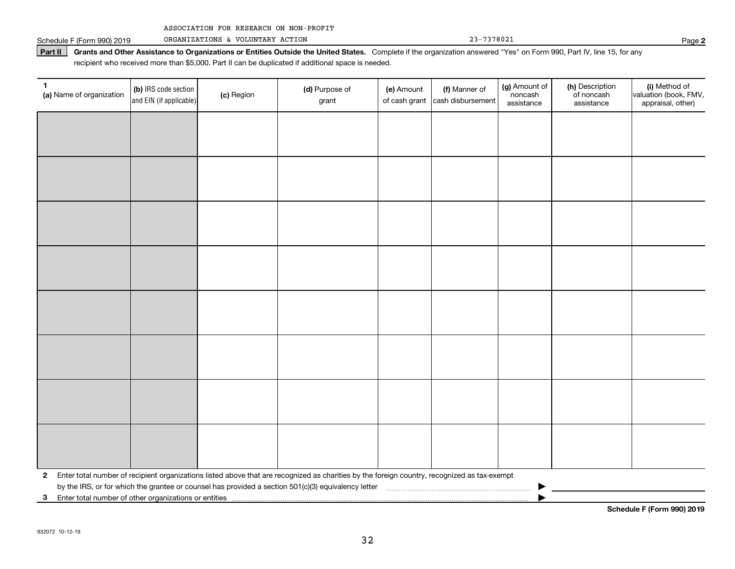|  | ASSOCIATION FOR RESEARCH ON NON-PROFIT |  |  |  |  |
|--|----------------------------------------|--|--|--|--|
|--|----------------------------------------|--|--|--|--|

Schedule F (Form 990) 2019 Page ORGANIZATIONS & VOLUNTARY ACTION 23-7378021

Part II | Grants and Other Assistance to Organizations or Entities Outside the United States. Complete if the organization answered "Yes" on Form 990, Part IV, line 15, for any recipient who received more than \$5,000. Part II can be duplicated if additional space is needed.

| 1<br>(a) Name of organization                              | (b) IRS code section<br>and EIN (if applicable) | (c) Region | (d) Purpose of<br>grant                                                                                                                      | (e) Amount<br>of cash grant | (f) Manner of<br>cash disbursement | (g) Amount of<br>noncash<br>assistance | (h) Description<br>of noncash<br>assistance | (i) Method of<br>valuation (book, FMV,<br>appraisal, other) |
|------------------------------------------------------------|-------------------------------------------------|------------|----------------------------------------------------------------------------------------------------------------------------------------------|-----------------------------|------------------------------------|----------------------------------------|---------------------------------------------|-------------------------------------------------------------|
|                                                            |                                                 |            |                                                                                                                                              |                             |                                    |                                        |                                             |                                                             |
|                                                            |                                                 |            |                                                                                                                                              |                             |                                    |                                        |                                             |                                                             |
|                                                            |                                                 |            |                                                                                                                                              |                             |                                    |                                        |                                             |                                                             |
|                                                            |                                                 |            |                                                                                                                                              |                             |                                    |                                        |                                             |                                                             |
|                                                            |                                                 |            |                                                                                                                                              |                             |                                    |                                        |                                             |                                                             |
|                                                            |                                                 |            |                                                                                                                                              |                             |                                    |                                        |                                             |                                                             |
|                                                            |                                                 |            |                                                                                                                                              |                             |                                    |                                        |                                             |                                                             |
|                                                            |                                                 |            |                                                                                                                                              |                             |                                    |                                        |                                             |                                                             |
|                                                            |                                                 |            |                                                                                                                                              |                             |                                    |                                        |                                             |                                                             |
|                                                            |                                                 |            |                                                                                                                                              |                             |                                    |                                        |                                             |                                                             |
|                                                            |                                                 |            |                                                                                                                                              |                             |                                    |                                        |                                             |                                                             |
|                                                            |                                                 |            |                                                                                                                                              |                             |                                    |                                        |                                             |                                                             |
|                                                            |                                                 |            |                                                                                                                                              |                             |                                    |                                        |                                             |                                                             |
|                                                            |                                                 |            |                                                                                                                                              |                             |                                    |                                        |                                             |                                                             |
|                                                            |                                                 |            |                                                                                                                                              |                             |                                    |                                        |                                             |                                                             |
|                                                            |                                                 |            |                                                                                                                                              |                             |                                    |                                        |                                             |                                                             |
| $\mathbf{2}$                                               |                                                 |            | Enter total number of recipient organizations listed above that are recognized as charities by the foreign country, recognized as tax-exempt |                             |                                    |                                        |                                             |                                                             |
| Enter total number of other organizations or entities<br>3 |                                                 |            |                                                                                                                                              |                             |                                    |                                        |                                             |                                                             |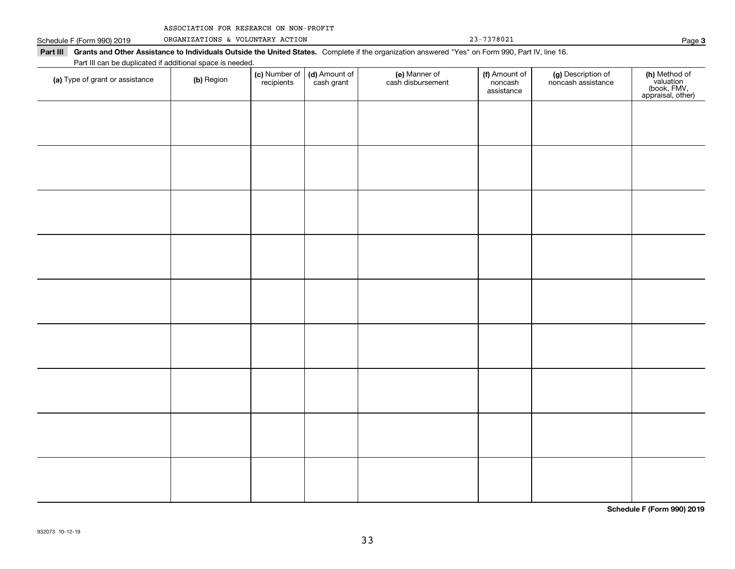| ASSOCIATION FOR RESEARCH ON NON-PROFIT |  |  |  |  |
|----------------------------------------|--|--|--|--|
|----------------------------------------|--|--|--|--|

Schedule F (Form 990) 2019 ORGANIZATIONS & VOLUNTARY ACTION 23-7378021 Page

| Part III can be duplicated if additional space is needed.<br>(a) Type of grant or assistance | (b) Region | (c) Number of<br>recipients | (d) Amount of<br>cash grant | (e) Manner of<br>cash disbursement | (f) Amount of<br>noncash<br>assistance | (g) Description of<br>noncash assistance | (h) Method of<br>valuation<br>(book, FMV,<br>appraisal, other) |
|----------------------------------------------------------------------------------------------|------------|-----------------------------|-----------------------------|------------------------------------|----------------------------------------|------------------------------------------|----------------------------------------------------------------|
|                                                                                              |            |                             |                             |                                    |                                        |                                          |                                                                |
|                                                                                              |            |                             |                             |                                    |                                        |                                          |                                                                |
|                                                                                              |            |                             |                             |                                    |                                        |                                          |                                                                |
|                                                                                              |            |                             |                             |                                    |                                        |                                          |                                                                |
|                                                                                              |            |                             |                             |                                    |                                        |                                          |                                                                |
|                                                                                              |            |                             |                             |                                    |                                        |                                          |                                                                |
|                                                                                              |            |                             |                             |                                    |                                        |                                          |                                                                |
|                                                                                              |            |                             |                             |                                    |                                        |                                          |                                                                |
|                                                                                              |            |                             |                             |                                    |                                        |                                          |                                                                |
|                                                                                              |            |                             |                             |                                    |                                        |                                          |                                                                |
|                                                                                              |            |                             |                             |                                    |                                        |                                          |                                                                |

**Schedule F (Form 990) 2019**

**3**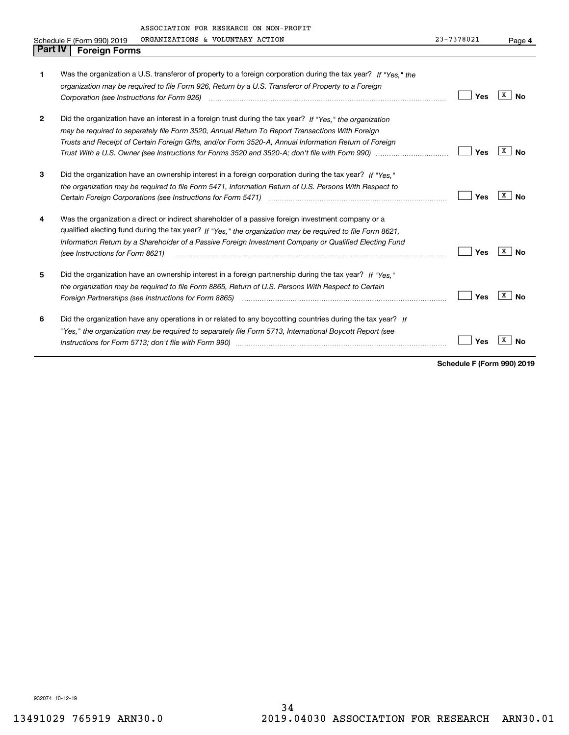|                | ASSOCIATION FOR RESEARCH ON NON-PROFIT<br>ORGANIZATIONS & VOLUNTARY ACTION<br>Schedule F (Form 990) 2019                                                                                                                                                                                                                                                       | 23-7378021 | Page 4  |
|----------------|----------------------------------------------------------------------------------------------------------------------------------------------------------------------------------------------------------------------------------------------------------------------------------------------------------------------------------------------------------------|------------|---------|
| <b>Part IV</b> | <b>Foreign Forms</b>                                                                                                                                                                                                                                                                                                                                           |            |         |
| 1              | Was the organization a U.S. transferor of property to a foreign corporation during the tax year? If "Yes." the<br>organization may be required to file Form 926, Return by a U.S. Transferor of Property to a Foreign                                                                                                                                          | Yes        | x<br>Nο |
| $\mathbf{2}$   | Did the organization have an interest in a foreign trust during the tax year? If "Yes." the organization<br>may be required to separately file Form 3520, Annual Return To Report Transactions With Foreign<br>Trusts and Receipt of Certain Foreign Gifts, and/or Form 3520-A, Annual Information Return of Foreign                                           | Yes        | x<br>Nο |
| 3              | Did the organization have an ownership interest in a foreign corporation during the tax year? If "Yes."<br>the organization may be required to file Form 5471, Information Return of U.S. Persons With Respect to                                                                                                                                              | Yes        | x<br>Nο |
| 4              | Was the organization a direct or indirect shareholder of a passive foreign investment company or a<br>qualified electing fund during the tax year? If "Yes," the organization may be required to file Form 8621,<br>Information Return by a Shareholder of a Passive Foreign Investment Company or Qualified Electing Fund<br>(see Instructions for Form 8621) | Yes        | x<br>Nο |
| 5              | Did the organization have an ownership interest in a foreign partnership during the tax year? If "Yes."<br>the organization may be reguired to file Form 8865, Return of U.S. Persons With Respect to Certain<br>Foreign Partnerships (see Instructions for Form 8865) <i>mand contained contained contained to the states and the s</i>                       | Yes        |         |
| 6              | Did the organization have any operations in or related to any boycotting countries during the tax year? If                                                                                                                                                                                                                                                     |            |         |

*"Yes," the organization may be required to separately file Form 5713, International Boycott Report (see*

*Instructions for Form 5713; don't file with Form 990)* ~~~~~~~~~~~~~~~~~~~~~~~~~~~~~~~~

**Schedule F (Form 990) 2019**

**No** Yes **X** No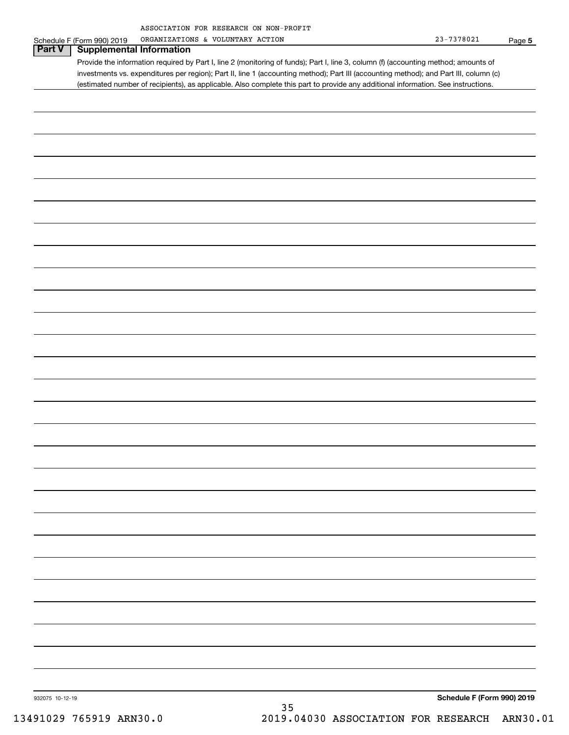| ASSOCIATION FOR RESEARCH ON NON-PROFIT |  |  |
|----------------------------------------|--|--|
|                                        |  |  |

| Schedule F (Form 990) 2019<br>Part V<br><b>Supplemental Information</b> |                                                                                                                                       |                            |  |
|-------------------------------------------------------------------------|---------------------------------------------------------------------------------------------------------------------------------------|----------------------------|--|
|                                                                         | Provide the information required by Part I, line 2 (monitoring of funds); Part I, line 3, column (f) (accounting method; amounts of   |                            |  |
|                                                                         | investments vs. expenditures per region); Part II, line 1 (accounting method); Part III (accounting method); and Part III, column (c) |                            |  |
|                                                                         | (estimated number of recipients), as applicable. Also complete this part to provide any additional information. See instructions.     |                            |  |
|                                                                         |                                                                                                                                       |                            |  |
|                                                                         |                                                                                                                                       |                            |  |
|                                                                         |                                                                                                                                       |                            |  |
|                                                                         |                                                                                                                                       |                            |  |
|                                                                         |                                                                                                                                       |                            |  |
|                                                                         |                                                                                                                                       |                            |  |
|                                                                         |                                                                                                                                       |                            |  |
|                                                                         |                                                                                                                                       |                            |  |
|                                                                         |                                                                                                                                       |                            |  |
|                                                                         |                                                                                                                                       |                            |  |
|                                                                         |                                                                                                                                       |                            |  |
|                                                                         |                                                                                                                                       |                            |  |
|                                                                         |                                                                                                                                       |                            |  |
|                                                                         |                                                                                                                                       |                            |  |
|                                                                         |                                                                                                                                       |                            |  |
|                                                                         |                                                                                                                                       |                            |  |
|                                                                         |                                                                                                                                       |                            |  |
|                                                                         |                                                                                                                                       |                            |  |
|                                                                         |                                                                                                                                       |                            |  |
|                                                                         |                                                                                                                                       |                            |  |
|                                                                         |                                                                                                                                       |                            |  |
|                                                                         |                                                                                                                                       |                            |  |
|                                                                         |                                                                                                                                       |                            |  |
|                                                                         |                                                                                                                                       |                            |  |
|                                                                         |                                                                                                                                       |                            |  |
|                                                                         |                                                                                                                                       |                            |  |
|                                                                         |                                                                                                                                       |                            |  |
|                                                                         |                                                                                                                                       |                            |  |
|                                                                         |                                                                                                                                       |                            |  |
|                                                                         |                                                                                                                                       |                            |  |
|                                                                         |                                                                                                                                       |                            |  |
|                                                                         |                                                                                                                                       |                            |  |
|                                                                         |                                                                                                                                       |                            |  |
|                                                                         |                                                                                                                                       |                            |  |
|                                                                         |                                                                                                                                       |                            |  |
|                                                                         |                                                                                                                                       |                            |  |
|                                                                         |                                                                                                                                       |                            |  |
|                                                                         |                                                                                                                                       |                            |  |
|                                                                         |                                                                                                                                       |                            |  |
|                                                                         |                                                                                                                                       |                            |  |
|                                                                         |                                                                                                                                       |                            |  |
|                                                                         |                                                                                                                                       |                            |  |
|                                                                         |                                                                                                                                       |                            |  |
|                                                                         |                                                                                                                                       |                            |  |
|                                                                         |                                                                                                                                       |                            |  |
|                                                                         |                                                                                                                                       |                            |  |
|                                                                         |                                                                                                                                       |                            |  |
|                                                                         |                                                                                                                                       |                            |  |
|                                                                         |                                                                                                                                       |                            |  |
|                                                                         |                                                                                                                                       |                            |  |
|                                                                         |                                                                                                                                       |                            |  |
|                                                                         |                                                                                                                                       |                            |  |
|                                                                         |                                                                                                                                       |                            |  |
|                                                                         |                                                                                                                                       |                            |  |
|                                                                         |                                                                                                                                       |                            |  |
|                                                                         |                                                                                                                                       |                            |  |
| 932075 10-12-19                                                         |                                                                                                                                       | Schedule F (Form 990) 2019 |  |
|                                                                         | 35                                                                                                                                    |                            |  |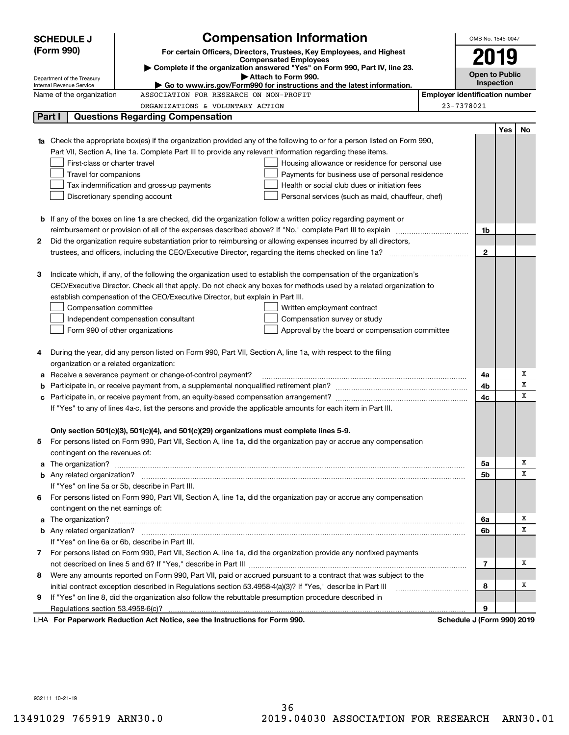|                                                                                                               | <b>SCHEDULE J</b>                                                                                                                       | <b>Compensation Information</b>                                                                                                  |                                       | OMB No. 1545-0047          |     |    |
|---------------------------------------------------------------------------------------------------------------|-----------------------------------------------------------------------------------------------------------------------------------------|----------------------------------------------------------------------------------------------------------------------------------|---------------------------------------|----------------------------|-----|----|
|                                                                                                               | (Form 990)<br>For certain Officers, Directors, Trustees, Key Employees, and Highest                                                     |                                                                                                                                  |                                       |                            |     |    |
|                                                                                                               | <b>Compensated Employees</b>                                                                                                            |                                                                                                                                  |                                       | 2019                       |     |    |
|                                                                                                               | Complete if the organization answered "Yes" on Form 990, Part IV, line 23.<br>Attach to Form 990.                                       |                                                                                                                                  |                                       | <b>Open to Public</b>      |     |    |
|                                                                                                               | Department of the Treasury<br><b>Internal Revenue Service</b><br>Go to www.irs.gov/Form990 for instructions and the latest information. |                                                                                                                                  |                                       | <b>Inspection</b>          |     |    |
|                                                                                                               | Name of the organization                                                                                                                | ASSOCIATION FOR RESEARCH ON NON-PROFIT                                                                                           | <b>Employer identification number</b> |                            |     |    |
|                                                                                                               |                                                                                                                                         | ORGANIZATIONS & VOLUNTARY ACTION                                                                                                 |                                       | 23-7378021                 |     |    |
|                                                                                                               | Part I                                                                                                                                  | <b>Questions Regarding Compensation</b>                                                                                          |                                       |                            |     |    |
|                                                                                                               |                                                                                                                                         |                                                                                                                                  |                                       |                            | Yes | No |
|                                                                                                               |                                                                                                                                         | <b>1a</b> Check the appropriate box(es) if the organization provided any of the following to or for a person listed on Form 990, |                                       |                            |     |    |
|                                                                                                               |                                                                                                                                         | Part VII, Section A, line 1a. Complete Part III to provide any relevant information regarding these items.                       |                                       |                            |     |    |
|                                                                                                               | First-class or charter travel                                                                                                           | Housing allowance or residence for personal use                                                                                  |                                       |                            |     |    |
|                                                                                                               | Travel for companions                                                                                                                   | Payments for business use of personal residence                                                                                  |                                       |                            |     |    |
|                                                                                                               |                                                                                                                                         | Tax indemnification and gross-up payments<br>Health or social club dues or initiation fees                                       |                                       |                            |     |    |
|                                                                                                               |                                                                                                                                         | Discretionary spending account<br>Personal services (such as maid, chauffeur, chef)                                              |                                       |                            |     |    |
|                                                                                                               |                                                                                                                                         |                                                                                                                                  |                                       |                            |     |    |
|                                                                                                               |                                                                                                                                         | <b>b</b> If any of the boxes on line 1a are checked, did the organization follow a written policy regarding payment or           |                                       |                            |     |    |
|                                                                                                               |                                                                                                                                         | reimbursement or provision of all of the expenses described above? If "No," complete Part III to explain                         |                                       | 1b                         |     |    |
| 2                                                                                                             |                                                                                                                                         | Did the organization require substantiation prior to reimbursing or allowing expenses incurred by all directors,                 |                                       |                            |     |    |
|                                                                                                               |                                                                                                                                         | trustees, and officers, including the CEO/Executive Director, regarding the items checked on line 1a?                            |                                       | $\mathbf{2}$               |     |    |
|                                                                                                               |                                                                                                                                         |                                                                                                                                  |                                       |                            |     |    |
| з                                                                                                             |                                                                                                                                         | Indicate which, if any, of the following the organization used to establish the compensation of the organization's               |                                       |                            |     |    |
|                                                                                                               |                                                                                                                                         | CEO/Executive Director. Check all that apply. Do not check any boxes for methods used by a related organization to               |                                       |                            |     |    |
|                                                                                                               |                                                                                                                                         | establish compensation of the CEO/Executive Director, but explain in Part III.                                                   |                                       |                            |     |    |
|                                                                                                               | Compensation committee<br>Written employment contract<br>Independent compensation consultant                                            |                                                                                                                                  |                                       |                            |     |    |
|                                                                                                               |                                                                                                                                         | Compensation survey or study                                                                                                     |                                       |                            |     |    |
|                                                                                                               |                                                                                                                                         | Form 990 of other organizations<br>Approval by the board or compensation committee                                               |                                       |                            |     |    |
| 4                                                                                                             |                                                                                                                                         | During the year, did any person listed on Form 990, Part VII, Section A, line 1a, with respect to the filing                     |                                       |                            |     |    |
|                                                                                                               | organization or a related organization:                                                                                                 |                                                                                                                                  |                                       |                            |     |    |
|                                                                                                               |                                                                                                                                         | Receive a severance payment or change-of-control payment?                                                                        |                                       | 4a                         |     | х  |
| b                                                                                                             |                                                                                                                                         |                                                                                                                                  |                                       | 4b                         |     | X  |
| с                                                                                                             |                                                                                                                                         |                                                                                                                                  |                                       | 4c                         |     | X  |
| If "Yes" to any of lines 4a-c, list the persons and provide the applicable amounts for each item in Part III. |                                                                                                                                         |                                                                                                                                  |                                       |                            |     |    |
|                                                                                                               |                                                                                                                                         |                                                                                                                                  |                                       |                            |     |    |
|                                                                                                               |                                                                                                                                         | Only section 501(c)(3), 501(c)(4), and 501(c)(29) organizations must complete lines 5-9.                                         |                                       |                            |     |    |
|                                                                                                               |                                                                                                                                         | For persons listed on Form 990, Part VII, Section A, line 1a, did the organization pay or accrue any compensation                |                                       |                            |     |    |
|                                                                                                               | contingent on the revenues of:                                                                                                          |                                                                                                                                  |                                       |                            |     |    |
| a                                                                                                             |                                                                                                                                         |                                                                                                                                  |                                       | 5а                         |     | х  |
|                                                                                                               |                                                                                                                                         |                                                                                                                                  |                                       | 5b                         |     | X  |
|                                                                                                               |                                                                                                                                         | If "Yes" on line 5a or 5b, describe in Part III.                                                                                 |                                       |                            |     |    |
| 6                                                                                                             |                                                                                                                                         | For persons listed on Form 990, Part VII, Section A, line 1a, did the organization pay or accrue any compensation                |                                       |                            |     |    |
|                                                                                                               | contingent on the net earnings of:                                                                                                      |                                                                                                                                  |                                       |                            |     |    |
| a                                                                                                             |                                                                                                                                         |                                                                                                                                  |                                       | 6a                         |     | х  |
|                                                                                                               |                                                                                                                                         |                                                                                                                                  |                                       | 6b                         |     | X  |
|                                                                                                               |                                                                                                                                         | If "Yes" on line 6a or 6b, describe in Part III.                                                                                 |                                       |                            |     |    |
|                                                                                                               |                                                                                                                                         | 7 For persons listed on Form 990, Part VII, Section A, line 1a, did the organization provide any nonfixed payments               |                                       |                            |     |    |
|                                                                                                               |                                                                                                                                         |                                                                                                                                  |                                       | 7                          |     | х  |
| 8                                                                                                             |                                                                                                                                         | Were any amounts reported on Form 990, Part VII, paid or accrued pursuant to a contract that was subject to the                  |                                       |                            |     |    |
|                                                                                                               |                                                                                                                                         | initial contract exception described in Regulations section 53.4958-4(a)(3)? If "Yes," describe in Part III                      |                                       | 8                          |     | х  |
| 9                                                                                                             |                                                                                                                                         | If "Yes" on line 8, did the organization also follow the rebuttable presumption procedure described in                           |                                       |                            |     |    |
|                                                                                                               | Regulations section 53.4958-6(c)?                                                                                                       |                                                                                                                                  |                                       | 9                          |     |    |
|                                                                                                               |                                                                                                                                         | LHA For Paperwork Reduction Act Notice, see the Instructions for Form 990.                                                       |                                       | Schedule J (Form 990) 2019 |     |    |

932111 10-21-19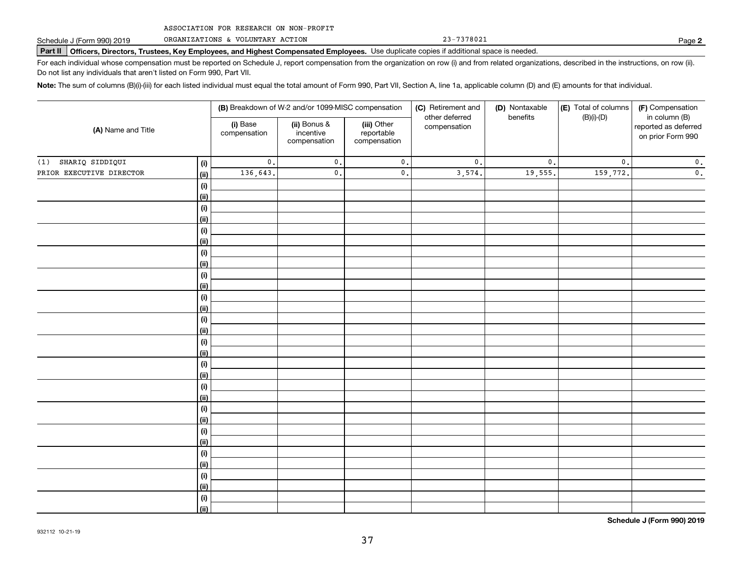ORGANIZATIONS & VOLUNTARY ACTION

**Part II Officers, Directors, Trustees, Key Employees, and Highest Compensated Employees.**  Schedule J (Form 990) 2019 Page Use duplicate copies if additional space is needed.

For each individual whose compensation must be reported on Schedule J, report compensation from the organization on row (i) and from related organizations, described in the instructions, on row (ii). Do not list any individuals that aren't listed on Form 990, Part VII.

23-7378021

**Note:**  The sum of columns (B)(i)-(iii) for each listed individual must equal the total amount of Form 990, Part VII, Section A, line 1a, applicable column (D) and (E) amounts for that individual.

|                                  | (B) Breakdown of W-2 and/or 1099-MISC compensation |                                           |                                           | (C) Retirement and             | (D) Nontaxable  | (E) Total of columns | (F) Compensation                                           |
|----------------------------------|----------------------------------------------------|-------------------------------------------|-------------------------------------------|--------------------------------|-----------------|----------------------|------------------------------------------------------------|
| (A) Name and Title               | (i) Base<br>compensation                           | (ii) Bonus &<br>incentive<br>compensation | (iii) Other<br>reportable<br>compensation | other deferred<br>compensation | benefits        | $(B)(i)-(D)$         | in column (B)<br>reported as deferred<br>on prior Form 990 |
| SHARIQ SIDDIQUI<br>(1)<br>(i)    | $\mathfrak o$ .                                    | $\mathfrak o$ .                           | $\mathfrak o$ .                           | $\mathsf{0}$ .                 | $\mathfrak o$ . | $\mathbf{0}$ .       | $\mathbf 0$ .                                              |
| PRIOR EXECUTIVE DIRECTOR<br>(ii) | 136,643.                                           | $\mathbf{0}$ .                            | $\mathsf{0}$ .                            | 3,574.                         | 19,555.         | 159,772.             | $\mathbf 0$ .                                              |
| (i)                              |                                                    |                                           |                                           |                                |                 |                      |                                                            |
| (ii)                             |                                                    |                                           |                                           |                                |                 |                      |                                                            |
| (i)                              |                                                    |                                           |                                           |                                |                 |                      |                                                            |
| (ii)                             |                                                    |                                           |                                           |                                |                 |                      |                                                            |
| (i)                              |                                                    |                                           |                                           |                                |                 |                      |                                                            |
| <u>(ii)</u>                      |                                                    |                                           |                                           |                                |                 |                      |                                                            |
| (i)                              |                                                    |                                           |                                           |                                |                 |                      |                                                            |
| <u>(ii)</u>                      |                                                    |                                           |                                           |                                |                 |                      |                                                            |
| (i)<br><u>(ii)</u>               |                                                    |                                           |                                           |                                |                 |                      |                                                            |
| (i)                              |                                                    |                                           |                                           |                                |                 |                      |                                                            |
| <u>(ii)</u>                      |                                                    |                                           |                                           |                                |                 |                      |                                                            |
| (i)                              |                                                    |                                           |                                           |                                |                 |                      |                                                            |
| <u>(ii)</u>                      |                                                    |                                           |                                           |                                |                 |                      |                                                            |
| (i)                              |                                                    |                                           |                                           |                                |                 |                      |                                                            |
| <u>(ii)</u>                      |                                                    |                                           |                                           |                                |                 |                      |                                                            |
| (i)                              |                                                    |                                           |                                           |                                |                 |                      |                                                            |
| <u>(ii)</u>                      |                                                    |                                           |                                           |                                |                 |                      |                                                            |
| (i)                              |                                                    |                                           |                                           |                                |                 |                      |                                                            |
| <u>(ii)</u>                      |                                                    |                                           |                                           |                                |                 |                      |                                                            |
| (i)                              |                                                    |                                           |                                           |                                |                 |                      |                                                            |
| <u>(ii)</u>                      |                                                    |                                           |                                           |                                |                 |                      |                                                            |
| (i)                              |                                                    |                                           |                                           |                                |                 |                      |                                                            |
| <u>(ii)</u>                      |                                                    |                                           |                                           |                                |                 |                      |                                                            |
| (i)                              |                                                    |                                           |                                           |                                |                 |                      |                                                            |
| <u>(ii)</u>                      |                                                    |                                           |                                           |                                |                 |                      |                                                            |
| (i)<br><u>(ii)</u>               |                                                    |                                           |                                           |                                |                 |                      |                                                            |
| (i)                              |                                                    |                                           |                                           |                                |                 |                      |                                                            |
| (ii)                             |                                                    |                                           |                                           |                                |                 |                      |                                                            |

**Schedule J (Form 990) 2019**

**2**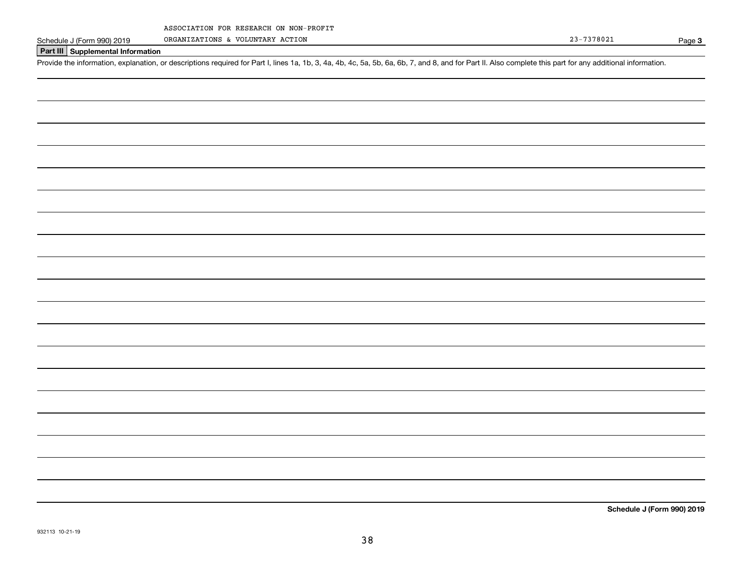ORGANIZATIONS & VOLUNTARY ACTION

Page 3

## **Part III Supplemental Information**

Schedule J (Form 990) 2019 ORGANIZATIONS & VOLUNTARY ACTION<br>Part III Supplemental Information<br>Provide the information, explanation, or descriptions required for Part I, lines 1a, 1b, 3, 4a, 4b, 4c, 5a, 5b, 6a, 6b, 7, and 8

**Schedule J (Form 990) 2019**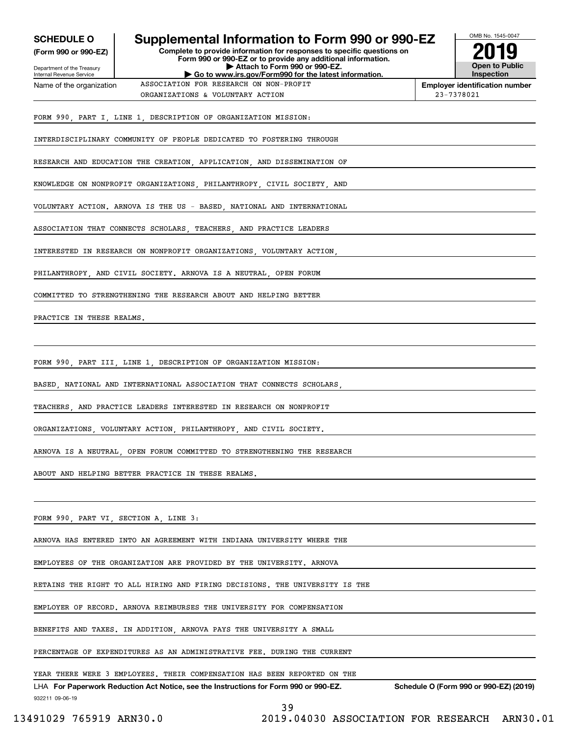| Complete to provide information for responses to specific questions on<br>Form 990 or 990-EZ or to provide any additional information.<br>Attach to Form 990 or 990-EZ.<br>Go to www.irs.gov/Form990 for the latest information.<br>ASSOCIATION FOR RESEARCH ON NON-PROFIT<br>ORGANIZATIONS & VOLUNTARY ACTION<br>FORM 990, PART I, LINE 1, DESCRIPTION OF ORGANIZATION MISSION:<br>INTERDISCIPLINARY COMMUNITY OF PEOPLE DEDICATED TO FOSTERING THROUGH<br>RESEARCH AND EDUCATION THE CREATION, APPLICATION, AND DISSEMINATION OF<br>KNOWLEDGE ON NONPROFIT ORGANIZATIONS, PHILANTHROPY, CIVIL SOCIETY, AND<br>VOLUNTARY ACTION. ARNOVA IS THE US - BASED, NATIONAL AND INTERNATIONAL<br>ASSOCIATION THAT CONNECTS SCHOLARS, TEACHERS, AND PRACTICE LEADERS<br>INTERESTED IN RESEARCH ON NONPROFIT ORGANIZATIONS, VOLUNTARY ACTION,<br>PHILANTHROPY, AND CIVIL SOCIETY. ARNOVA IS A NEUTRAL, OPEN FORUM<br>COMMITTED TO STRENGTHENING THE RESEARCH ABOUT AND HELPING BETTER<br>FORM 990, PART III, LINE 1, DESCRIPTION OF ORGANIZATION MISSION:<br>BASED, NATIONAL AND INTERNATIONAL ASSOCIATION THAT CONNECTS SCHOLARS,<br>TEACHERS, AND PRACTICE LEADERS INTERESTED IN RESEARCH ON NONPROFIT | 23-7378021                                         | <b>Open to Public</b><br>Inspection<br><b>Employer identification number</b> |
|-------------------------------------------------------------------------------------------------------------------------------------------------------------------------------------------------------------------------------------------------------------------------------------------------------------------------------------------------------------------------------------------------------------------------------------------------------------------------------------------------------------------------------------------------------------------------------------------------------------------------------------------------------------------------------------------------------------------------------------------------------------------------------------------------------------------------------------------------------------------------------------------------------------------------------------------------------------------------------------------------------------------------------------------------------------------------------------------------------------------------------------------------------------------------------------------------|----------------------------------------------------|------------------------------------------------------------------------------|
|                                                                                                                                                                                                                                                                                                                                                                                                                                                                                                                                                                                                                                                                                                                                                                                                                                                                                                                                                                                                                                                                                                                                                                                                 |                                                    |                                                                              |
|                                                                                                                                                                                                                                                                                                                                                                                                                                                                                                                                                                                                                                                                                                                                                                                                                                                                                                                                                                                                                                                                                                                                                                                                 |                                                    |                                                                              |
|                                                                                                                                                                                                                                                                                                                                                                                                                                                                                                                                                                                                                                                                                                                                                                                                                                                                                                                                                                                                                                                                                                                                                                                                 |                                                    |                                                                              |
|                                                                                                                                                                                                                                                                                                                                                                                                                                                                                                                                                                                                                                                                                                                                                                                                                                                                                                                                                                                                                                                                                                                                                                                                 |                                                    |                                                                              |
|                                                                                                                                                                                                                                                                                                                                                                                                                                                                                                                                                                                                                                                                                                                                                                                                                                                                                                                                                                                                                                                                                                                                                                                                 |                                                    |                                                                              |
|                                                                                                                                                                                                                                                                                                                                                                                                                                                                                                                                                                                                                                                                                                                                                                                                                                                                                                                                                                                                                                                                                                                                                                                                 |                                                    |                                                                              |
|                                                                                                                                                                                                                                                                                                                                                                                                                                                                                                                                                                                                                                                                                                                                                                                                                                                                                                                                                                                                                                                                                                                                                                                                 |                                                    |                                                                              |
|                                                                                                                                                                                                                                                                                                                                                                                                                                                                                                                                                                                                                                                                                                                                                                                                                                                                                                                                                                                                                                                                                                                                                                                                 |                                                    |                                                                              |
|                                                                                                                                                                                                                                                                                                                                                                                                                                                                                                                                                                                                                                                                                                                                                                                                                                                                                                                                                                                                                                                                                                                                                                                                 |                                                    |                                                                              |
|                                                                                                                                                                                                                                                                                                                                                                                                                                                                                                                                                                                                                                                                                                                                                                                                                                                                                                                                                                                                                                                                                                                                                                                                 |                                                    |                                                                              |
|                                                                                                                                                                                                                                                                                                                                                                                                                                                                                                                                                                                                                                                                                                                                                                                                                                                                                                                                                                                                                                                                                                                                                                                                 |                                                    |                                                                              |
|                                                                                                                                                                                                                                                                                                                                                                                                                                                                                                                                                                                                                                                                                                                                                                                                                                                                                                                                                                                                                                                                                                                                                                                                 |                                                    |                                                                              |
|                                                                                                                                                                                                                                                                                                                                                                                                                                                                                                                                                                                                                                                                                                                                                                                                                                                                                                                                                                                                                                                                                                                                                                                                 |                                                    |                                                                              |
|                                                                                                                                                                                                                                                                                                                                                                                                                                                                                                                                                                                                                                                                                                                                                                                                                                                                                                                                                                                                                                                                                                                                                                                                 |                                                    |                                                                              |
|                                                                                                                                                                                                                                                                                                                                                                                                                                                                                                                                                                                                                                                                                                                                                                                                                                                                                                                                                                                                                                                                                                                                                                                                 |                                                    |                                                                              |
|                                                                                                                                                                                                                                                                                                                                                                                                                                                                                                                                                                                                                                                                                                                                                                                                                                                                                                                                                                                                                                                                                                                                                                                                 |                                                    |                                                                              |
|                                                                                                                                                                                                                                                                                                                                                                                                                                                                                                                                                                                                                                                                                                                                                                                                                                                                                                                                                                                                                                                                                                                                                                                                 |                                                    |                                                                              |
|                                                                                                                                                                                                                                                                                                                                                                                                                                                                                                                                                                                                                                                                                                                                                                                                                                                                                                                                                                                                                                                                                                                                                                                                 |                                                    |                                                                              |
|                                                                                                                                                                                                                                                                                                                                                                                                                                                                                                                                                                                                                                                                                                                                                                                                                                                                                                                                                                                                                                                                                                                                                                                                 |                                                    |                                                                              |
| ORGANIZATIONS, VOLUNTARY ACTION, PHILANTHROPY, AND CIVIL SOCIETY.                                                                                                                                                                                                                                                                                                                                                                                                                                                                                                                                                                                                                                                                                                                                                                                                                                                                                                                                                                                                                                                                                                                               |                                                    |                                                                              |
| ARNOVA IS A NEUTRAL, OPEN FORUM COMMITTED TO STRENGTHENING THE RESEARCH                                                                                                                                                                                                                                                                                                                                                                                                                                                                                                                                                                                                                                                                                                                                                                                                                                                                                                                                                                                                                                                                                                                         |                                                    |                                                                              |
| ABOUT AND HELPING BETTER PRACTICE IN THESE REALMS.                                                                                                                                                                                                                                                                                                                                                                                                                                                                                                                                                                                                                                                                                                                                                                                                                                                                                                                                                                                                                                                                                                                                              |                                                    |                                                                              |
|                                                                                                                                                                                                                                                                                                                                                                                                                                                                                                                                                                                                                                                                                                                                                                                                                                                                                                                                                                                                                                                                                                                                                                                                 |                                                    |                                                                              |
| FORM 990, PART VI, SECTION A, LINE 3:                                                                                                                                                                                                                                                                                                                                                                                                                                                                                                                                                                                                                                                                                                                                                                                                                                                                                                                                                                                                                                                                                                                                                           |                                                    |                                                                              |
| ARNOVA HAS ENTERED INTO AN AGREEMENT WITH INDIANA UNIVERSITY WHERE THE                                                                                                                                                                                                                                                                                                                                                                                                                                                                                                                                                                                                                                                                                                                                                                                                                                                                                                                                                                                                                                                                                                                          |                                                    |                                                                              |
| EMPLOYEES OF THE ORGANIZATION ARE PROVIDED BY THE UNIVERSITY. ARNOVA                                                                                                                                                                                                                                                                                                                                                                                                                                                                                                                                                                                                                                                                                                                                                                                                                                                                                                                                                                                                                                                                                                                            |                                                    |                                                                              |
| RETAINS THE RIGHT TO ALL HIRING AND FIRING DECISIONS. THE UNIVERSITY IS THE                                                                                                                                                                                                                                                                                                                                                                                                                                                                                                                                                                                                                                                                                                                                                                                                                                                                                                                                                                                                                                                                                                                     |                                                    |                                                                              |
| EMPLOYER OF RECORD. ARNOVA REIMBURSES THE UNIVERSITY FOR COMPENSATION                                                                                                                                                                                                                                                                                                                                                                                                                                                                                                                                                                                                                                                                                                                                                                                                                                                                                                                                                                                                                                                                                                                           |                                                    |                                                                              |
| BENEFITS AND TAXES. IN ADDITION, ARNOVA PAYS THE UNIVERSITY A SMALL                                                                                                                                                                                                                                                                                                                                                                                                                                                                                                                                                                                                                                                                                                                                                                                                                                                                                                                                                                                                                                                                                                                             |                                                    |                                                                              |
| PERCENTAGE OF EXPENDITURES AS AN ADMINISTRATIVE FEE. DURING THE CURRENT                                                                                                                                                                                                                                                                                                                                                                                                                                                                                                                                                                                                                                                                                                                                                                                                                                                                                                                                                                                                                                                                                                                         |                                                    |                                                                              |
| YEAR THERE WERE 3 EMPLOYEES. THEIR COMPENSATION HAS BEEN REPORTED ON THE                                                                                                                                                                                                                                                                                                                                                                                                                                                                                                                                                                                                                                                                                                                                                                                                                                                                                                                                                                                                                                                                                                                        |                                                    |                                                                              |
| LHA For Paperwork Reduction Act Notice, see the Instructions for Form 990 or 990-EZ.                                                                                                                                                                                                                                                                                                                                                                                                                                                                                                                                                                                                                                                                                                                                                                                                                                                                                                                                                                                                                                                                                                            | Schedule O (Form 990 or 990-EZ) (2019)             |                                                                              |
|                                                                                                                                                                                                                                                                                                                                                                                                                                                                                                                                                                                                                                                                                                                                                                                                                                                                                                                                                                                                                                                                                                                                                                                                 | 39<br>2019.04030 ASSOCIATION FOR RESEARCH ARN30.01 |                                                                              |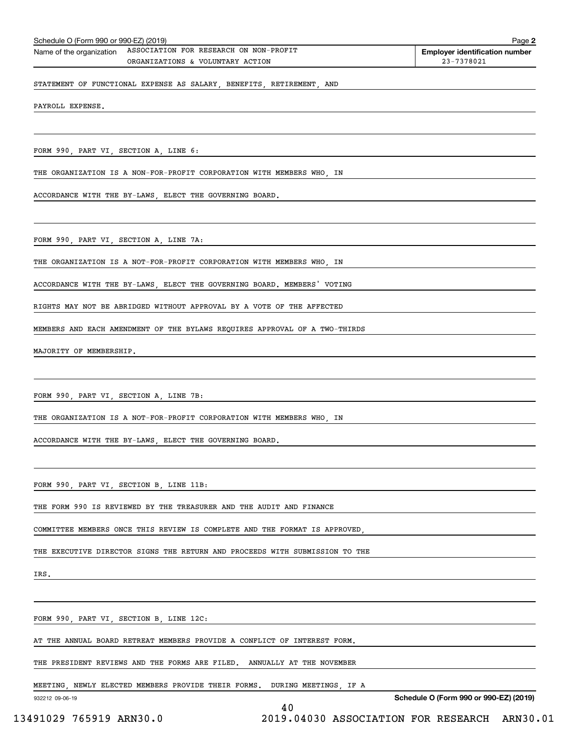| Schedule O (Form 990 or 990-EZ) (2019)<br>Page 2 |                                        |                                       |  |  |
|--------------------------------------------------|----------------------------------------|---------------------------------------|--|--|
| Name of the organization                         | ASSOCIATION FOR RESEARCH ON NON-PROFIT | <b>Employer identification number</b> |  |  |
|                                                  | ORGANIZATIONS & VOLUNTARY ACTION       | 23-7378021                            |  |  |
|                                                  |                                        |                                       |  |  |

STATEMENT OF FUNCTIONAL EXPENSE AS SALARY, BENEFITS, RETIREMENT, AND

PAYROLL EXPENSE.

FORM 990, PART VI, SECTION A, LINE 6:

THE ORGANIZATION IS A NON-FOR-PROFIT CORPORATION WITH MEMBERS WHO, IN

ACCORDANCE WITH THE BY-LAWS, ELECT THE GOVERNING BOARD.

FORM 990, PART VI, SECTION A, LINE 7A:

THE ORGANIZATION IS A NOT-FOR-PROFIT CORPORATION WITH MEMBERS WHO, IN

ACCORDANCE WITH THE BY-LAWS, ELECT THE GOVERNING BOARD. MEMBERS' VOTING

RIGHTS MAY NOT BE ABRIDGED WITHOUT APPROVAL BY A VOTE OF THE AFFECTED

MEMBERS AND EACH AMENDMENT OF THE BYLAWS REQUIRES APPROVAL OF A TWO-THIRDS

MAJORITY OF MEMBERSHIP.

FORM 990, PART VI, SECTION A, LINE 7B:

THE ORGANIZATION IS A NOT-FOR-PROFIT CORPORATION WITH MEMBERS WHO, IN

ACCORDANCE WITH THE BY-LAWS, ELECT THE GOVERNING BOARD.

FORM 990, PART VI, SECTION B, LINE 11B:

THE FORM 990 IS REVIEWED BY THE TREASURER AND THE AUDIT AND FINANCE

COMMITTEE MEMBERS ONCE THIS REVIEW IS COMPLETE AND THE FORMAT IS APPROVED,

THE EXECUTIVE DIRECTOR SIGNS THE RETURN AND PROCEEDS WITH SUBMISSION TO THE

IRS.

FORM 990, PART VI, SECTION B, LINE 12C:

AT THE ANNUAL BOARD RETREAT MEMBERS PROVIDE A CONFLICT OF INTEREST FORM.

THE PRESIDENT REVIEWS AND THE FORMS ARE FILED. ANNUALLY AT THE NOVEMBER

MEETING, NEWLY ELECTED MEMBERS PROVIDE THEIR FORMS. DURING MEETINGS, IF A

40

932212 09-06-19

**Schedule O (Form 990 or 990-EZ) (2019)**